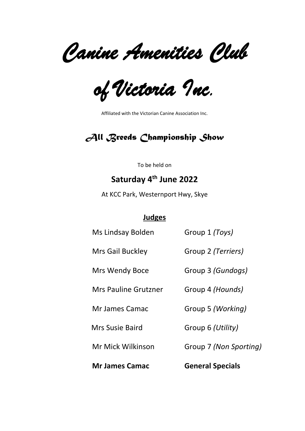*Canine Amenities Club* 

*of Victoria Inc.*

Affiliated with the Victorian Canine Association Inc.

# *All Breeds Championship Show*

To be held on

# **Saturday 4th June 2022**

At KCC Park, Westernport Hwy, Skye

### **Judges**

| <b>Mr James Camac</b>       | <b>General Specials</b> |
|-----------------------------|-------------------------|
| Mr Mick Wilkinson           | Group 7 (Non Sporting)  |
| <b>Mrs Susie Baird</b>      | Group 6 (Utility)       |
| <b>Mr James Camac</b>       | Group 5 (Working)       |
| <b>Mrs Pauline Grutzner</b> | Group 4 (Hounds)        |
| Mrs Wendy Boce              | Group 3 (Gundogs)       |
| Mrs Gail Buckley            | Group 2 (Terriers)      |
| Ms Lindsay Bolden           | Group 1 (Toys)          |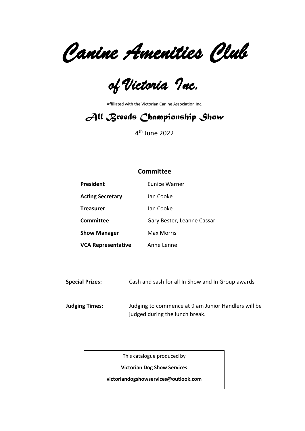*Canine Amenities Club* 

*of Victoria Inc.* 

Affiliated with the Victorian Canine Association Inc.

# *All Breeds Championship Show*

4 th June 2022

### **Committee**

| <b>President</b>          | <b>Eunice Warner</b>       |
|---------------------------|----------------------------|
| <b>Acting Secretary</b>   | Jan Cooke                  |
| <b>Treasurer</b>          | Jan Cooke                  |
| Committee                 | Gary Bester, Leanne Cassar |
| <b>Show Manager</b>       | Max Morris                 |
| <b>VCA Representative</b> | Anne Lenne                 |

**Special Prizes:** Cash and sash for all In Show and In Group awards

**Judging Times:** Judging to commence at 9 am Junior Handlers will be judged during the lunch break.

This catalogue produced by

**Victorian Dog Show Services**

**victoriandogshowservices@outlook.com**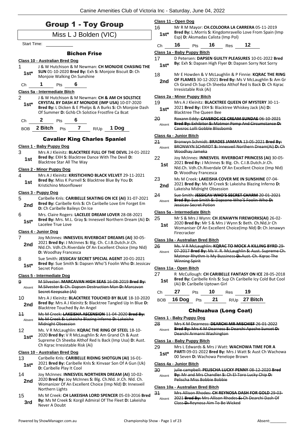| <b>Group 1 - Toy Group</b><br>Miss L J Bolden (VIC) |                                                                                                                                                                           |                 | Class 11 - Open Dog<br>Mr R M Mayor: CH.COLOORA LA CARRERA 05-11-2019                                                                                                       |
|-----------------------------------------------------|---------------------------------------------------------------------------------------------------------------------------------------------------------------------------|-----------------|-----------------------------------------------------------------------------------------------------------------------------------------------------------------------------|
|                                                     |                                                                                                                                                                           |                 | Bred By: L.Morris S: Kingdomravello Love From Spain (Imp<br>Esp) D: Aksmadas Calista (Imp Pol)                                                                              |
| Start Time:                                         |                                                                                                                                                                           | Сh              | 12<br>16<br>16<br>Pts<br>Res                                                                                                                                                |
|                                                     | <b>Bichon Frise</b>                                                                                                                                                       |                 | Class 1a - Baby Puppy Bitch                                                                                                                                                 |
| 1                                                   | Class 10 - Australian Bred Dog<br>J & W Hutchison & M Newman: CH MONJOIE CHASING THE                                                                                      | 17<br>$1st*$    | D Petersen: DAPSEN GUILTY PLEASURES 10-01-2022 Bred<br>By: Exh S: Dapsen High Flyer D: Dapsen Sorry Not Sorry                                                               |
| $1st*$<br>Ch                                        | SUN 01-10-2020 Bred By: Exh S: Monjoie Biscuit D: Ch<br>Monjoie Walking On Sunshine<br>1<br>6<br>Pts                                                                      | 18<br>2nd       | Mr E Howden & V McLaughlin & P Finnie: KQRAC THE RING<br>OF FLAMES 30-12-2021 Bred By: Ms V McLaughlin S: Am Gr<br>Ch Grand Ch Sup Ch Sheeba Althof Red Is Back D: Ch Kqrac |
|                                                     | Class 5a - Intermediate Bitch                                                                                                                                             |                 | Irresistable Risk (Ai)                                                                                                                                                      |
| $\overline{2}$                                      | J & W Hutchison & M Newman: CH & AM CH SOLSTICE                                                                                                                           |                 | Class 2a - Minor Puppy Bitch                                                                                                                                                |
| $1st*$                                              | CRYSTAL BY DASH AT MONJOIE (IMP USA) 10-07-2020<br>Bred By: L Dicken & E Phelps & A Burks S: Ch Monjoie Dash<br>Of Summer D: Gchb Ch Solstice Frostfire Ca Bcat           | 19<br>$1st*$    | Mrs A J Kleinitz: BLACKTREE QUEEN OF MYSTERY 30-11-<br>2021 Bred By: EXH S: Blacktree Whiskey Jack (Ai) D:<br><b>Blacktree The Queen Bee</b>                                |
| Ch                                                  | 6<br>$\mathbf{z}$<br>Pts                                                                                                                                                  | 20              | Roxann Eddy: CAVSROC ICE CREAM SUNDAE 06 10 2021                                                                                                                            |
| <b>BOB</b>                                          | $\overline{7}$<br>2 Bitch Pts<br>1 Dog<br>R/Up                                                                                                                            | Absent          | Bred By: Exhibitor S: Matmor Pomp And Circumstance D:<br>Caysroc Lolli Gobble Blissbomb                                                                                     |
|                                                     | <b>Cavalier King Charles Spaniel</b>                                                                                                                                      |                 | Class 4a - Junior Bitch                                                                                                                                                     |
| 3                                                   | Class 1 - Baby Puppy Dog<br>Mrs A J Kleinitz: <b>BLACKTREE FULL OF THE DEVIL</b> 24-01-2022                                                                               | 21<br>Absent    | Bronwyn Schmidt: BRADES JAMAYA 13 05 2021 Bred By:<br>BRONWYN SCHMIDT S: Innesveil Northern Dream(Ai) D: Ch<br>Woodhay Jameka                                               |
| 1st                                                 | Bred By: EXH S: Blacktree Dance With The Devil D:<br>Blacktree Star All The Way                                                                                           | 22<br>1st       | Joy McInnes: INNESVEIL RIVERBOAT PRINCESS (AI) 30-05-<br>2021 Bred By: J McInnes S: Blg. Ch. C.I.B.Dutch.Jr.Ch.                                                             |
|                                                     | <b>Class 2 - Minor Puppy Dog</b>                                                                                                                                          |                 | Nld.Ch. Vdh.Ch.Riverdale Of An Excellent Choice (Imp Nld)<br>D: Woodhay Francesca                                                                                           |
| 4<br>1st                                            | Mrs A J Kleinitz: KRISTICHINO BLACK VELVET 29-11-2021<br>Bred By: Miss K Purnell S: Blacktree Blue By You D:<br>Kristichino Moonflower                                    | 23<br>2nd       | Ms M Creek: LAKEISHA COVER ME IN SUNSHINE 07-04-<br>2021 Bred By: Ms M Creek S: Lakeisha Blazing Inferno D:<br>Lakeisha Midnight Obsession                                  |
|                                                     | Class 3 - Puppy Dog                                                                                                                                                       | 24              | Sue Smith: JESSICAV WHO'S SECRET CHARM 20-01-2021                                                                                                                           |
| 5<br>2nd                                            | Caribelle Knls: CARIBELLE SKATING ON ICE (AI) 31-07-2021<br>Bred By: Caribelle Knls S: Ch Caribelle Love Em Forget Em<br>D: Ch Caribelle Baileys On Ice                   | Absent          | Bred By: Sue Smith S: Dapsone Who'S Foolin Who D:<br><b>Jessicay Secret Potion</b>                                                                                          |
| 6                                                   | Mrs. Claire Rogers: LACELEE DREAM LOVER 28-08-2021                                                                                                                        |                 | Class 5a - Intermediate Bitch                                                                                                                                               |
| $1st*$                                              | Bred By: Mrs. M.L. Gray S: Innesveil Northern Dream (Ai) D:<br>Lacelee True Love                                                                                          | 25<br>1st       | Mr S & Mrs J Wynn: CH JENAWYN FIREWORKS(AI) 26-02-<br>2020 Bred By: Mr S & Mrs J Wynn S: Beth. Ch.Nld.Jr Ch<br>Womaniser Of An Excellent Choice(Imp Nld) D: Ch Jenawyn      |
| 7                                                   | Class 4 - Junior Dog<br>Joy McInnes: INNESVEIL RIVERBOAT DREAMS (AI) 30-05-                                                                                               |                 | Firecracker                                                                                                                                                                 |
| 2nd                                                 | 2021 Bred By: J McInnes S: Blg. Ch. C.I.B.Dutch.Jr.Ch.<br>Nld.Ch. Vdh.Ch.Riverdale Of An Excellent Choice (Imp Nld)<br>D: Woodhay Francesca                               | 26<br>Absent    | Class 10a - Australian Bred Bitch<br>Ms. V R McLaughlin: KQRAC TO MOCK A KILLING BYRD 29-<br>07-2017 Bred By: Ms V. R. McLaughlin S: Aust. Supreme Ch.                      |
| 8<br>$1st*$                                         | Sue Smith: JESSICAV SECRET SPECIAL AGENT 20-01-2021<br>Bred By: Sue Smith S: Dapsen Who'S Foolin Who D: Jessicav                                                          |                 | Matmor Rhythm Is My Bussiness D: Aust. Ch. Kgrac The<br><b>Winning Spirit</b>                                                                                               |
|                                                     | Secret Potion                                                                                                                                                             | 27              | Class 11a - Open Bitch<br>R McCullough: CH CARIBELLE FANTASY ON ICE 28-05-2018                                                                                              |
| 9<br>Absent                                         | <b>Class 5 - Intermediate Dog</b><br>M Silvester: MARCAVAN HIGH SEAS 16-08-2019 Bred By:<br>M. Silvester S: Ch. Dapsen Destruction Man D: Marcavan                        | 1st             | Bred By: Caribelle Knls S: Sup Ch Caribelle Icy Cold But Cool<br>(Ai) D: Caribelle Uptown Girl                                                                              |
|                                                     | Secret Keepsake (Ai)                                                                                                                                                      | Ch              | 27<br>10<br>19<br>Pts<br><b>Res</b>                                                                                                                                         |
| 10<br>2nd                                           | Mrs A J Kleinitz: BLACKTREE TOUCHED BY BLUE 18-10-2020<br>Bred By: Mrs A J Kleinitz S: Blacktree Tangled Up In Blue D:<br>Blacktree Touched By An Angel                   | <b>BOB</b>      | 21<br>27 Bitch<br>16 Dog<br>Pts<br>R/Up                                                                                                                                     |
| 11                                                  | Ms M Creek: LAKEISHA ASCENSION 11 04 2020 Bred By:                                                                                                                        |                 | <b>Chihuahua (Long Coat)</b>                                                                                                                                                |
| Absent                                              | Ms M Creek S: Lakeisha Blazing Inferno D: Lakeisha                                                                                                                        |                 | Class 1 - Baby Puppy Dog                                                                                                                                                    |
| 12                                                  | <b>Midnight Obsession</b><br>Ms. V R McLaughlin: KQRAC THE RING OF STEEL 18-10-                                                                                           | 28<br>Absent    | Mrs K M Dearness: DEARCHI MR MISCHIEF 26 01 2022<br>Bred By: Mrs K M Dearness S: Dearchi Apache Sunset D:                                                                   |
| $1st*$                                              | 2020 Bred By: V R McLaughlin S: Am Grand Ch & Aust<br>Supreme Ch Sheeba Althof Red Is Back (Imp Usa) D: Aust.                                                             |                 | Dearchi Armarni Washington<br>Class 1a - Baby Puppy Bitch                                                                                                                   |
|                                                     | Ch Kgrac Irresistable Risk (Ai)                                                                                                                                           | 29              | Mrs L Edwards & Mrs J Watt: WACHOWA TIME FOR A                                                                                                                              |
| 13                                                  | Class 10 - Australian Bred Dog<br>Caribelle Knls: CARIBELLE RIDING SHOTGUN (AI) 16-01-<br>2021 Bred By: Caribelle Knls S: Kinvaar Son Of A Gun (Uk)                       | $1st^*$         | PARTI 09-01-2022 Bred By: Mrs J Watt S: Aust Ch Wachowa<br>00 Seven D: Wachowa Penelope Brown<br>Class 4a - Junior Bitch                                                    |
| $1st^*$                                             | D: Caribelle Play It Cool                                                                                                                                                 | 30 <sub>o</sub> | julie campbell: PELISCHA LUCKY PENNY 08 12 2020 Bred                                                                                                                        |
| 14<br>2nd                                           | Joy McInnes: INNESVEIL NORTHERN DREAM (AI) 10-02-<br>2020 Bred By: Joy McInnes S: Blg. Ch.Nld. Jr.Ch. Nld. Ch.<br>Womanizer Of An Excellent Choice (Imp Nld) D: Innesveil | Absent          | By: Mr and Mrs Chandler S: Ch El-Toro Lucky Chip D:<br>Pelischa Miss Bobbie Bobbie                                                                                          |
|                                                     | Northern Lights                                                                                                                                                           |                 | Class 10a - Australian Bred Bitch                                                                                                                                           |
| 15<br>3rd                                           | Ms M Creek: CH LAKEISHA LORD SPENCER 05-03-2016 Bred<br>By: Ms M Creek S: Korgil Admiral Of The Fleet D: Lakeisha<br>Never A Doubt                                        | 34<br>Absent    | Mrs Allison Rhodes: CH REYNOSA DASH FOR GOLD 29 03<br>2021 Bred By: Mrs Allison Rhodes S: Ch Dearchi Dash Of<br>Class D: Reynosa Aim To Be Wicked                           |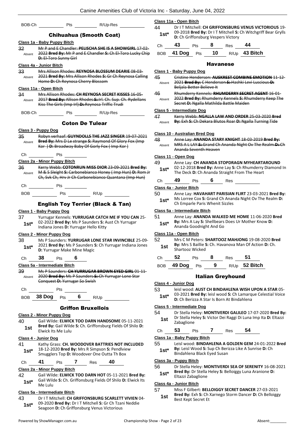| BOB-Ch       | Pts                                                                                                                                                                           | R/Up-Res                  |    |
|--------------|-------------------------------------------------------------------------------------------------------------------------------------------------------------------------------|---------------------------|----|
|              | <b>Chihuahua (Smooth Coat)</b>                                                                                                                                                |                           |    |
|              | Class 1a - Baby Puppy Bitch                                                                                                                                                   |                           |    |
| 32           | Mr P and E Chandler: PELISCHA SHE IS A SHOWGIRL 17-02-                                                                                                                        |                           |    |
| Absent       | 2022 Bred By: Mr P and E Chandler S: Ch El Toro Lucky Chip                                                                                                                    |                           |    |
|              | D: El-Toro Sunny Girl                                                                                                                                                         |                           |    |
|              | <u> Class 4a - Junior Bitch</u>                                                                                                                                               |                           |    |
| 33           | Mrs Allison Rhodes: REYNOSA BLOSSUM DEARIE 08-03-                                                                                                                             |                           |    |
| Absent       | 2021 Bred By: Mrs Allison Rhodes S: Gr Ch Reynosa Calling                                                                                                                     |                           |    |
|              | Home D: Ch Reynosa Cherry Blossom                                                                                                                                             |                           |    |
|              | Class 11a - Open Bitch                                                                                                                                                        |                           |    |
| 34           | Mrs Allison Rhodes: CH REYNOSA SECRET KISSES 16-05-                                                                                                                           |                           |    |
| Absent       | 2017 Bred By: Allison Rhodes S: Irl. Ch. Sup. Ch. Rydellans                                                                                                                   |                           |    |
|              | Kiss The Girls (Imp Irl) D: Reynosa Triffic Trudi                                                                                                                             |                           |    |
|              |                                                                                                                                                                               |                           |    |
| BOB-Ch       | Pts                                                                                                                                                                           | R/Up-Res                  |    |
|              |                                                                                                                                                                               | <b>Coton De Tulear</b>    |    |
|              | Class 3 - Puppy Dog                                                                                                                                                           |                           |    |
| 35           | Robyn verhaaf: GUYNDOLLS THE JAZZ SINGER 19-07-2021                                                                                                                           |                           |    |
| Absent       | Bred By: Mrs D Le strange S: Raymond Of Glory Fox (Imp                                                                                                                        |                           |    |
|              | Kor ) D: Broadway Baby Of Gorly Fox (Imp Kor)                                                                                                                                 |                           |    |
| Сh           | Pts                                                                                                                                                                           |                           |    |
|              | Class 2a - Minor Puppy Bitch                                                                                                                                                  |                           |    |
| 36           | Kerry Webb: COTONRUN MISS DIOR 23-09-2021 Bred By:                                                                                                                            |                           |    |
| Absent       | M & S Sleight S: Carbonebianco Honey (Imp Hun) D: Rom Jr                                                                                                                      |                           |    |
|              | Ch, Svk Ch, Hrv Jr Ch Carbonebianco Quantana (Imp Hun)                                                                                                                        |                           |    |
|              |                                                                                                                                                                               |                           |    |
| Сh           | Pts                                                                                                                                                                           |                           |    |
| BOB          | Pts                                                                                                                                                                           | R/Up                      |    |
| 37<br>$1st*$ | Class 1 - Baby Puppy Dog<br>Yurrugar Kennels: YURRUGAR CATCH ME IF YOU CAN 25-<br>02-2022 Bred By: Ms P Saunders S: Aust Ch Yurrugar<br>Indiana Jones D: Yurrugar Hello Kitty |                           |    |
|              | Class 2 - Minor Puppy Dog                                                                                                                                                     |                           |    |
| 38           | Ms P Saunders: YURRUGAR LONE STAR INVINCIBLE 25-09-                                                                                                                           |                           |    |
| $1st^*$      | 2021 Bred By: Ms P Saunders S: Ch Yurrugar Indiana Jones                                                                                                                      |                           |    |
|              | D: Yurrugar Make Mine Magic                                                                                                                                                   |                           |    |
| Ch           | 38<br>6<br>Pts                                                                                                                                                                |                           |    |
|              | Class 5a - Intermediate Bitch                                                                                                                                                 |                           |    |
| 39           | Ms P Saunders: CH YURRUGAR BROWN EYED GIRL 01 11                                                                                                                              |                           |    |
| Absent       | 2020 Bred By: Ms P Saunders S: Ch Yurrugar Lone Star                                                                                                                          |                           |    |
|              | Conquest D: Yurrugar So Swish                                                                                                                                                 |                           |    |
| Ch           | Pts                                                                                                                                                                           |                           |    |
|              |                                                                                                                                                                               |                           |    |
|              | BOB 38 Dog Pts 6 R/Up                                                                                                                                                         |                           |    |
|              |                                                                                                                                                                               | <b>Griffon Bruxellois</b> |    |
|              | <b>Class 2 - Minor Puppy Dog</b>                                                                                                                                              |                           |    |
| 40           | Gail Wilde: ELWICK TOO DARN HANDSOME 05-11-2021                                                                                                                               |                           |    |
|              | Bred By: Gail Wilde S: Ch. Griffonsburg Fields Of Shilo D:                                                                                                                    |                           |    |
| 1st          | Elwick Its Me Lulu                                                                                                                                                            |                           |    |
|              | Class 4 - Junior Dog                                                                                                                                                          |                           |    |
| 41           | Kathy Grass: CH. WOODOVER BATTRIES NOT INCLUDED                                                                                                                               |                           |    |
| 1st*         | 18-12-2020 Bred By: Mrs R Simpson S: Pendlview                                                                                                                                |                           |    |
|              | Smugglers Top D: Woodover One Outta Th Box                                                                                                                                    |                           |    |
| Ch           | 41<br>Pts 7 Res                                                                                                                                                               |                           | 40 |
|              | Class 2a - Minor Puppy Bitch                                                                                                                                                  |                           |    |
| 42           | Gail Wilde: ELWICK TOO DARN HOT 05-11-2021 Bred By:                                                                                                                           |                           |    |
| $1st^*$      | Gail Wilde S: Ch. Griffonsburg Fields Of Shilo D: Elwick Its                                                                                                                  |                           |    |
|              | Me Lulu                                                                                                                                                                       |                           |    |

43 Dr I T Mitchell: **CH GRIFFONSBURG SCARLETT VIVIEN** 04- 09-2020 **Bred By:** Dr I T Mitchell **S:** Gr Ch Tzani Neddie **1st**\* U9-2020 **Bred By:** Dr I | Mitchell **S:** Gr Ch Izar<br>Seagoon **D:** Ch Griffonsburg Venus Victorious

**Class 5a - Intermediate Bitch**

| Cristine Henderson: AUSKREST COMBINE EMOTION 11-12-  |
|------------------------------------------------------|
| 2021 Bred By: C Henderson S: Hashki Levi Luscious D: |
| Beliala Better Believe It                            |

#### 46 Rhumderry Kennels: **RHUMDERRY SECRET AGENT** 16-01- 2022 **Bred By:** Rhumderry Kennels **S:** Rhumderry Keep The Secret **D:** Ngalla Mathilda Battle Maiden Absent

44 Dr I T Mitchell: **CH GRIFFONSBURG VENUS VICTORIOUS** 19-

Havanese

**1st**\* **Designal Deviced By:** Drill Mitchell **3.**<br>**1st**\* **D:** Ch Griffonsburg Vespers Victory

Ch **43** Pts **8** Res **44** BOB **41 Dog** Pts **10** R/Up **43 Bitch**

09-2018 **Bred By:** Dr I T Mitchell **S:** Ch Witchgriff Bear Grylls

### **Class 5 - Intermediate Dog**

**Class 1 - Baby Puppy Dog 45** Cristine Henderson

Absent

**Class 11a - Open Bitch**

47 Kerry Webb: **NGALLA LAW AND ORDER** 25-03-2020 **Bred**  Absent **By:** Exh **S:** Ch Dekara Blutos Roar **D:** Ngalla Turning Tide

#### **Class 10 - Australian Bred Dog**

48 Anne Lay: **ANANDA STARY KNIGHT** 18-03-2019 **Bred By:**

MRS A L LAY **S:** Grand Ch Ananda Night Ov The Realm **D:** Ch Ananda Seventh Heaven Absent

### **Class 11 - Open Dog**

| 49     | Anne Lay: CH ANANDA STOPDRAGN MYHEARTAROUND             |
|--------|---------------------------------------------------------|
| $1st*$ | 02-12-2018 Bred By: Anne Lay S: Ch Rhumderry Diamond In |
|        | The Deck <b>D:</b> Ch Ananda Straight From The Heart    |

Ch **49** Pts **6** Res

#### **Class 4a - Junior Bitch**

| 50     | Anne Lay: HAVAHART PARISIAN FLIRT 23-03-2021 Bred By:  |
|--------|--------------------------------------------------------|
| $1st*$ | Ms Lorree Cox S: Grand Ch Ananda Night Ov The Realm D: |
|        | Ch Emparle Paris Whenit Sizzles                        |

#### **Class 5a - Intermediate Bitch**

| 51     | Anne Lay: ANANDA WALKED ME HOME 11-06-2020 Bred    |
|--------|----------------------------------------------------|
| $1st*$ | By: Mrs A Lay S: Shellbears Does Ur Mother Know D: |
|        | Ananda Goodnight And Go                            |

#### **Class 11a - Open Bitch**

| 52  | Mrs C M Peters: SHARTOOZ MAHJONG 19-08-2020 Bred                          |
|-----|---------------------------------------------------------------------------|
| 1st | By: Mrs S Baillie S: Ch. Havanova Man Of Action D: Ch.<br>Shartooz Wicked |

| Ch | 52               | <b>Pts</b> | 8 | Res |                 |
|----|------------------|------------|---|-----|-----------------|
|    | BOB 49 Dog Pts 9 |            |   |     | $R/Up$ 52 Bitch |

#### Italian Greyhound

#### **Class 4 - Junior Dog**

53 leisl wood: **AUST CH BINDAHLENA WISH UPON A STAR** 05- 03-2021 **Bred By:** leisl wood **S:** Ch Lamarque Celestial Voice **1st**\* U3-2021 **Bred By:** leist wood **S:** Ch Lamarque **D:** Ch Berizza A Star Is Born At Bindahlena

#### **Class 5 - Intermediate Dog**

- 54 Dr Stella Heley: **MONTIVERDI GALILEO** 17-07-2020 **Bred By:** Dr Stella Heley **S:** Victor Dei Raggi Di Luna Imp Ita **D:** Eltazzi **1st Dr** Stella He<br>Zabaglione
- Ch **53** Pts **7** Res **54**

#### **Class 1a - Baby Puppy Bitch**

- 55 Leisl wood: **BINDAHLENA A GOLDEN GEM** 24-01-2022 **Bred By:** Leisl Wood **S:** Sup Ch Berizza Like A Sunrise **D:** Ch
	- **1st\*** By: Leisl Wood S: Sup Ch Beri<br>Bindahlena Black Eyed Susan

### **Class 3a - Puppy Bitch**

- 56 Dr Stella Heley: **MONTIVERDI SEA OF SERENITY** 16-08-2021
	- **Bred By:** Dr Stella Heley **S:** Belloiggy Luna Aranione **D: 1st\* Bred By:** Dr Stella<br>**Eltazzi Zabaglione**

### **Class 4a - Junior Bitch**

- 57 Miss F Gilbert: **BELLOIGGY SECRET DANCER** 27-03-2021
	- **Bred By:** Exh **S:** Ch Xarnego Storm Dancer **D:** Ch Belloiggy **1st** Brea By: EXN S: CN J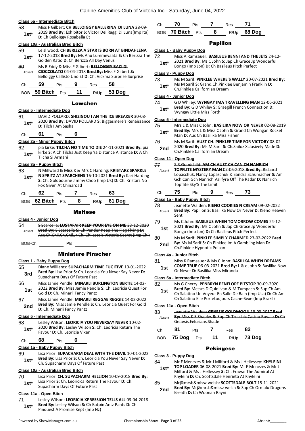#### **Class 5a - Intermediate Bitch**

- 58 Miss F Gilbert: **CH BELLOIGGY BALLERINA DI LUNA** 28-09- 2019 **Bred By:** Exhibitor **S:** Victor Dei Raggi Di Luna(Imp Ita)
- **1st**\* **D:** Ch Belloiggy Rosabella Et **1st**

#### **Class 10a - Australian Bred Bitch**

| 59     | Leisl wood: CH BERIZZA A STAR IS BORN AT BINDAHLENA     |
|--------|---------------------------------------------------------|
| $1st*$ | 17-12-2018 Bred By: Ms Anu Lummevaata S: Ch Berizza The |
|        | Golden Ratio D: Ch Berizza All Day Venus                |

#### 60 Ms R Eddy & Miss F Gilbert: **BELLOIGGY BACI DI CIOCCOLATO** 04-04-2018 **Bred By:** Miss F Gilbert **S:**  Belloiggy Callisto Uno Et **D:** Ch. Vickma Surprise Surprise Absent

| ۰. |  |  |  |
|----|--|--|--|
|    |  |  |  |

BOB **59 Bitch** Pts **11** R/Up **53 Dog**

#### Lowchen

### **Class 5 - Intermediate Dog**

61 DAVID POLLARD: **SHIZIGOU I AN THE ICE BREAKER** 30-08- 2020 **Bred By:** DAVID POLLARD **S:** Biggesmere's Renaissance **1st**\* <sup>2020</sup> **Brea By:** DAV<br>**D:** Tilch I Am Sasha

Ch **61** Pts **6**

#### **Class 2a - Minor Puppy Bitch**

62 pia kirke: **TILCHA NO TIME TO DIE** 24-11-2021 **Bred By:** pia kirke **S:** A Ch Tilcha Just Keep Ya Distance Aiistance **D:** A Ch **1st 1st 1st 1st 1st 1st 1st 1st 1st 1st 1st 1st 1st 1st 1st 1st 1st 1st 1st 1st 1st 1st 1st 1st 1st 1st 1st 1st 1st 1st 1st 1st 1st 1st 1st 1st 1st**

#### **Class 3a - Puppy Bitch**

63 N Millward & Miss K & Mrs C Harding: **KRISTARZ SPARKLE N SPRITZ AT SPARCHENS** 16-10-2021 **Bred By:** Kari Harding **S:** Ch. Goldbourne Jimmy Choo (Imp Uk) **D:** Ch. Kristarz No **1st\***

| r. |  | ۱. б |  |
|----|--|------|--|
|    |  |      |  |



#### Maltese

**Class 4 - Junior Dog**

64 S Scarcella: **LUSTAFAIR KEEP YOUR EYE ON ME** 23-12-2020 **Bred By:** S Scarcella **S:** Ch Pender Keep The Flag Flying **D:**  Arg.Ch.Chil.Ch.Chil.Jr.Ch. Chilestolz Victoria Secret (Imp Chl) Absent

BOB-Ch Pts

### Miniature Pinscher

#### **Class 1 - Baby Puppy Dog**

- 65 Diane Williams: **SUPACHARM TIME FUGITIVE** 10-01-2022 **Bred By:** Lisa Prior **S:** Ch. Leoricia You Never Say Never **D: 3rd Brea By:** Lisa Prior **S:** Cn. Leoricing Supacharm Days Of Future Past
- 66 Miss Jamie Pendle: **MINARLI BURLINGTON BERTIE** 14-02- 2022 **Bred By:** Miss Jamie Pendle **S:** Ch. Leoricia Quest For **1st COLL Brea By:** Miss Jame Pendi<br>Gold **D**: Ch. Minarli Fancy Pantz
- 67 Miss Jamie Pendle: **MINARLI REGGAE REGGIE** 14-02-2022 **Bred By:** Miss Jamie Pendle **S:** Ch. Leoricia Quest For Gold **2nd D:** Ch. Minarli Fancy Pantz

#### **Class 5 - Intermediate Dog**

68 Lesley Wilson: **LEORICIA YOU NEVERSAY NEVER** 10-02- 2020 **Bred By:** Lesley Wilson **S:** Ch. Leoricia Return The **1st**\* 2020 **Bred By:** Lesley Wilson<br>Favour **D:** Ch. Leoricia Vixen

Ch **68** Pts **6**

### **Class 1a - Baby Puppy Bitch**

69 Lisa Prior: **SUPACHARM DEAL WITH THE DEVIL** 10-01-2022 **Bred By:** Lisa Prior **S:** Ch. Leoricia You Never Say Never **D:**  1st\* Brea By: Lisa Prior S: Ch. Leoricia Yo<br>Ch. Supacharm Days Of Future Past

### **Class 10a - Australian Bred Bitch**

- 70 Lisa Prior: **CH. SUPACHARM HELLION** 10-09-2018 **Bred By:** Lisa Prior **S:** Ch. Leoricica Return The Favour **D:** Ch.
- **1st**\* Lisa Prior S: Cn. Leoricica Return<br>Supacharm Days Of Future Past

### **Class 11a - Open Bitch**

71 Lesley Wilson: **LEORICIA XPRESSION TELLS ALL** 03-04-2018 **Bred By:** Lesley Wilson **S:** Ch Batpin Antz Pants **D:** Ch **1st\*** Brea By: Lesley Wilson S: Ch Batp<br>Pinquest A Promise Kept (Imp Nz)

| Сh | - 70             | Pts | Res |               |  |
|----|------------------|-----|-----|---------------|--|
|    | BOB 70 Bitch Pts |     |     | $R/Up$ 68 Dog |  |

#### Papillon

- **Class 1 - Baby Puppy Dog**
- 72 Miss A Ramsauer: **BASILEUS BENNI AND THE JETS** 24-12- 2021 **Bred By:** Ms C John **S:** Jap Ch Grace Jp Wonderful
	- **1st** 2021 **Bred By:** MS C John **5:** Jap Ch Grace Jp<br>Bongo (Imp Jpn) **D:** Ch Basileus Pitch Perfect

#### **Class 3 - Puppy Dog**

73 Ms M Sarif: **PINKLEE WHERE'S WALLY** 20-07-2021 **Bred By:** Ms M Sarif **S:** Grand.Ch.Pinklee Benjamin Franklin **D: 1st**\* MIS M Sarif S: Grand.Ch.Pinkle<br>Ch.Pinklee Californian Dream

### **Class 4 - Junior Dog**

74 G D Whiley: **WYNGAY IMA TRAVELLING MAN** 12-06-2021 **Bred By:** G D Whiley **S:** Graegill French Connection **D:**  1st<sup>\*</sup> Bred By: G D Whiley S: G<br>Myngay Little Miss Forth

### **Class 5 - Intermediate Dog**

75 Mrs L & Miss C John: **BASILIKA NOW OR NEVER** 02-08-2019 **Bred By:** Mrs L & Miss C John **S:** Grand Ch Wongan Rocket **1st\*** Bred By: Mrs L & Miss C John S: Grad By: Aus Ch Basilika Miss Fisher

- 76 Ms M Sarif: **AUST CH. PINKLEE TIME FOR VICTORY** 08-02-
- 2020 **Bred By:** Ms M Sarif **S:** Ch.Sailoz Xclusively Made **D: 2nd 2020 Brea By:** WIS M Sarif S: Q. Ch.Pinklee Californian Dream

#### **Class 11 - Open Dog**

77 S.R.Goodchild: **AM CH AUST CH CAN CH NANRICH** 

- **TOPFLITE MYSTERY MAN** 07-06-2018 **Bred By:** Richard Lopaschuk, Nancy Lopaschuk & Sandra Schumacher **S:** Am Gch Can Gch Nanrich Valifyre Off The Radar **D:** Nanrich Absent
- Ch **75** Pts **9** Res **73**
- 78 Jeanette Walden: **KIENO COOKIES N CREAM** 09-02-2022 **Bred By:** Papillon **S:** Basilika Now Or Never **D:** Kieno Heaven Sent Absent
- 79 Ms C John: **BASILEUS WHEN TOMORROW COMES** 24-12- 2021 **Bred By:** Ms C John **S:** Jap Ch Grace Jp Wonderful **1st** 2021 **Bred By:** Ms C John **S:** Jap Ch Grace Jp<br>Bongo (Imp Jpn) **D:** Ch Basileus Pitch Perfect
- 80 Ms M Sarif: **PINKLEE SIMPLY CHARMED** 23-02-2022 **Bred By:** Ms M Sarif **S:** Ch.Pinklee Im A Gambling Man **D: 2nd By:** IVIS IVI SAFIT SI CH.PINKIEE<br>Ch.Pinklee Hypnotic Poison

### **Class 4a - Junior Bitch**

- 81 Miss K Ramsauer & Ms C John: **BASILIKA WHEN DREAMS**
- **COME TRUE** 06-03-2021 **Bred By:** L & c John **S:** Basilika Now **1st COME IRUE** 06-03-2021 **Bred By: 1st** Or Never **D:** Basilika Miss Miranda

#### **Class 5a - Intermediate Bitch**

- 82 Ms G Cherry: **PENBRYN PENELOPE PITSTOP** 30-09-2020
	- **Bred By:** Messrs D Quinlivan & M Tumpach **S:** Sup Ch Am Ch Salatino Un Voyeur En Salle De Bain (Imp Usa) **D:** Ch Am Ch Salatino Elle Portetoujours Cache-Sexe (Imp Brazil) **1st**

### **Class 11a - Open Bitch**

83 Jeanette Walden: **GENESIS GOLDMOON** 19-03-2017 **Bred By:** Miss K E Shaples **S:** Sup Ch Treschic Casino Royale **D:** Ch Genesis Felurians Shade Absent

| Ch | 81                | <b>Pts</b> | Res | -82         |
|----|-------------------|------------|-----|-------------|
|    | BOB 75 Dog Pts 11 |            |     | R/Up 73 Dog |

### Pekingese

### **Class 3 - Puppy Dog**

- 84 Mr F Menezes & Mr J Milford & Ms J Hellessey: **KHYLEINI** 
	- **TOP LOADER** 06-08-2021 **Bred By:** Mr F Menezes & Mr J Milford & Ms J Hellessey **S:** Ch. Frawai The Admiral At Khyleini **D:** Ch. Scottsdale Henrieta At Khyleini **1st\***
- 85 Mrj&mrsb&missz welsh: **SCOTTSDALE BOLT** 15-11-2021
	- **Bred By:** Mrj&mrsb&missz welsh **S:** Sup Ch Ormalu Dragons **2nd** Brea By: MrJ&mrsb&missz v<br>Breath D: Ch Woonan Rayni

Topflite Sky'S The Limit **Class 1a - Baby Puppy Bitch**

Fox Given At Chinaroad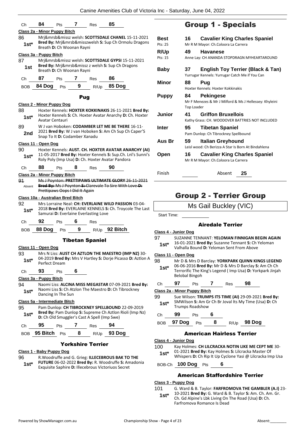| Ch           | 84                                | Pts                            | 7           | Res                                          | 85                                                                                                                  |                            |
|--------------|-----------------------------------|--------------------------------|-------------|----------------------------------------------|---------------------------------------------------------------------------------------------------------------------|----------------------------|
|              | Class 2a - Minor Puppy Bitch      |                                |             |                                              |                                                                                                                     |                            |
| 86           |                                   |                                |             |                                              | Mrj&mrsb&missz welsh: SCOTTSDALE CHANEL 15-11-2021                                                                  | Best                       |
| 1st*         |                                   | Breath D: Ch Woonan Rayni      |             |                                              | Bred By: Mrj&mrsb&misszwelsh S: Sup Ch Ormolu Dragons                                                               | Pts: 25                    |
|              |                                   |                                |             |                                              |                                                                                                                     | <b>R/Up</b>                |
| 87           | Class 3a - Puppy Bitch            |                                |             |                                              | Mrj&mrsb&missz welsh: SCOTTSDALE GYPSI 15-11-2021                                                                   | Pts: 15                    |
| 1st          |                                   | Breath D: Ch Woonan Rayni      |             |                                              | Bred By: Mrj&mrsb&missz z welsh S: Sup Ch Dragons                                                                   | <b>Baby</b>                |
| Сh           | 87                                | <b>Pts</b>                     | $7^{\circ}$ | Res                                          | 86                                                                                                                  | Minor                      |
| <b>BOB</b>   | 84 Dog                            | Pts                            | 9           | R/Up                                         | 85 Dog                                                                                                              |                            |
|              |                                   |                                | Pug         |                                              |                                                                                                                     | <b>Puppy</b>               |
|              | <b>Class 2 - Minor Puppy Dog</b>  |                                |             |                                              |                                                                                                                     |                            |
| 88<br>$1st*$ | Avatar Centauri                   |                                |             |                                              | Hoxter Kennels: HOXTER KOKKINAKIS 26-11-2021 Bred By:<br>Hoxter Kennels S: Ch. Hoxter Avatar Anarchy D: Ch. Hoxter  | Junior                     |
| 89           |                                   |                                |             |                                              | W J van Hoboken: CODAMBER LET ME BE THERE 16-11-                                                                    | Inter                      |
| 2nd          |                                   | Snap To It D: Codamber Xanadu  |             |                                              | 2021 Bred By: W J van Hoboken S: Am Ch Sup Ch Caper'S                                                               | Aus Br                     |
|              | Class 11 - Open Dog               |                                |             |                                              |                                                                                                                     |                            |
| 90           |                                   |                                |             |                                              | Hoxter Kennels: AUST. CH. HOXTER AVATAR ANARCHY (AI)<br>11-05-2017 Bred By: Hoxter Kennels S: Sup.Ch. Lnl's Sunni's | Open                       |
| $1st*$       |                                   |                                |             |                                              | Roly Poly (Imp Usa) D: Ch. Hoxter Avatar Pandora                                                                    |                            |
| Ch           | 88                                | <b>Pts</b>                     | 8           | Res                                          | 90                                                                                                                  | Finish                     |
|              | Class 2a - Minor Puppy Bitch      |                                |             |                                              |                                                                                                                     |                            |
| 91<br>Absent |                                   | Prettipaws Oops I Did It Again |             |                                              | Ms J Poynton: PRETTIPAWS ULTIMATE GLORY 26-11-2021<br>Bred By: Ms J Poynton S: Clarevale To Sire With Love D:       |                            |
|              | Class 10a - Australian Bred Bitch |                                |             |                                              |                                                                                                                     | cп                         |
| 92<br>$1st*$ |                                   |                                |             |                                              | Mrs Lorraine Neal: CH: EVERLAINE WILD PASSION 03-04-<br>2018 Bred By: EVERLAINE KENNELS S: Ch. Troycole The Last    |                            |
| Ch           | 92                                | Pts                            | 6           | Samurai D: Everlaine Everlasting Love<br>Res |                                                                                                                     | Start Time:                |
| <b>BOB</b>   | 88 Dog                            | Pts                            | 9           |                                              | R/Up 92 Bitch                                                                                                       |                            |
|              |                                   |                                |             |                                              |                                                                                                                     | Class 4 - Junio            |
|              |                                   |                                |             | <b>Tibetan Spaniel</b>                       |                                                                                                                     | 97<br><b>SUZA</b><br>16-01 |
|              | Class 11 - Open Dog               |                                |             |                                              |                                                                                                                     | $1st*$<br>Valha            |
| 93           |                                   |                                |             |                                              | Mrs N Liss: AUST CH AZTLON THE MAESTRO (IMP NZ) 30-                                                                 | Class 11 - Oper            |
| $1st^*$      | Perfect Dream                     |                                |             |                                              | 04-2019 Bred By: Mrs V Hartley S: Dorje Picasso D: Aztlon A                                                         | 98<br>Mr D                 |
| Ch           | 93                                | Pts                            | 6           |                                              |                                                                                                                     | 06-0<br>$1st^*$<br>Terro   |
|              | Class 3a - Puppy Bitch            |                                |             |                                              |                                                                                                                     | Belol                      |
| 94           |                                   |                                |             |                                              | Naomi Liss: ALCINA MISS MEGASTAR 07-09-2021 Bred By:                                                                | 97<br>Ch                   |
| $1st^*$      |                                   |                                |             |                                              | Naomi Liss S: Ch Atzlon The Maestro D: Ch Tibrockney                                                                | <u> Class 2a - Minc</u>    |
|              |                                   | Dancing In The Sun             |             |                                              |                                                                                                                     | 99<br>Sue \                |
|              | Class 5a - Intermediate Bitch     |                                |             |                                              |                                                                                                                     | SMW<br>$1st*$<br>Trum      |
| 95<br>$1st*$ |                                   |                                |             | D: Ch Old Smuggler's Cast A Spell (Imp Swe)  | Pam Dunlop: CH TIBROCKNEY SPELLBOUND 22-09-2019<br>Bred By: Pam Dunlop S: Supreme Ch Aztlon Rioli (Imp Nz)          | 99<br>Ch                   |
| Ch           | 95                                | Pts                            | 7 Res       |                                              | 94                                                                                                                  | 97 D<br>BOB                |
|              | <sub>BOB</sub> 95 Bitch           |                                |             |                                              | Pts 8 R/Up 93 Dog                                                                                                   |                            |
|              |                                   |                                |             |                                              |                                                                                                                     | <u> Class 4 - Junio</u>    |
|              |                                   |                                |             | <b>Yorkshire Terrier</b>                     |                                                                                                                     | 100<br>Kay I               |
|              | Class 1 - Baby Puppy Dog          |                                |             |                                              |                                                                                                                     | $01 - 20$<br>$1c+1$        |

# Group 1 - Specials

| <b>Best</b><br>Pts: 25 | 16                | <b>Cavalier King Charles Spaniel</b><br>Mr R M Mayor: Ch.Coloora La Carrera                    |
|------------------------|-------------------|------------------------------------------------------------------------------------------------|
| <b>R/Up</b><br>Pts: 15 | 49                | <b>Havanese</b><br>Anne Lay: CH ANANDA STOPDRAGN MYHEARTAROUND                                 |
| <b>Baby</b>            | 37                | <b>English Toy Terrier (Black &amp; Tan)</b><br>Yurrugar Kennels: Yurrugar Catch Me if You Can |
| Minor                  | 88                | Pug<br>Hoxter Kennels: Hoxter Kokkinakis                                                       |
| Puppy                  | 84.<br>Top Loader | <b>Pekingese</b><br>Mr F Menezes & Mr J Milford & Ms J Hellessey: Khyleini                     |
| Junior                 | 41                | <b>Griffon Bruxellois</b><br>Kathy Grass: CH. WOODOVER BATTRIES NOT INCLUDED                   |
| Inter                  | 95                | <b>Tibetan Spaniel</b><br>Pam Dunlop: Ch Tibrockney Spellbound                                 |
| Aus Br                 | 59                | Italian Greyhound<br>Leisl wood: Ch Berizza A Star Is Born At Bindahlena                       |
| Open                   | 16                | <b>Cavalier King Charles Spaniel</b><br>Mr R M Mayor: Ch.Coloora La Carrera                    |
| Finish                 |                   | Absent<br>25                                                                                   |

# roup 2 - Terrier Group

### Airedale Terrier

### **Class 4 - Junior Dog**

- 97 SUZANNE TENNANT: **YELOMAN FINNIGAN BEGIN AGAIN**
- 16-01-2021 **Bred By:** Suzanne Tennant **S:** Ch Yeloman alla Bound **D:** Yeloman Sent From Above

### **Class 11 - Open Dog**

- $8$  Mrs D Barclay: YORKPARK QUINN KINGS LEGEND
- 06-06-2016 **Bred By:** Mr D & Mrs D Barclay **S:** Am Ch Ch orific The King's Legend ( Imp Usa) D: Yorkpark Jinjah bal Bingoh
- Ch **97** Pts **7** Res **98**

### **Class 2a - Minor Puppy Bitch**

- 99 Sue Wilson: **TRUMPS ITS TIME (AI)** 29-09-2021 **Bred By:** Vilson S: Am Gr Ch Br Joval Its My Time (Usa) D: Ch nps Roadshow
- Ch **99** Pts **6**
	- BOB **97 Dog** Pts **8** R/Up **98 Dog**

### American Hairless Terrier

- **Class 4 - Junior Dog**
- Holmes: CH LILCRACKA NOTIN LIKE ME CEPT ME 30-021 Bred By: Kay Holmes S: Lilcracka Master Of
	- **1st**\* UP-2021 Brea By: Kay Homes 3. Encracka Master Of Whispers **D**: Ch Rip It Up Cyclone Yasi @ Lilcracka Imp Usa
- BOB-Ch **100 Dog** Pts **6**

### American Staffordshire Terrier

### **Class 3 - Puppy Dog**

- 101 G. Ward & B. Taylor: **FARFROMOVA THE GAMBLER (A.I)** 23-
- 10-2021 **Bred By:** G. Ward & B. Taylor **S:** Am. Ch. Am. Gr. Ch. Gd Alpine's Lbk Living On The Road (Usa) **D:** Ch. Farfromova Romance Is Dead **1st\***

96 R.Woodruffe and G. Grieg: **ILLECEBROUS BAK TO THE** 

Exquisite Saphire **D:** Illecebrous Victoriuos Secret **1st\***

**FUTURE** 06-02-2022 **Bred By:** R. Woodruffe **S:** Amadonia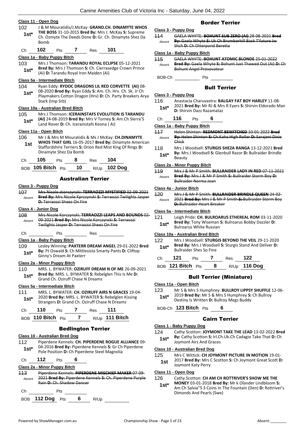#### **Class 11 - Open Dog**

102 J & M Mouratidis/J.McKay: **GRAND.CH. DINAMYTE WHOS THE BOSS** 31-10-2015 **Bred By:** Mrs J. McKay **S:** Supreme Ch. Ozmyte The Deeds Done **D:** Gr. Ch. Dinamyte Shez Da Bomb **1st\***

Ch **102** Pts **7** Res **101**

#### **Class 1a - Baby Puppy Bitch**

103 Mrs J Thomson: **TARANDU ROYAL ECLIPSE** 05-12-2021 **Bred By:** Mrs J Thomson **S:** Ch. Cierrasedge Crown Prince **1st\*** Bred By: Mrs J Thomson S: Ch. Cierras<br>(Ai) D: Tarandu Royal Iron Maiden (Ai)

#### **Class 5a - Intermediate Bitch**

- 104 Ryan Eddy: **RYDOC DRAGONS LIL RED CORVETTE (AI)** 08-
	- 08-2020 **Bred By:** Ryan Eddy **S:** Am. Ch. Hrv. Ch. Sk. Jr Ch Playmakers Cotton Dragon (Hrv) **D:** Ch. Party Breakers Arya Stark (Imp Srb) **1st\***

### **Class 10a - Australian Bred Bitch**

105 Mrs J Thomson: **ICERAINSTAFS EVOLUTION IS TARANDU (AI)** 24-08-2019 **Bred By:** Mrs V Torney **S:** Am.Ch Sierra'S **1st\*** (Al) 24-08-2019 Bred By: Mrs V Torney S:<br>Land Rover D: Ch. Icerainstafs Keona (Ai)

### **Class 11a - Open Bitch**

106 Mr J & Mrs M Mouratidis & Ms J McKay: **CH.DINAMYTE WHOS THAT GIRL** 16-05-2017 **Bred By:** Dinamyte American Staffordshire Terriers **S:** Orion Red Mist King Of Rings **D:**  Dinamyte Shez Da Bomb **1st**

| Ch | 105                  | Pts | - 8  | Res | 104                 |
|----|----------------------|-----|------|-----|---------------------|
|    | BOB 105 Bitch $P$ ts |     | - 10 |     | R/Up <b>102 Dog</b> |

### Australian Terrier

#### **Class 3 - Puppy Dog**

107 Mrs Nicole zkorczynski: **TERRAOZZI MYSTIFIED** 02-09-2021 **Bred By:** Mrs Nicole Kprczynski **S:** Terraozzi Twilights Jasper **D:** Terraozzi Sheez On Fire Absent

#### **Class 4 - Junior Dog**

108 Mrs Nicole Korczynski: **TERRAOZZI LEAPS AND BOUNDS** 02- 09-2021 **Bred By:** Mrs Nicole Korczynski **S:** Terraozzi Twilights Jasper **D:** Terraozzi Sheez On Fire Absent

### Ch Pts Res

- **Class 1a - Baby Puppy Bitch**
- 109 Lesley Winning: **PAXTERR DREAM ANGEL** 29-01-2022 **Bred By:** PJ Oswald **S:** Ch Mittlesista Smarty Pants **D:** Cliftop **1st<sup>\*</sup> By:** PJ Oswald **S:** Ch Mittle<br>Ginny's Dream At Paxterr

#### **Class 2a - Minor Puppy Bitch**

110 MRS. L. BYWATER: **OZIRUFF DREAM N OF ME** 26-09-2021 **Bred By:** MRS. L. BYWATER **S:** Rebelglen This Is Me **D: 1st\* Brea By:** MRS. L. BYWATER **5:** Repeated by: MRS. L. BYWATER **5:** Repeated by: **158.** 

#### **Class 5a - Intermediate Bitch**

111 MRS. L. BYWATER: **CH. OZIRUFF AIRS N GRACES** 19-04- 2020 **Bred By:** MRS. L. BYWATER **S:** Rebelglen Kissing **1st** 2020 Bred By: MRS. L. BYWATER S: Rebelgien K<br>Strangers D: Grand Ch. Oziruff Chase N Dreams

| Ch. | 110                   | <b>Pts</b> | Res | 111            |
|-----|-----------------------|------------|-----|----------------|
|     | $ROB$ 110 Bitch $Pts$ |            |     | R/Up 111 Bitch |

### Bedlington Terrier

### **Class 10 - Australian Bred Dog**

- 112 Piperdene Kennels: **CH. PIPERDENE ROGUE ALLIANCE** 09- 04-2016 **Bred By:** Piperdene Kennels **S:** Gr Ch Piperdene Pole Position **D:** Ch Piperdene Steel Magnolia **1st\***
- 

# Ch **112** Pts **6**

### **Class 2a - Minor Puppy Bitch**

113 Piperdene Kennels: **PIPERDENE MISCHIEF MAKER** 07-09- 2021 **Bred By:** Piperdene Kennels **S:** Ch. Piperdene Purple Rain **D:** Ch. Shadow Dancer Absent



### Border Terrier

### **Class 3 - Puppy Dog**

114 GAELA WHYTE: **BOHUNT SUB ZERO (AI)** 28-08-2021 **Bred By:** Gaela Whyte **S:** Uk Ch Brumberhill Back T'future Jw Shch **D:** Ch Otterpond Beretta Absent

### **Class 1a - Baby Puppy Bitch**

115 GAELA WHYTE: **BOHUNT ATOMIC BLONDE** 25-01-2022 **Bred By:** Gaela Whyte **S:** Bohunt Just Thawed Out (Ai) **D:** Ch Bohunt Angel Provovateur Absent

BOB-Ch Pts

### Bull Terrier

### **Class 3 - Puppy Dog**

| 116    | Anastacia Charuvastra: BALGAY FAT BOY HARLEY 11-08-       |
|--------|-----------------------------------------------------------|
| $1st*$ | 2021 Bred By: Mr RJ & Mrs R Eyers S: Shirvin Eldorado Man |
|        | <b>D:</b> Shirvin Dazz Razamataz                          |

### Ch **116** Pts **6**

**Class 1a - Baby Puppy Bitch**

- 117 Helen Shinton: **REDMONT BEWITCHED** 10-01-2022 **Bred By:** Helen Shinton **S:** Ch.Kaha High Roller **D:** Sarajeni Dixie Chick Absent
- 118 Mrs J Woodsell: **STURGIS SHEZA RANGA** 13-12-2021 **Bred By:** Mrs J Woodsell **S:** Glenbull Razor **D:** Bullraider Brindle **1st<sup>\*</sup> By:** Mr

#### **Class 2a - Minor Puppy Bitch**

119 Mrs J & Mr P Smith: **BULLRAIDER LADY IN RED** 07-11-2021 **Bred By:** Mrs J & Mr P Smith **S:** Bullraider Storm Boy **D:**  Bullraider Norma Jean Absent

### **Class 4a - Junior Bitch**

| 120    | Mrs J & Mr P Smith: BULLRAIDER BRINDLE QUEEN 24-02-      |
|--------|----------------------------------------------------------|
| Absent | 2021 Bred By: Mrs J & Mr P Smith S: Bullraider Storm Boy |
|        | <b>D: Bullraider Heart Breaker</b>                       |

### **Class 5a - Intermediate Bitch**

| 121    | Leigh Pride: CH. BULROARUS ETHEREAL ROM 03-11-2020         |
|--------|------------------------------------------------------------|
| $1st*$ | <b>Bred By: Tony Wiseman S: Bulroarus Bobby Dazzler D:</b> |
|        | <b>Bulroarus White Russian</b>                             |

### **Class 10a - Australian Bred Bitch**

| 122    | Mrs J Woodsell: STURGIS BEYOND THE VEIL 29-11-2020                                               |
|--------|--------------------------------------------------------------------------------------------------|
| $1st*$ | <b>Bred By:</b> Mrs J Woodsell S: Sturgis Stand And Deliver D:<br><b>Bullraider Shes So Fine</b> |

Ch **121** Pts **7** Res **122** BOB **121 Bitch** Pts **8** R/Up **116 Dog**

### Bull Terrier (Miniature)

- **Class 11a - Open Bitch**
- 123 Mr S & Mrs S Humphrey: **BULLROY LIPPSY SHUFFLE** 12-06- 2019 **Bred By:** Mr S & Mrs S Humphrey **S:** Ch Bullroy **1st** 2019 **Bred By:** Mr S & Mrs S Humphrey **5:**<br>Destiny Is Written **D:** Bullroy Megs Buddy
- BOB-Ch **123 Bitch** Pts **6**

### Cairn Terrier

#### **Class 1 - Baby Puppy Dog**

124 Cathy Scotton: **JOYMONT TAKE THE LEAD** 13-02-2022 **Bred By:** Cathy Scotton **S:** Irl.Ch.Uk.Ch Cadagio Take That **D:** Ch **1st<sup>\*</sup> by:** Cathy Scotton **S:** Iri.C<br>Joymont Airs And Graces

#### **Class 10 - Australian Bred Dog**

- 125 Mrs C Wittick: **CH JOYMONT PICTURE IN MOTION** 19-01-
	- 2017 **Bred By:** Mrs C Scotton **S:** Ch Joymont Great Scott **D: 1st** <sup>2017</sup> Brea by: Mrs of Joymont Katy Perry

### **Class 11 - Open Dog**

### 126 Cathy Scotton: **CH AM CH ROTTRIVER'S SHOW ME THE**

**MONEY** 03-01-2018 **Bred By:** Mr k Olander Lindbloom **S:**  Am Ch Salvia"S 3 Coins In The Fountain (Den) **D:** Rottriver's Dimonds And Pearls (Swe) **1st\***

- 
-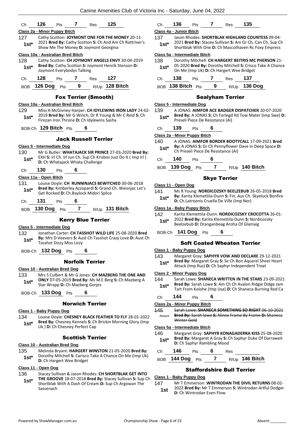

### Norwich Terrier

#### **Class 1 - Baby Puppy Dog**

134 Louise Doyle: **CHESNEY BLACK FEATHER TO FLY** 28-01-2022 **Bred By:** Chesney Kennels **S:** Ch Brickin Morning Glory (Imp **1st\*** Bred By: Chesney Kennels S: Chesney Perfect Cap

#### Scottish Terrier

#### **Class 10 - Australian Bred Dog**

135 Melinda Bryant: **HARGERT WINSTON** 21-05-2020 **Bred By:** Dorothy Mitchell **S:** Carisco Take A Chance On Me (Imp Uk) **1st\*** Discount Multimen St Carisco<br>**1st\* D:** Ch Hargert Wee Bridget

### **Class 11 - Open Dog**

- 136 Stacey Sullivan & Jason Rhodes: **CH SHORTBLAK GET INTO** 
	- **THE GROOVE** 18-07-2018 **Bred By:** Stacey Sullivan **S:** Sup Ch Shortblak With A Dash Of Cream **D:** Sup Ch Argowan The Sassenach **1st\***

### Ch **136** Pts **7** Res **135**

#### **Class 4a - Junior Bitch**

137 Jason Rhodes: **SHORTBLAK HIGHLAND COUNTESS** 09-04- 2021 **Bred By:** Stacey Sullivan **S:** Am Gr Ch, Can Ch, Sup Ch **Shortblak With One D:** Ch Mascothaven Rc Foxy Empress Shortblak With One **D:** Ch Mascothaven Rc Foxy Empress

#### **Class 5a - Intermediate Bitch**

| 138    | Dorothy Mitchell: CH HARGERT BEITRIS MC PHERSON 21-                                                          |
|--------|--------------------------------------------------------------------------------------------------------------|
| $1st*$ | 05-2020 Bred By: Dorothy Mitchell S: Crisco Take A Chance<br>On Me (Imp Uk) <b>D:</b> Ch Hargert Wee Bridget |

| Ch. | 138               | <b>Pts</b> |   | Res | -137         |
|-----|-------------------|------------|---|-----|--------------|
|     | BOB 138 Bitch Pts |            | 9 |     | R/Up 136 Dog |

#### Sealyham Terrier

#### **Class 5 - Intermediate Dog**

139 A JONAS: **AIMFOR ACE BADGER DISPATCHER** 20-07-2020 **Bred By:** A JONAS **S:** Ch Forlegd Xd Tow Mater (Imp Swe) **D: 1st\* Brea By:** A JONAS **5:** Ch Forlega<br>**Preseli Piece De Resistance (Ai)** 

| Сh | 139 | ∽rs |  |
|----|-----|-----|--|
|    |     |     |  |

#### **Class 2a - Minor Puppy Bitch**

140 A JONAS: **AIMFOR BORDER BOOTYCALL** 17-09-2021 **Bred By:** A JONAS **S:** Gr Ch Pennyflower Dave In Deep Space **D: 1st\*** By: A JONAS S: Gr Ch Pennyflower<br>Ch Preseli Piece De Resistance (Ai)

### Ch **140** Pts **6**

BOB **139 Dog** Pts **7** R/Up **140 Bitch**

### Skye Terrier

- 
- 141 Ms R Young: **NORDICOZSKY BEELZEBUB** 26-05-2018 **Bred By:** Karita Klemettila-Dunn **S:** Fin, Aus Ch. Skyeluck Bonfire **1st\*** By: Karita Klemettila-Dunn S: Fin, Aus Ch.<br>D: Ch.Latroonis Cruella De Ville (Imp Nor)

#### **Class 1a - Baby Puppy Bitch**

#### 142 Karita Klemettila-Dunn: **NORDICOZSKY CROCOTTA** 26-01-

- 2022 **Bred By:** Karita Klemettila-Dunn **S:** Nordicozsky **1st**\* 2022 Bred By: Karita Klemettila-Dunn S: Nord<br>Beelzebub D: Dranganbeag Aroha Of Glamaig
- BOB-Ch **141 Dog** Pts **6**

### Soft Coated Wheaten Terrier

#### **Class 1 - Baby Puppy Dog**

143 Margaret Gray: **SAPHYR VOW AND DECLARE** 29-12-2021 **Bred By:** Margaret Gray **S:** Se Ch Bon Aquarel Sheer Heart **1st Bred By:** Margaret Gray S: Se Ch Bon Aquaret Sheep Attack (Imp Rus) **D:** Ch Saphyr Independent Treat

#### **Class 2 - Minor Puppy Dog**

- 144 Sarah Lowe: **SHANECA WRITTEN IN THE STARS** 23-09-2021 **Bred By:** Sarah Lowe **S:** Am Ch Ch Avalon Ridgie Didge Jam
- Tart From Kolohe (Imp Usa) **D:** Ch Shaneca Burning Red Ca **1st\***

### Ch **144** Pts **6**

### **Class 2a - Minor Puppy Bitch**

145 Sarah Lowe: **SHANECA SOMETHING SO RIGHT** 06-10-2021 **Bred By:** Sarah lowe **S:** Alinex Frame By Frame **D:** Shaneca Winter Gold Absent

#### **Class 5a - Intermediate Bitch**

- 146 Margaret Gray: **SAPHYR KONAGADERRA KISS** 25-08-2020
- **Bred By:** Margaret A Gray **S:** Ch Saphyr Duke Of Darraweit **1st\* Digital Brea By:** Margaret A Gray S: **Ch** Saphyr Rambling Mood

Ch **146** Pts **6** Res

BOB **144 Dog** Pts **7** R/Up **146 Bitch**

#### Staffordshire Bull Terrier

#### **Class 1 - Baby Puppy Dog**

- 147 Mr T Emmerson: **WINTRODAN THE DIVIL RETURNS** 08-02-
	- 2022 **Bred By:** Mr T Emmerson **S:** Wintrodan Artful Dodger **1st D:** Ch Wintrodan Even Flow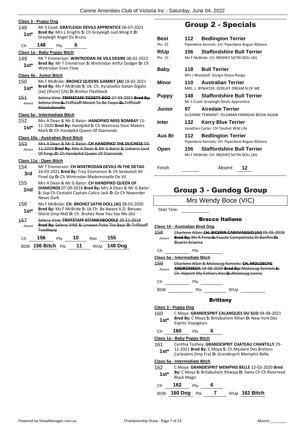### **Class 3 - Puppy Dog** 148 Mr S Coad: **GRAYLEIGH DEVILS APPRENTICE** 06-07-2021 **Bred By:** Mrs L Knights **S:** Ch Grayleigh Just Wing It **D: 1st<sup>\*</sup> Brea By:** Mrs L Knights S:<br>Grayleigh Angel Ov Bruno Ch **148** Pts **6 Class 1a - Baby Puppy Bitch**

| 149    | Mr T Emmerson: WINTRODAN DE VILS DESIRE 08-02-2022                                    |
|--------|---------------------------------------------------------------------------------------|
| $1st*$ | <b>Bred By:</b> Mr T Emmerson S: Wintrodan Artful Dodger D: Ch<br>Wintrodan Even Flow |

### **Class 4a - Junior Bitch**

- 150 Ms F McBride: **BROHEZ QUEENS GAMBIT (AI)** 18-02-2021 **Bred By:** Ms F McBride **S:** Uk. Ch. Kyraloebis Italian Gigalo **1st\*** Brea by: MS F McBride S: UK. Ch. Kyra<br>(Jw) (Shcm) (Uk) **D:** Brohez Flashback 151 Selena Vine: **TRIFFSTAFF TICKETY BOO** 27-03-2021 **Bred By:**
- Selena Vine **S:** Triffstaff Meant To Be Toqui **D:** Triffstaff Kitankaboodle Absent

### **Class 5a - Intermediate Bitch**

| 152    | Mrs A Dean & Mr G Bator: HANDPIKD MISS BOMBAY 15-     |
|--------|-------------------------------------------------------|
| $1st*$ | 11-2020 Bred By: Handpikd S: Ch Westrova Stoic Makers |
|        | Mark D: Ch Handpikd Queen Of Diamonds                 |

#### **Class 10a - Australian Bred Bitch**

153 Mrs A Dean & Mr G Bator: **CH HANDPIKD THE DUCHESS** 03- 11-2019 **Bred By:** Mrs A Dean & Mr G Bator **S:** Usherin Lord Of Kings **D:** Ch Handpikd Queen Of Diamonds Absent

#### **Class 11a - Open Bitch**

- 154 Mr T Emmerson: **CH WINTRODAN DEVILS IN THE DETAIL** 16-03-2021 **Bred By:** Troy Emmerson **S:** Ch Sookalott All **3rd DEPARTMENT SET UP DE CH DE CH DE CH DE CH DEPARTMENT OF DETAIL FIRED UP DE VIL <b>37 OF DETAIL 3** Fired Up **D**: Ch Wintrodan Mademoiselle De Vil 155 Mrs A Dean & Mr G Bator: **CH HANDPIKD QUEEN OF DIAMONDS** 07-09-2016 **Bred By:** Mrs A Dean & Mr G Bator **S:** Sup Ch Costalot Captain Calico Jack **D:** Gr Ch Neworder Never Dark **2nd** 156 Ms F McBride: **CH. BROHEZ SATIN DOLL (AI)** 28-03-2020
- **Bred By:** Ms F McBride **S:** Uk Ch. Be Aware V.D. Betuws **1st\*** Brea By: MS F MCBride S: UK Ch. Be Aware V.D. Bett<br>Glorie (Imp Nld) D: Ch. Brohez Now You See Me (Ai)
- 157 Selena Vine: **TRIFFSTAFF KITANKABOODLE** 20-11-2018 **Bred By:** Selena VINE **S:** Linwest Poke The Bear **D:** Triffstaff **Toodlepip** Absent

| Ch | 156                   | Pts | 10     | Res | 155          |
|----|-----------------------|-----|--------|-----|--------------|
|    | $BOB$ 156 Bitch $Pts$ |     | - 11 - |     | R/Up 148 Dog |

# Group 2 - Specials

| Best         | 112 | <b>Bedlington Terrier</b>                       |
|--------------|-----|-------------------------------------------------|
| Pts: 25      |     | Piperdene Kennels: CH. Piperdene Rogue Alliance |
| <b>R/Up</b>  | 156 | <b>Staffordshire Bull Terrier</b>               |
| Pts: 15      |     | Ms F McBride: CH. BROHEZ SATIN DOLL (AI)        |
| Baby         | 118 | <b>Bull Terrier</b>                             |
|              |     | Mrs J Woodsell: Sturgis Sheza Ranga             |
| Minor        | 110 | <b>Australian Terrier</b>                       |
|              |     | MRS. L. BYWATER: OZIRUFF DREAM N OF ME          |
| <b>Puppy</b> | 148 | <b>Staffordshire Bull Terrier</b>               |
|              |     | Mr S Coad: Grayleigh Devils Apprentice          |
| Junior       | 97  | <b>Airedale Terrier</b>                         |
|              |     | SUZANNE TENNANT: YEI OMAN FINNIGAN BEGIN AGAIN  |
| Inter        | 132 | <b>Kerry Blue Terrier</b>                       |
|              |     | Jonathan Carter: CH Tasshot Wild Life           |
| Aus Br       | 112 | <b>Bedlington Terrier</b>                       |
|              |     | Piperdene Kennels: CH. Piperdene Rogue Alliance |
| Open         | 156 | <b>Staffordshire Bull Terrier</b>               |
|              |     | Ms F McBride: CH. BROHEZ SATIN DOLL (AI)        |
|              |     |                                                 |
|              |     |                                                 |

# Group 3 - Gundog Group

Finish Absent **12**

# Mrs Wendy Boce (VIC)

Start Time:

### Bracco Italiano

**Class 10 - Australian Bred Dog**

158 Charlene Allan: **CH. BICERIN CARAVAGGIO (AI)** 05-05-2019 **Bred By:** Ms R Frew **S:** Fausto Compatriota Di Bonfini **D:**  Bicerin Arianna Absent

### Ch Pts

**Class 5a - Intermediate Bitch**

159 Charlene Allan & Moloscyg Kennels: **CH. MOLOSCYG ANDROMEDA** 19-08-2020 **Bred By:** Moloscyg Kennels **S:**  Ch. Hipoint My Fathers Kiss **D:** Moloscyg Livinia Absent

Ch Pts

BOB Pts R/Up

### **Brittany**

- **Class 3 - Puppy Dog** 160 C Moya: **GRANDESPRIT CALANQUES DU SUD** 04-08-2021 **Bred By:** C Moya **S:** Britabuhom Rihan **D:** New York Des Esprits Voyageurs **1st\*** Ch **160** Pts **6 Class 1a - Baby Puppy Bitch**
- 161 Cynthia Toohey: **GRANDESPRIT CHATEAU CHANTILLY** 29- 12-2021 **Bred By:** C Moya **S:** Ch.Mystere Des Bretons
	- **1st** 12-2021 **Brea by:** C IVIOYA **3:** Chi.Mystere Des Bretoine Carlesiens [Imp Fra] **D:** Grandesprit Memphis Belle

**Class 5a - Intermediate Bitch**

162 C Moya: **GRANDESPRIT MEMPHIS BELLE** 22-03-2020 **Bred By:** C Moya **S:** Britabuhom Khwaja **D:** Swiss Ch Ch Riverreed **1st<sup>\*</sup> Black Magic** 

### Ch **162** Pts **6**

BOB **160 Dog** Pts **7** R/Up **162 Bitch**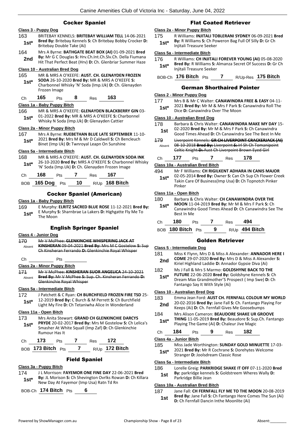### Cocker Spaniel

#### **Class 3 - Puppy Dog**

- 163 BRITEBAY KENNELS: **BRITEBAY WILLIAM TELL** 14-06-2021 **Bred By:** Britebay Kennels **S:** Ch Britebay Bobby Crocker **D: 1st\* Bred By:** Britebay Kennels<br>Britebay Double Take (Ai)
- 164 Mrs A Byrne: **BATHGATE BEAT BOX (AI)** 01-09-2021 **Bred By:** Mr G C Douglas **S:** Hrv.Ch.Int.Ch.Slv.Ch. Della Fiumana 2nd By: Mr G C Douglas S: Hrv.Ch.Int.Ch.Slv.Ch. Della Flumana<br>Hit That Perfect Beat (Hrv) **D**: Ch. Glenbriar Summer Haze

#### **Class 10 - Australian Bred Dog**

165 MR & MRS A O'KEEFE: **AUST. CH. GLENAYDEN FROZEN SODA** 26-10-2020 **Bred By:** MR & MRS A O'KEEFE **S:**  Charbonnel Whisky 'N' Soda (Imp.Uk) **D:** Ch. Glenayden Frozen Image **1st\***

### Ch **165** Pts **8** Res **163**

### **Class 1a - Baby Puppy Bitch**

166 MR & MRS A O'KEEFE: **GLENAYDEN BLACKBERRY GIN** 03- 01-2022 **Bred By:** MR & MRS A O'KEEFE **S:** Charbonnel **1st**\* UL-2022 **Bred By:** MR & MRS A O'KEEFE **5:** Change Missky N Soda (Imp.Uk) **D:** Glenayden Cattier

#### **Class 2a - Minor Puppy Bitch**

167 Mrs A Byrne: **RUEBETHAN BLUE LATE SEPTEMBER** 11-10- 2021 **Bred By:** Mrs M & Mr D Caldwell **S:** Ch Bencleuch **1st** 2021 **Bred By:** Mrs M & Mr D Caldwell S: Ch Be Binet (Imp Uk) **D**: Twnroyal Leapn On Sunshine

### **Class 5a - Intermediate Bitch**

| 168    | MR & MRS A O'KEEFE: AUST. CH. GLENAYDEN SODA INK                                                          |
|--------|-----------------------------------------------------------------------------------------------------------|
| $1st*$ | 26-10-2020 Bred By: MRS A O'KEEFE S: Charbonnel Whisky<br>'N' Soda (Imp.Uk) D: Ch. Glenayden Frozen Image |
|        |                                                                                                           |

| 68 | ίS. |  | 67 |
|----|-----|--|----|
|    |     |  |    |

BOB **165 Dog** Pts **10** R/Up **168 Bitch**

### Cocker Spaniel (American)

#### **Class 1a - Baby Puppy Bitch**

169 E Murphy: **ELRITZ SACRED BLUE ROSE** 11-12-2021 **Bred By:** E Murphy **S:** Sharnbrae La Lakers **D:** Highgatte Fly Me To **1st**\* **Elitimary**<br>The Moon

### English Springer Spaniel

#### **Class 4 - Junior Dog**

170 Mr V McPhee: **GLENKINCHIE WHISPERING JACK AT KINSHERAN** 09-04-2021 **Bred By:** Mrs M C Gostelow **S:** Sup Ch Kinsheran Ferrando **D:** Glenkinchie Royal Whisper Absent Ch Pts **Class 2a - Minor Puppy Bitch**

171 Mr V McPhee: **KINSHERAN SUOR ANGELICA** 24-10-2021 **Bred By:** Mr V McPhee **S:** Sup. Ch. Kinsheran Ferrando **D:**  Glenkinchie Royal Whisper Absent

### **Class 5a - Intermediate Bitch**

- 172 J Patchett & C Ryan: **CH BURCHFIELD FROZEN FIRE TSD** 25- 12-2019 **Bred By:** C Burch & M Perrett **S:** Ch Burchfield
- **1st**\* 12-2019 **Bred By:** C Burch & M Perrett **S:** Ch Burch Light My Fire **D:** Ch Tetaniwha Alice In Wonderland

### **Class 11a - Open Bitch**

173 Mrs Anita Stewart: **GRAND CH GLENKINCHIE DARCYS PRYDE** 20-02-2017 **Bred By:** Mrs M Gostelow **S:** Ch Lelica's Smasher At White Squall (Imp Zaf) **D:** Ch Glenkinchie Rumour Has It **1st\***

| Ch. | - 173             | <b>Pts</b> | Res <b>172</b> |                  |
|-----|-------------------|------------|----------------|------------------|
|     | BOB 173 Bitch Pts |            |                | $R/Up$ 172 Bitch |

### Field Spaniel

### **Class 3a - Puppy Bitch**

174 J L Morrison: **FAYEMOR ONE FINE DAY** 22-06-2021 **Bred By:** JL Morison **S:** Ch Shevington Ovrlks Rowan **D:** Ch Killara **1st<sup>\*</sup> By:** JL Morison **S:** Ch Shevington Ovriks Row<br>New Day At Fayemor (Imp Usa) Ratn Td Rn

BOB-Ch **174 Bitch** Pts **6**

### Flat Coated Retriever

### **Class 2a - Minor Puppy Bitch**

175 R Williams: **INJITALI TOBLERANI SYDNEY** 06-09-2021 **Bred By:** R Williams **S:** Ch Poweron Bag Full Of Silly **D:** Gr Ch **1st\* By:** R Williams S: Ch Po<br>Injitali Treasure Seeker

### **Class 5a - Intermediate Bitch**

- 176 R Williams: **CH INJITALI FOREVER YOUNG (AI)** 05-08-2020 **Bred By:** R Williams **S:** Almanza Secret Of Success **D:** Gr Ch **1st\*** Bred By: R Williams S: A<br>Injitali Treasure Seeker
- BOB-Ch **176 Bitch** Pts **7** R/Up-Res **175 Bitch**

### German Shorthaired Pointer

#### **Class 2 - Minor Puppy Dog**

- 177 Mrs B & Mr C Walter: **CANAWINDRA FREE & EASY** 04-11-
- 2021 **Bred By:** Mr M & Mrs F Park **S:** Canawindra Roll The **1st**\* **Divided By:** INITIM & INITS F Park **5:**<br>Dice **D:** Canawindra Over The Moon

### **Class 10 - Australian Bred Dog**

- 178 Barbara & Chris Walter: **CANAWINDRA MAKE MY DAY** 15- 02-2020 **Bred By:** Mr M & Mrs F Park **S:** Ch Canawindra **1st** D2-2020 **Bred By:** Mr M & Mrs F Park **S:** Cn Canawindra<br>**1st** Good Times Ahead **D:** Ch Canawindra See The Best In Me
- 179 Liverpoint Kennels: **GR CH LIVERPOINT CRACKERJACK (AI)** 08-10-2018 **Bred By:** Liverpoint **S:** Irl Sh Ch Tomanipoint Celtic Knight **D:** Aust Ch Liverpoint Brown Eyed Girl Absent

## Ch **177** Pts **7** Res **178**

### **Class 10a - Australian Bred Bitch**

- 494 Mr F Williams: **CH RIGILKENT ADHARA IN CANIS MAJOR**
- 02-05-2014 **Bred By:** Owner **S:** Can Ch Sup Ch Flower Creek Takin Care Of Business(Imp Usa) **D:** Ch Topnotch Pinker Pinker **1st\***

### **Class 11a - Open Bitch**

- 180 Barbara & Chris Walter: **CH CANAWINDRA OVER THE MOON** 11-04-2019 **Bred By:** Mr M & Mrs F Park **S:** Ch Canawindra Good Times Ahead **D:** Ch Canawindra See The Best In Me **1st\***
- Ch **180** Pts **7** Res **494**
- BOB **180 Bitch** Pts **9** R/Up **494 Bitch**

### Golden Retriever

#### **Class 5 - Intermediate Dog**

- 181 Miss K Flynn, Mrs D & Miss A Alexander: **ANNADOR HERE I COME** 29-07-2020 **Bred By:** Mrs D & Miss A Alexander **S:**
- 2nd COME 29-07-2020 Brea by: *NITS D & MISS A Alexan*<br>Kiriel Highland Laddie D: Annador Gypsie Diva (Ai)
- 182 Ms J Fall & Mrs S Marmo: **GOLDSHYNE BACK TO THE FUTURE** 22-06-2020 **Bred By:** Goldshyne Kennels **S:** Ch
	- Dream Max Grandmother'S Prospect ( Imp Swe) **D:** Ch Fantango Say It With Style (Ai)

### **Class 10 - Australian Bred Dog**

- 183 Emma Jean Ford: **AUST CH. FERNFALL COLOUR MY WORLD** 20-02-2016 **Bred By:** Jane Fall **S:** Ch. Fantango Playing For
- **2nd** 20-02-2016 **Bred By:** Jane Fall **S:** Ch. Fantango Pland Keeps (Ai) **D:** Ch. Fernfall Gives Me Goosebumps
- 184 Mrs Alison Cameron: **BEAUDORE SHAKE UR GROOVE THING** 11-05-2019 **Bred By:** Beaudore **S:** Sup.Ch. Fantango Playing The Game (Ai) **D:** Chaleur Jive Magic **1st\***

### Ch **184** Pts **9** Res **182 Class 4a - Junior Bitch**

- 185 Miss Jade Worthington: **SUNDAY GOLD MINUETTE** 17-03-
	- 2021 **Bred By:** Mr R Cochrane **S:** Dorehytes Welcome **1st**\* 2021 Bred By: Mr R Cochrane S: Dor<br>Stranger D: Joolsdream Classic Rose

### **Class 5a - Intermediate Bitch**

186 Lorelle Greig: **PARKRIDGE SHAKE IT OFF** 07-11-2020 **Bred By:** parkridge kennels **S:** Goldstreem Wheres Wally **D: 1st By:** parkridge kenner<br>Parkridge Billie Jean

### **Class 10a - Australian Bred Bitch**

187 Jane Fall: **CH FERNFALL FLY ME TO THE MOON** 20-08-2019 **Bred By:** Jane Fall **S:** Ch Fantango Here Comes The Sun (Ai) **1st Died by:** Jane Fall **3:** Ch Fantaligo Here Co.<br>**1st D:** Ch Fernfall Dancin Inthe Moonlite (Ai)

**1st\***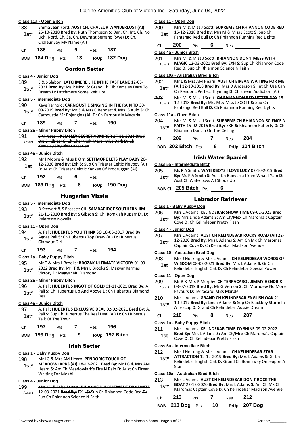|               | Class 11a - Open Bitch   |     |    |                      |                                                                                                                                                                      |  |
|---------------|--------------------------|-----|----|----------------------|----------------------------------------------------------------------------------------------------------------------------------------------------------------------|--|
| 188<br>$1st*$ | Chaleur Say My Name (Ai) |     |    |                      | Emma Jean Ford: AUST CH. CHALEUR WANDERLUST (AI)<br>25-10-2018 Bred By: Ruth Thompson S: Dan. Ch. Int. Ch. No<br>Uch. Nord. Ch. Se. Ch. Dewmist Serrano (Swe) D: Ch. |  |
| Ch            | 186                      | Pts |    | Res                  | 187                                                                                                                                                                  |  |
| BOB           | 184 Dog                  | Pts | 13 | R/U <sub>p</sub>     | 182 Dog                                                                                                                                                              |  |
|               |                          |     |    | <b>Gordon Setter</b> |                                                                                                                                                                      |  |

#### **Class 4 - Junior Dog**

189 E & S Slabon: **LATCHMERE LIFE INTHE FAST LANE** 12-03- 2021 **Bred By:** Ms P Nicol **S:** Grand Ch Cib Kemsley Dare To

**1st\* Dream D:** Latchmere Somelikeit Hot **1st\* Dream D:** Latchmere Somelikeit Hot

### **Class 5 - Intermediate Dog**

190 Kaye Yarnold: **CARNOUSTIE SINGING IN THE RAIN TD** 30- 09-2019 **Bred By:** Mr.S & Mrs C Bennett & Mrs. S Auld **S:** Ch Carnoustie Mr Bojangles (Ai) **D:** Ch Carnoustie Macaria **1st\***

#### Ch **189** Pts **7** Res **190**

#### **Class 2a - Minor Puppy Bitch**

191 S M Natoli: **KEMSLEY SECRET ADMIRER** 27-11-2021 **Bred By:** Exhibitor **S:** Ch Charnnah Marc Inthe Dark **D:** Ch Kemsley Singular Sensation Absent

### **Class 4a - Junior Bitch**

192 Mr J Moore & Miss K Orr: **SETTMORE LETS PLAY BABY** 20- 12-2020 **Bred By:** Exh **S:** Sup Ch Triseter Celtic Playboy (Ai) **181 12-2020 Bred By:** Exh S: Sup Ch Triseter Celtic Playbo<br>**1911** D: Aust Ch Triseter Celctic Yankee Of Brodruggan (Ai)

| 192<br>6<br>Сh<br>Pts<br>Res |
|------------------------------|
|------------------------------|

BOB **189 Dog** Pts **8** R/Up **190 Dog**

#### Hungarian Vizsla

#### **Class 5 - Intermediate Dog**

193 D Stewart & S Bassett: **CH. SAMBARIDGE SOUTHERN JIM** 21-11-2020 **Bred By:** S Gibson **S:** Ch. Romkiah Kuparr Et. **D:**  Pelerosso Novella **1st\***

### **Class 11 - Open Dog**

- 194 A. Pali: **HUBERTUS YOU THINK SO** 18-06-2017 **Bred By:** Agnes Pali **S:** Ch Hubertus Top Draw (Ai) **D:** Hubertus **1st\*** Agnes Pali **S:**<br>Glamour Girl
- Ch **193** Pts **7** Res **194**

#### **Class 1a - Baby Puppy Bitch**

195 Mr T & Mrs L Brooks: **BROZAK ULTIMATE VICTORY** 01-03- 2022 **Bred By:** Mr T & Mrs L Brooks **S:** Magyar Karmas **1st**\* 2022 **Bred By:** Mr 1 & Mrs L Bread **1st** Victory **D:** Magyar Nu Diamond

#### **Class 2a - Minor Puppy Bitch**

196 A. Pali: **HUBERTUS INGOT OF GOLD** 01-11-2021 **Bred By:** A. Pali **S:** Ch Hubertus Up And Above **D:** Ch Hubertus Diamond Deal **1st\***

### **Class 4a - Junior Bitch**

197 A. Pali: **HUBERTUS EXCLUSIVE DEAL** 02-02-2021 **Bred By:** A. Pali **S:** Sup Ch Hubertus The Real Deal (Ai) **D:** Ch Hubertus **1st**\* Pall **5:** Sup Ch Hubm Talk Of The Town

| Ch — | 197                   | <b>Pts</b> | Res 196 |                       |
|------|-----------------------|------------|---------|-----------------------|
|      | BOB $193$ Dog $Pts$ 9 |            |         | R/Up <b>197 Bitch</b> |

#### Irish Setter

#### **Class 1 - Baby Puppy Dog**

- 198 Mr LG & Mrs AM Hearn: **PENDORIC TOUCH OF**
- **MEADOWLARKS (AI)** 18-12-2021 **Bred By:** Mr LG & Mrs AM Hearn **S:** Am Ch Meadowlark's Fire N Rain **D:** Aust Ch Eirean Waiting For Me (Ai) **1st\***

### **Class 4 - Junior Dog**

199 Mrs M & Miss J Scott: **RHIANNON HOMEMADE DYNAMITE** 12-03-2021 **Bred By:** EXH **S:** Sup Ch Rhiannon Code Red **D:**  Sup Ch Rhiannon Science N Faith Absent

#### **Class 11 - Open Dog**

- 200 Mrs M & Miss J Scott: **SUPREME CH RHIANNON CODE RED** 15-12-2018 **Bred By:** Mrs M & Miss J Scott **S:** Sup Ch
	- **1st** 15-12-2018 **Bred By:** Mrs M & Miss J Scott **5:** Sup Cn<br>Fantango Red Bull **D:** Ch Rhiannon Running Red Lights
- Ch **200** Pts **6** Res

### **Class 4a - Junior Bitch**

201 Mrs M & Miss J Scott: **RHIANNON DON'T MESS WITH MAGIC** 12-03-2021 **Bred By:** EXH **S:** Sup Ch Rhiannon Code Red **D:** Sup Ch Rhiannon Science N Faith Absent

#### **Class 10a - Australian Bred Bitch**

- 202 Mr L & Mrs AM Hearn: **AUST CH EIREAN WAITING FOR ME (AI)** 12-10-2018 **Bred By:** Mrs D Anderson **S:** Int Ch Usa Can **1st\*** (AI) 12-10-2018 **Bred By:** Mrs D Anderson **S:** Int Ch Usa Ch Pendoric Perfect Thyming **D:** Ch Eirean Addiction (Ai)
- 203 Mrs M & Miss J Scott: **CH RHIANNON RED LETTER DAY** 15- 12-2018 **Bred By:** Mrs M & Miss J SCOTT **S:** Sup Ch Fantango Red Bull **D:** Ch Rhiannon Running Red Lights Absent

#### **Class 11a - Open Bitch**

204 Mrs M & Miss J Scott: **SUPREME CH RHIANNON SCIENCE N FAITH** 15-02-2016 **Bred By:** EXH **S:** Rhiannon Rafferty **D:** Ch 1st\* **FAITH** 15-02-2016 Bred By: EXH<br>Rhiannon Dancin On The Ceiling

| Ch. | - 202             | <b>Pts</b> | Res | - 204            |
|-----|-------------------|------------|-----|------------------|
|     | BOB 202 Bitch Pts |            |     | $R/Up$ 204 Bitch |

### Irish Water Spaniel

#### **Class 5a - Intermediate Bitch**

- 205 Ms P A Smith: **WATERBOYS I LOVE LUCY** 02-10-2019 **Bred By:** Ms P A Smith **S:** Aust Ch Bunyarra I Yam What I Yam **D: 1st\*** By: Ms P A Smith **5:** Aust Ch Buny<br>Aust Ch Waterboys All Shook Up
- BOB-Ch **205 Bitch** Pts **6**

### Labrador Retriever

#### **Class 1 - Baby Puppy Dog**

- 206 Mrs L Adams: **KELINDEBAR SHOW TIME** 09-02-2022 **Bred** 
	- **By:** Mrs Linda Adams **S:** Am Ch/Mex Ch Maroma's Captain **1st\* Dy:** INTS LING ADDITIES **15th** Cove **D:** Ch Kelindebar Pretty Flash

#### **Class 4 - Junior Dog**

- 207 Mrs L Adams: **AUST CH KELINDEBAR ROCKY ROAD (AI)** 22-
- 12-2020 **Bred By:** Mrs L Adams **S:** Am Ch Mx Ch Maromas Captain Cove **D:** Ch Kelindebar Madison Avenue **1st\***
	-

### **Class 10 - Australian Bred Dog**

- 208 Mrs J Hocking & Mrs L Adams: **CH KELINDEBAR WORDS OF WISDOM** 08-02-2021 **Bred By:** Mrs L Adams **S:** Gr Ch **1st MISDOM** 08-02-2021 **Bred By:** Mrs L Adams **S:** Gr Ch<br>Kelindebar English Oak **D:** Ch Kelindebar Special Power
	-

#### **Class 11 - Open Dog**

- 209 Mr R & Mrs P Murphy: **CH TERRACAROL JIMMY HENDRIX** 08-07-2019 **Bred By:** Mr G Vernon **S:** Ch Morndew No More Absent
- Favours **D:** Terracarol Miss Marple 210 Mrs L Adams: **GRAND CH KELINDEBAR ENGLISH OAK** 21-
- 10-2017 **Bred By:** Linda Adams **S:** Sup Ch Blackboy Storm In **1st** <sup>10-2017</sup> **Bred By:** Linda Adams **S:** Sup Ch Blackb<br>**1st\* A Teacup D:** Grand Ch Kelindebar Aussie Dream
- Ch **210** Pts **8** Res **207**

#### **Class 1a - Baby Puppy Bitch**

- 211 Mrs L Adams: **KELINDEBAR TIME TO SHINE** 09-02-2022
- **Bred By:** Mrs L Adams **S:** Am Ch/Mex Ch Maroma's Captain **1st Brea by:** INTS L Adams **5:** Am Ch/Me<br>Cove **D:** Ch Kelindebar Pretty Flash

#### **Class 5a - Intermediate Bitch**

- 212 Mrs J Hocking & Mrs L Adams: **CH KELINDEBAR STAR**
- **ATTRACTION** 12-12-2019 **Bred By:** Mrs L Adams **S:** Gr Ch
- Kelindebar English Oak **D:** Grand Ch Bonnsway Onceupon A Star **1st\***

#### **Class 10a - Australian Bred Bitch**

213 Mrs L Adams: **AUST CH KELINDEBAR DON'T ROCK THE** 

**BOAT** 22-12-2020 **Bred By:** Mrs L Adams **S:** Am Ch Mx Ch Maromas Captain Cove **D:** Ch Kelindebar Madison Avenue **1st\***

| Ch 213 Pts 7 Res 212 |  |                                 |
|----------------------|--|---------------------------------|
|                      |  | BOB 210 Dog Pts 10 R/Up 207 Dog |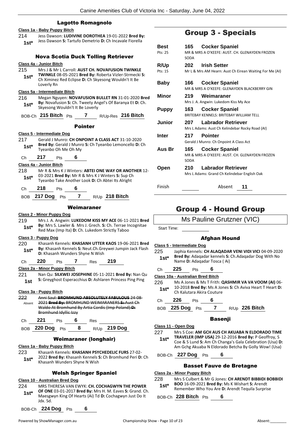### Lagotto Romagnolo

### **Class 1a - Baby Puppy Bitch** 214 Jess Dawson: **LUDIVINE DOROTHEA** 19-01-2022 **Bred By:** Jess Dawson **S:** Tartufo Demetrio **D:** Ch Incavale Fiorella **1st\*** Nova Scotia Duck Tolling Retriever **Class 4a - Junior Bitch** 215 Mrs J & Mr L Carroll: **AUST CH. NOVAFUSION TWINKLE TWINKLE** 08-05-2021 **Bred By:** Roberta Vizler-Strmecki **S:**  Ch Ximinez Red Eclipse **D:** Ch Skyesong Wouldn't It Be Loverly Rn **1st\* Class 5a - Intermediate Bitch** 216 Megan Nguyen: **NOVAFUSION BULLET RN** 31-01-2020 **Bred By:** Novafusion **S:** Ch. Tweety Angel's Of Baranya Et **D:** Ch. **1st<sup>\*</sup> by:** Novalusion **5:** Cn. Tweety Are<br>Skyesong Wouldn't It Be Loverly BOB-Ch **215 Bitch** Pts **7** R/Up-Res **216 Bitch** Pointer **Class 5 - Intermediate Dog** 217 Gerald J Munro: **CH ONPOINT A CLASS ACT** 31-10-2020 **Bred By:** Gerald J Munro **S:** Ch Tyeanbo Lemoncello **D:** Ch **1st<sup>\*</sup>** Bred By: Gerald J Munr<br>Tyeanbo Oh Me Oh My Ch **217** Pts **6 Class 4a - Junior Bitch** 218 Mr R & Mrs K J Winters: **ABTEI ONE WAY OR ANOTHER** 12- 03-2021 **Bred By:** Mr R & Mrs K J Winters **S:** Sup Ch Tyeanbo Take Another Look **D:** Ch Abtei Its Alright **1st\*** Ch **218** Pts **6** BOB **217 Dog** Pts **7** R/Up **218 Bitch** Weimaraner **Class 2 - Minor Puppy Dog** 219 Mrs J. A. Angwin: **LUKEDOM KISS MY ACE** 06-11-2021 **Bred By:** Mrs S. Lawler & Mrs J. Grech. **S:** Ch. Terrae Incognitae **1st\* by:** IVITE S. Lawler & MITS J. Grech. **S:** Ch. Terrae In Red Max (Imp Ita) **D:** Ch. Lukedom Strictly Taboo **Class 3 - Puppy Dog** 220 Khasanh Kennels: **KHASANH UTTER KAOS** 19-06-2021 **Bred By:** Khasanh Kennels **S:** Neut.Ch.Greywei Jumpin Jack Flash **1st\*** By: Khasanh Kennels S: Neut.Ch.Greenberry D: Khasanh Wunders Shyne N Wish Ch **220** Pts **7** Res **219 Class 2a - Minor Puppy Bitch** 221 Nan Qu: **SILKWEI JOSEPHINE** 05-11-2021 **Bred By:** Nan Qu **S:** Greyghost Esperacchius **D:** Ashlaren Princess Ping Ping **1st Class 3a - Puppy Bitch** 222 Anni Saul: **BROMHUND ABSOLUTELY FABULOUS** 24-08- 2021 **Bred By:** BROMHUND WEIMARANERS **S:** Aust Ch Waldo At Bromhund By Artia Cordis (Imp Poland) **D:**  Bromhund Idyllic Izzy Absent Ch **221** Pts **6** Res BOB **220 Dog** Pts **8** R/Up **219 Dog**

### Weimaraner (longhair)

#### **Class 1a - Baby Puppy Bitch**

- 223 Khasanh Kennels: **KHASANH PSYCHEDELIC FURS** 27-02- 2022 **Bred By:** Khasanh Kennels **S:** Ch Bromhund Peri **D:** Ch
	- 1st<sup>\*</sup> 2022 **brea by:** Khasanh Wunders Shyne N Wish

### Welsh Springer Spaniel

### **Class 10 - Australian Bred Dog**

- 224 MRS THERESA VAN EWYK: **CH. COCHAGWYN THE POWER OF ONE** 03-01-2017 **Bred By:** Mrs H. M. Eaves **S:** Grand. Ch. Maesgwyn King Of Hearts (Ai) Td **D:** Cochagwyn Just Do It Jdx. Sd. **1st\***
- BOB-Ch **224 Dog** Pts **6**

# Group 3 - Specials

| <b>Best</b>  | <b>Cocker Spaniel</b><br>165                            |
|--------------|---------------------------------------------------------|
| Pts: 25      | MR & MRS A O'KEFFE: AUST. CH. GLENAYDEN FROZEN<br>SODA  |
| R/Up         | <b>Irish Setter</b><br>202                              |
| Pts: 15      | Mr L & Mrs AM Hearn: Aust Ch Eirean Waiting For Me (AI) |
| Baby         | <b>Cocker Spaniel</b><br>166 -                          |
|              | MR & MRS A O'KEEFE: GLENAYDEN BLACKBERRY GIN            |
| Minor        | 219.<br>Weimaraner                                      |
|              | Mrs J. A. Angwin: Lukedom Kiss My Ace                   |
| <b>Puppy</b> | <b>Cocker Spaniel</b><br>163                            |
|              | BRITEBAY KENNELS: BRITEBAY WILLIAM TELL                 |
| Junior       | <b>Labrador Retriever</b><br>207                        |
|              | Mrs L Adams: Aust Ch Kelindebar Rocky Road (AI)         |
| Inter        | <b>Pointer</b><br>217                                   |
|              | Gerald J Munro: Ch Onpoint A Class Act                  |
| Aus Br       | <b>Cocker Spaniel</b><br>165                            |
|              | MR & MRS A O'KFFFF: AUST. CH. GLENAYDEN FROZEN          |
|              | SODA                                                    |
| Open         | <b>Labrador Retriever</b><br>210                        |
|              | Mrs L Adams: Grand Ch Kelindebar English Oak            |
|              |                                                         |
| Finish       | Absent<br>11                                            |
|              |                                                         |
|              |                                                         |

# Group 4 - Hound Group

Ms Pauline Grutzner (VIC)

Start Time:

### Afghan Hound

#### **Class 5 - Intermediate Dog**

225 Japhia Kennels: **CH ALAQADAR VENI VIDI VICI** 04-09-2020 **Bred By:** Adaqadar kennels **S:** Ch.Adaqadar Dog With No **1st\* Bred By:** Adaqadar kennels **S:**<br>Name **D:** Adaqadar Tosca ( Ai)

- Ch **225** Pts **6**
- **Class 10a - Australian Bred Bitch**
- 226 Ms A Jones & Ms T Frith: **QASHMIR VA VA VOOM (AI)** 06- 10-2018 **Bred By:** Ms A Jones **S:** Ch Aviva Heart T Heart **D: 1st\* 10-2018 Bred By:** MS A JO<br>Ch Kalutara Akira Couture

Ch **226** Pts **6**

BOB **225 Dog** Pts **7** R/Up **226 Bitch**

### Basenji

**Class 11 - Open Dog**

227 Mrs S Coe: **AM GCH AUS CH AKUABA N ELDORADO TIME TRAVELER (IMP USA)** 29-12-2016 **Bred By:** P Geoffroy, S Coe & S Lund **S:** Am Ch Changa's Gala Celebration (Usa) **D:**  Am Gchg Akuaba N Eldorado Betcha By Golly Wow! (Usa) **1st\***

BOB-Ch **227 Dog** Pts **6**

### Basset Fauve de Bretagne

#### **Class 2a - Minor Puppy Bitch**

### 228 Mrs S Culbert & Mr G Jones: **CH ARENDT BIBBIDI BOBBIDI**

**BOO** 16-09-2021 **Bred By:** Ms K Wishart **S:** Arendt Remember Who You Are **D:** Arendt Tequila Surprise **1st\***

BOB-Ch **228 Bitch** Pts **6**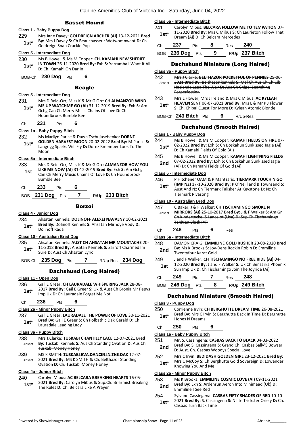### Basset Hound

### **Class 1 - Baby Puppy Dog**

229 Mrs Jane Davey: **GOLDREIGN ARCHER (AI)** 13-12-2021 **Bred By:** Mrs J Davey **S:** Ch Beauchasseur Wotwomnwant **D:** Ch **1st\* by:** Wirs J Davey **5:** Ch Beaud<br>Goldreign Snap Crackle Pop

#### **Class 5 - Intermediate Dog**

- 230 Ms B Howell & Ms M Cooper: **CH. KAMAHI NEW SHERIFF IN TOWN** 26-11-2020 **Bred By:** Exh **S:** Yarramba I Want It All **1st<sup>\*</sup> IN IOWN 26-11-2020 Br**<br>**D:** Ch. Kamahi Oh Darlin
- BOB-Ch **230 Dog** Pts **6**

#### **Beagle**

### **Class 5 - Intermediate Dog**

231 Mrs D Reid-Orr, Miss K & Mr G Orr: **CH ALMANZOR WIND ME UP WATCHME GO (AI)** 31-12-2019 **Bred By:** Exh **S:** Am Gchg Can Ch Merry Music Chains Of Love **D:** Ch Houndbrook Bumble Bee **1st\***

Ch **231** Pts **6**

#### **Class 1a - Baby Puppy Bitch**

232 Ms Marilyn Parise & Dawn Tschujasehenko: **DORNZ** 

**GOLDEN HARVEST MOON** 20-02-2022 **Bred By:** M Parise **S:**  Langrigg Sparks Will Fly **D:** Dornz Rmember Look To The Moon **1st\***

#### **Class 5a - Intermediate Bitch**

- 233 Mrs D Reid-Orr, Miss K & Mr G Orr: **ALMANZOR HOW YOU LIKE ME NOW (AI)** 31-12-2019 **Bred By:** Exh **S:** Am Gchg **1st**
	- Can Ch Merry Music Chains Of Love **D:** Ch Houndbrook Bumble Bee
- Ch **233** Pts **6**

BOB **231 Dog** Pts **7** R/Up **233 Bitch**

#### Borzoi

#### **Class 4 - Junior Dog**

234 Ahsatan Kennels: **DOLINOFF ALEXEI NAVALNY** 10-02-2021 **Bred By:** Dolinoff Kennels **S:** Ahsatan Mirnoye Vody **D: 1st\* Brea By: Dollin**<br>Dolinoff Rada

#### **Class 10 - Australian Bred Dog**

- 235 Ahsatan Kennels: **AUST CH AHSATAN MR MOUSTACHE** 20- 11-2018 **Bred By:** Ahsatan Kennels **S:** Zarroff Charmed Im
- **1st**\* **11-2018 Brea By:** Ansatan Kei<br>Sure **D:** Aust Ch Ahsatan Lyric

BOB-Ch **235 Dog** Pts **7** R/Up-Res **234 Dog**

### Dachshund (Long Haired)

#### **Class 11 - Open Dog**

236 Gail E Greer: **CH LAURADALE WHISPERING JACK** 28-08- 2017 **Bred By:** Gail E Greer **S:** Uk & Aust Ch Bronia Mr Pepys **1st** 2017 **Bred By:** Gall E Greef **5:** OK & Aus<br>Imp Uk **D:** Ch Lauradale Forget Me Not

### Ch **236** Pts **6**

#### **Class 2a - Minor Puppy Bitch**

237 Gail E Greer: **LAURADALE THE POWER OF LOVE** 30-11-2021 **Bred By:** Gail E Greer **S:** Ch Polbathic Dak Gerald **D:** Ch **1st\*** Bred By: Gall E Greer S:<br>Lauradale Leading Lady

#### **Class 3a - Puppy Bitch**

- 238 Mrs.J.Clarke: **TUSKABI CHANTILLY LACE** 12-07-2021 **Bred By:** Tuskabi kennels **S:** Aus Ch Standing Ovation **D:** Aus Ch Tuskabi Money Honey Absent
- 239 MS K SMITH: **TUSKABI EVA DANCIN IN THE DAK** 12-07- 2021 **Bred By:** MS K SMITH **S:** Ch. Belthazor Standing Ovation **D:** Ch. Tuskabi Money Honey Absent

### **Class 4a - Junior Bitch**

#### 240 Carolyn Mibus: **AC BELCARA BREAKING HEARTS** 16-05-

2021 **Bred By:** Carolyn Mibus **S:** Sup.Ch. Briarmist Breaking **1st**\* 2021 **Bred By:** Carolyn Mibus **5:** Sup.C<br>The Rules **D:** Ch. Belcara Like A Prayer

#### **Class 5a - Intermediate Bitch**

241 Carolyn Mibus: **BELCARA FOLLOW ME TO TEMPATION** 07- 11-2020 **Bred By:** Mrs C Mibus **S:** Ch Laurieton Follow That **1st**\* **Dream (Ai) <b>D:** Ch Belcara Mercedes

| Ch 237          | $P$ ts 8 | Res 240 |                  |
|-----------------|----------|---------|------------------|
| BOB 236 Dog Pts | - 9      |         | $R/Up$ 237 Bitch |

### Dachshund Miniature (Long Haired)

#### **Class 3a - Puppy Bitch**

| 242<br>Absent | Mrs J Clarke: BELTHAZOR POCKETFUL OF PENNIES 25-06-<br>2021 Bred By: Belthazor kennels S: Mal Ch Aus Ch Ch Cib<br>Hacienda Lead The Way D: Aus Ch Chipal Searching<br>Forperfection |
|---------------|-------------------------------------------------------------------------------------------------------------------------------------------------------------------------------------|
| 243           | Mrs L Flower, Mrs J Ireland & Mrs C Mibus: AC KYLEAH                                                                                                                                |
| $1$ ct*       | HEAVEN SENT 06-07-2021 Bred By: Mrs L & Mr P J Flower                                                                                                                               |

**S:** Ch. Chipal Quest For More **D:** Kyleah Atomic Blonde

### BOB-Ch **243 Bitch** Pts **6** R/Up-Res

### Dachshund (Smooth Haired)

#### **Class 1 - Baby Puppy Dog**

- 244 Ms B Howell & Ms M Cooper: **KAMAHI FIELDS ON FIRE** 07-
- 02-2022 **Bred By:** Exh **S:** Ch Boskahun Sunkissed Jagie (Ai) **1st**\* UZ-2022 **bred by:** EXIL**S:** Ch BOSK<br>**D:** Ch Kamahi Fields Of Gold (Ai)
- 245 Ms B Howell & Ms M Cooper: **KAMAHI LIGHTNING FIELDS**
- 07-02-2022 **Bred By:** Exh **S:** Ch Boskahun Sunkissed Jagie **2nd** 07-02-2022 **brea by:** EXIT **3:** CH BOSKa<br>(Ai) **D:** Ch Kamahi Fields Of Gold (Ai)

#### **Class 5 - Intermediate Dog**

246 P Hitchener OAM & P Mantzaris: **TIERMARK TOUCH N GO (IMP NZ)** 17-10-2020 **Bred By:** P O'Neill and B Townsend **S:**  Aust And Nz Ch Tiermark Talisker At Keystone **D:** Nz Ch Tiermark Rivasong **1st\***

#### **Class 10 - Australian Bred Dog**

| 247    |     |                            | C Baker, J & F Walker: CH TISCHAMINGO SMOKE N                     |  |
|--------|-----|----------------------------|-------------------------------------------------------------------|--|
| Ahsent |     |                            | <b>MIRRORS (AI) 25-10-2017 Bred By: J &amp; F Walker S: Am Gr</b> |  |
|        |     |                            | Ch Kinderteckel'S Lancelot (Usa) D: Sup Ch Tischamingo            |  |
|        |     | <b>Tahitian Black (Ai)</b> |                                                                   |  |
|        | 246 | াৎ                         | Res                                                               |  |

**Class 5a - Intermediate Bitch**

| 248 | DAMON CRAIG: EMMILINE GOLD RUSHER 20-08-2020 Bred                             |
|-----|-------------------------------------------------------------------------------|
| 2nd | By: Ms K Brooks S: Joy-Dens Rockin Robin D: Emmiline<br>Twentyfour Karat Gold |
| 249 | J and F Walker: CH TISCHAMINGO NO FREE RIDE (AI) 04-                          |

12-2020 **Bred By:** J and F Walker **S:** Uk Ch Bensarka Phoenix **1St** 12-2020 **Bred By:** J and F Walker **S:** Uk Ch Bensarka<br>Sun Imp Uk **D:** Ch Tischamingo Join The Joyride (Ai)

| C <sub>h</sub> | - 249 | <b>Pts</b> | Res | 248                              |
|----------------|-------|------------|-----|----------------------------------|
|                |       |            |     | BOB 246 Dog Pts 8 R/Up 249 Bitch |

### Dachshund Miniature (Smooth Haired)

### **Class 3 - Puppy Dog**

250 Corrienne Irvin: **CH BERGHUTTE DREAM TIME** 26-08-2021 **Bred By:** Mrs C Irvin **S:** Berghutte Back In Time **D:** Berghutte **1st<sup>\*</sup>** Bred By: Mrs C II<br>Hopes N Dreams

### Ch **250** Pts **6**

#### **Class 1a - Baby Puppy Bitch**

#### 251 Mr. S. Cassingena: **CASBAS BACK TO BLACK** 04-03-2022 **Bred By:** S. Cassingena **S:** Grand Ch. Casbas Sally'S Bowser **2nd Died by:** 3. Cassingena **3:** Grand Cn. Casb<br>**D:** Aust. Ch. Casbas Woodys Special Love

- 252 Mrs C Irvin: **BEDIDASH GOLDEN GIRL** 23-12-2021 **Bred By:**
- Mrs C McCoy **S:** Ch Berghutte Gold Sovereign **D:** Lowender **1st**\* **Knowing You And Me 1st**\* **Knowing You And Me**

### **Class 2a - Minor Puppy Bitch**

- 253 Ms K Brooks: **EMMILINE COSMIC LOVE (AI)** 09-11-2021 **Bred By:** Exh **S:** Ardenrun Aeron Into Minimead (Uk) **D: 2nd Brea By:** EXN **5:** Ard<br>**Emmiline I See Red**
- 254 Sylvano Cassingena: **CASBAS FIFTY SHADES OF RED** 10-10- 2021 **Bred By:** S. Cassingena **S:** Nilite Trickster Oriely **D:** Ch. 1st<sup>\*</sup> 2021 Bred By: S. Cassin<br>Casbas Turn Back Time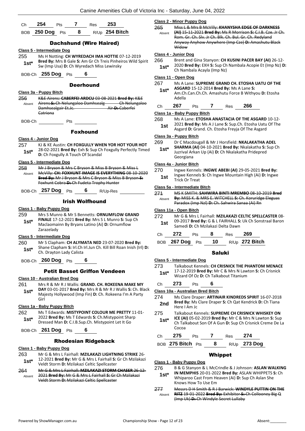| Ch 254 Pts 7 Res 253 |  |                                  |
|----------------------|--|----------------------------------|
|                      |  | BOB 250 Dog Pts 8 R/Up 254 Bitch |

### Dachshund (Wire Haired)

#### **Class 5 - Intermediate Dog**

- 255 Ms H Notting: **CH WYREDACH IMA HOTTIE** 07-12-2019 **Bred By:** Mrs B Gale **S:** Am Gr Ch Treis Pinheiros Wild Spirit Sw (Imp Usa) **D:** Ch Wyredach Miss Lewinsky **1st\***
- BOB-Ch **255 Dog** Pts **6**

#### **Deerhound**

#### **Class 3a - Puppy Bitch**

- 256 K&E Airens: **CABERFEI ARDCU** 03-08-2021 **Bred By:** K&E Airens **S:** Ch Nelungaloo Damhsealg Ch Nelungaloo **Damhsealgair Et.Jc.** Catriona Absent
- BOB-Ch Pts

### Foxhound

#### **Class 4 - Junior Dog**

257 KJ & KE Austin: **CH FOXGULLY WHEN YOR HOT YOUR HOT** 28-02-2021 **Bred By:** Exh **S:** Sup Ch Foxgully Perfectly Timed **1st**\* **Department Control Control of Scandal Direct D:** Ch Foxgully A Touch Of Scandal

#### **Class 5 - Intermediate Dog**

258 Mr J Bryson & Mrs C Bryson & Miss B Bryson & Miss L McVilly: **CH: FOXHUNT IMAGE IS EVERYTHING** 08-10-2020 **Bred By:** Mr J Bryson & Mrs C Bryson & Miss B Bryson **S:**  Foxhunt Cobra **D:** Ch Fudeta Trophy Hunter Absent

#### BOB-Ch **257 Dog** Pts **6** R/Up-Res

### Irish Wolfhound

#### **Class 1 - Baby Puppy Dog**

259 Mrs S Munro & Mr S Bennetts: **ORNUMFLOW GRAND FINALE** 17-12-2021 **Bred By:** Mrs S L Munro **S:** Sup Ch Maclaomainn By Bryans Latino (Ai) **D:** Ornumflow Zarazelady **1st\***

#### **Class 5 - Intermediate Dog**

- 260 Mr S Clapham: **CH ALYMATA NED** 23-07-2020 **Bred By:** Shane Clapham **S:** Irl.Ch Irl.Jun Ch. Kill Bill Roan Inish (Irl) **D:**  Ch. Drayton Lady Calista **1st\***
- BOB-Ch **260 Dog** Pts **6**

### Petit Basset Griffon Vendeen

### **Class 10 - Australian Bred Dog**

261 Mrs R & Mr R J Wallis: **GRAND. CH. ROKEENA MAKE MY DAY** 03-01-2017 **Bred By:** Mrs R & Mr R J Wallis **S:** Ch. Black Majesty Hollywood (Imp Fin) **D:** Ch. Rokeena I'm A Party Girl **1st\***

#### **Class 1a - Baby Puppy Bitch**

262 Ms T Edwards: **MISTYPOINT COLOUR ME PRETTY** 11-01- 2022 **Bred By:** Ms T Edwards **S:** Ch.Mistypoint Sharp **1st** 2022 Bred By: Ms 1 Edwards S: Ch.Mistypoint Sha<br>Dressed Man D: C.I.B.Sup.Ch. Mistypoint Let It Go

### BOB-Ch **261 Dog** Pts **6**

### Rhodesian Ridgeback

#### **Class 1 - Baby Puppy Dog**

- 263 Mr G & Mrs L Fairhall: **MZILAKAZI LIGHTNING STRIKE** 26- 12-2021 **Bred By:** Mr G & Mrs L Fairhall **S:** Gr Ch Mzilakazi **1st** L2-2021 **Bred By:** Mr G & Mrs L Fairhall S:<br>Veldt Storm **D:** Mzilakazi Celtic Spellcaster
- 264 Mr G & Mrs L Fairhall: **MZILAKAZI STORM CHASER** 26-12- 2021 **Bred By:** Mr G & Mrs L Fairhall **S:** Gr Ch Mzilakazi Veldt Storm **D:** Mzilakazi Celtic Spellcaster Absent

### **Class 2 - Minor Puppy Dog**

265 Miss L & Mrs B McVilly: **KHANYSHA EDGE OF DARKNESS (AI)** 15-11-2021 **Bred By:** Ms R Morrison **S:** C.I.B. Cze. Jr Ch. Rom. Gr. Ch. Slv. Jr Ch. Blk. Ch. Bul. Gr. Ch. Redyland Anyway Anyhow Anywhere (Imp Cze) **D:** Amashutu Black **Widow** Absent

### **Class 4 - Junior Dog**

- 266 Brent and Gina Stanyon: **CH KUSINI PACER BAY (AI)** 26-12-
	- 2020 **Bred By:** EXH **S:** Sup Ch Nambala Acopie Et (Imp Nz) **D: 1st**\* 2020 **Bred By:** EXH **S:** Sup Ch Nambala Acayla (Imp Nz)

#### **Class 11 - Open Dog**

- 267 Ms A Lane: **SUPREME GRAND CH. ETOSHA UATU OF THE**
- **ASGARD** 15-12-2014 **Bred By:** Ms A Lane **S:**  Am.Ch.Can.Ch.Ch. Amashutu Force B Withyou **D:** Etosha Adella **1st\***

### Ch **267** Pts **7** Res **266**

#### **Class 1a - Baby Puppy Bitch**

- 268 Ms A Lane: **ETOSHA ANASTACIA OF THE ASGARD** 10-12-
- 2021 **Bred By:** Ms A J Lane **S:** Sup.Ch. Etosha Uatu Of The
	- **1st** 2021 **Bred By:** Ms A J Lane **5:** Sup.Ch. Etosha Datu<br>Asgard **D:** Grand. Ch. Etosha Freyja Of The Asgard

#### **Class 3a - Puppy Bitch**

#### 269 Dr C Macdougall & Mr J Horsfield: **NKALAKATHA ADEL**

**SHARMA (AI)** 04-10-2021 **Bred By:** Nkalakatha **S:** Sup Ch Juzrival Arkan Up (Ai) **D:** Ch Nkalakatha Pridepred Georgiana **1st\***

### **Class 4a - Junior Bitch**

270 Ingwe Kennels: **INGWE ABEBI (AI)** 29-05-2021 **Bred By:** Ingwe Kennels **S:** Ch Ingwe Mountain High (Ai) **D:** Ingwe **1st Ingwe Kennels**<br>Trick Or Treat

#### **Class 5a - Intermediate Bitch**

271 MS K SMITH: **SAHWIRA BINTI MREMBO** 08-10-2019 **Bred By:** MISS K. & MRS E. WITCHELL **S:** Ch. Koruridge Eleguas Paradox (Imp Nzl) **D:** Ch. Sahwira Sanaa (Ai) Rn Absent

#### **Class 11a - Open Bitch**

272 Mr G & Mrs L Fairhall: **MZILAKAZI CELTIC SPELLCASTER** 08- 09-2017 **Bred By:** G & L FAIRHALL **S:** Uk Ch Sonstraal Baron **1st** 09-2017 **Bred By:** G & L FAIRHALL Straight Compared to April 15th Compared US.

| Ch 272 | Pts 8 Res 269 |                                   |
|--------|---------------|-----------------------------------|
|        |               | BOB 267 Dog Pts 10 R/Up 272 Bitch |

### Saluki

#### **Class 5 - Intermediate Dog**

273 Talkabout Kennels: **CH CRISNICK THE PHANTOM MENACE** 17-12-2019 **Bred By:** Mr C & Mrs N Lawton **S:** Ch Crisnick Wizard Of Oz **D:** Ch Talkabout Titanium **1st\***

Ch **273** Pts **6**

### **Class 10a - Australian Bred Bitch**

- 274 Ms Clare Draper: **ARTINAIR KINDREDS SPIRIT** 16-07-2018 **Bred By:** Ms Clare Draper **S:** Ch Qat Kendrick **D:** Ch Tiana **2nd Brea By:** MIS
- 275 Talkabout Kennels: **SUPREME CH CRISNICK WHISKEY ON ICE (AI)** 05-02-2019 **Bred By:** Mr C & Mrs N Lawton **S:** Sup Ch Talkabout Son Of A Gun **D:** Sup Ch Crisnick Creme De La Cocoa **1st\***

BOB **275 Bitch** Pts **8** R/Up **273 Dog**

### Whippet

### **Class 1 - Baby Puppy Dog**

276 B & G Stanyon & L McCrindle & J Johnson: **ASLAN WALKING** 

- **IN MEMPHIS** 20-01-2022 **Bred By:** ASLAN WHIPPETS **S:** Ch Whiparoo Cast From Heaven (Ai) **D:** Sup Ch Aslan She Knows How To Use Em **1st\***
- 277 Messrs D H Smith & R J Barwick: **WINDYLE PUTTIN ON THE RITZ** 19-01-2022 **Bred By:** Exhibitor **S:** Ch Collooney Big Q (Imp Uk) **D:** Ch Windyle Secret Lullaby Absent

Ch **275** Pts **7** Res **274**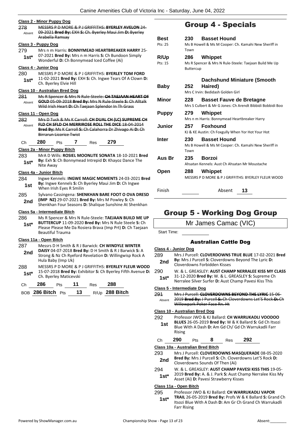|               | <b>Class 2 - Minor Puppy Dog</b>                                                                                                                                                                       |
|---------------|--------------------------------------------------------------------------------------------------------------------------------------------------------------------------------------------------------|
| 278<br>Absent | MESSRS P D MORE & P J GRIFFITHS: BYERLEY AVELON 24<br>09-2021 Bred By: EXH S: Ch. Byerley Maui Jim D: Byerley<br>Arabella Ramsay                                                                       |
|               | <u> Class 3 - Puppy Dog</u>                                                                                                                                                                            |
| 279<br>$1st*$ | Mrs n m Harris: <b>BONNYMEAD HEARTBREAKER HARRY</b> 25-<br>07-2021 Bred By: Mrs n m Harris S: Ch Bundoon Simply<br>Wonderful D: Ch Bonnymead Iced Coffee (Ai)                                          |
|               | Class 4 - Junior Dog                                                                                                                                                                                   |
| 280<br>1st*   | MESSRS P D MORE & P J GRIFFITHS: <b>BYERLEY TOM FORD</b><br>11-02-2021 Bred By: EXH S: Ch. Ingwe Tears Of A Clown D:<br>Ch. Byerley Elvie Hill                                                         |
|               | <b>Class 10 - Australian Bred Dog</b>                                                                                                                                                                  |
| 281<br>Absent | Ms R Spencer & Mrs N Rule-Steele: CH TAEJAAN HEART OF<br>GOLD 05-09-2018 Bred By: Mrs N Rule-Steele S: Ch Alltalk<br>Wild Irish Heart-D:-Ch Taejaan Splendor In Th Grass                               |
|               | Class 11 - Open Dog                                                                                                                                                                                    |
| 282<br>Absent | Mrs D Tuck & Ms K Carroll: CH DUAL CH (LC) SUPREME CH<br>FLD CH SFLD CH MERRIROSE ROLL THE DICE 18-04-2014<br>Bred By: Ms K Carroll S: Ch Calahorra Dr Zhivago Ai D: Ch<br>Birrarun Licorice Twist     |
| Сh            | 280<br>7<br>279<br>Pts<br>Res                                                                                                                                                                          |
|               | Class 2a - Minor Puppy Bitch                                                                                                                                                                           |
| 283           | MrA D Wills: ROSIEL MOONLITE SONATA 18-10-2021 Bred                                                                                                                                                    |
| $1st*$        | By: Exh S: Ch Bonnymead Intrepid D: Khayoz Dance The<br>Nite Away                                                                                                                                      |
|               | Class 4a - Junior Bitch                                                                                                                                                                                |
| 284<br>1st    | Ingwe Kennels: INGWE MAGIC MOMENTS 24-03-2021 Bred<br>By: Ingwe Kennels S: Ch Byerley Maui Jim D: Ch Ingwe                                                                                             |
| 285           | When Irish Eyes R Smilin                                                                                                                                                                               |
| 2nd           | Sylvano Cassingena: SHENKHAN BARE FOOT O OVA DRESD<br>(IMP NZ) 29-07-2021 Bred By: Mrs M Powley S: Ch<br>Shenkhan Four Seasons D: Shalique Sunshine At Shenkhan                                        |
|               | Class 5a - Intermediate Bitch                                                                                                                                                                          |
| 286<br>$1st*$ | Ms R Spencer & Mrs N Rule-Steele: TAEJAAN BUILD ME UP<br>BUTTERCUP 11-09-2020 Bred By: Mrs N Rule Steele S: Ch<br>Please Please Me Da Rosiera Brava (Imp Prt) D: Ch Taejaan<br><b>Beautiful Trauma</b> |
|               | Class 11a - Open Bitch                                                                                                                                                                                 |
| 287           | Messrs D H Smith & R J Barwick: CH WINDYLE WINTER                                                                                                                                                      |
| 2nd           | DAISY 04-07-2018 Bred By: D H Smith & R J Barwick S: A<br>Strong & Nz Ch Ryeford Revelation D: Willingwisp Rock A<br>Hula Baby (Imp Uk)                                                                |
| 288           |                                                                                                                                                                                                        |
| $1st*$        | Ch. Byerley Maticevski                                                                                                                                                                                 |
| Ch            | MESSRS P D MORE & P J GRIFFITHS: BYERLEY FLEUR WOOD<br>15-07-2018 Bred By: Exhibitor S: Ch Byerley Fifth Avenue D:<br>286<br>288<br>11<br>Pts<br>Res                                                   |
|               | 13<br>R/Up 288 Bitch<br>BOB 286 Bitch<br>Pts                                                                                                                                                           |

# Group 4 - Specials

| Best         | 230              | <b>Basset Hound</b>                                                                          |
|--------------|------------------|----------------------------------------------------------------------------------------------|
| Pts: 25      | Town             | Ms B Howell & Ms M Cooper: Ch. Kamahi New Sheriff in                                         |
| <b>R/Up</b>  | 286              | Whippet                                                                                      |
| Pts: 15      | <b>Buttercup</b> | Ms R Spencer & Mrs N Rule-Steele: Taejaan Build Me Up                                        |
|              |                  | <b>Dachshund Miniature (Smooth</b>                                                           |
| <b>Baby</b>  | 252              | Haired)<br>Mrs C Irvin: Bedidash Golden Girl                                                 |
| Minor        | 228              | <b>Basset Fauve de Bretagne</b><br>Mrs S Culbert & Mr G Jones: Ch Arendt Bibbidi Bobbidi Boo |
| <b>Puppy</b> | 279              | Whippet<br>Mrs n m Harris: Bonnymead Heartbreaker Harry                                      |
| Junior       | 257              | <b>Foxhound</b><br>KJ & KE Austin: Ch Foxgully When Yor Hot Your Hot                         |
| Inter        | 230<br>Town      | <b>Basset Hound</b><br>Ms B Howell & Ms M Cooper: Ch. Kamahi New Sheriff in                  |
| Aus Br       | 235              | Borzoi<br>Ahsatan Kennels: Aust Ch Ahsatan Mr Moustache                                      |
| Open         | 288              | Whippet<br>MESSRS P D MORE & P J GRIFFITHS: BYERLEY FLEUR WOOD                               |
| Finish       |                  | Absent<br>13                                                                                 |

# Group 5 - Working Dog Group

|                                   | Mr James Camac (VIC)                                                                       |                                                                                                             |   |                                        |                                                                                                                      |  |
|-----------------------------------|--------------------------------------------------------------------------------------------|-------------------------------------------------------------------------------------------------------------|---|----------------------------------------|----------------------------------------------------------------------------------------------------------------------|--|
| Start Time:                       |                                                                                            |                                                                                                             |   |                                        |                                                                                                                      |  |
|                                   |                                                                                            |                                                                                                             |   | <b>Australian Cattle Dog</b>           |                                                                                                                      |  |
| Class 4 - Junior Dog              |                                                                                            |                                                                                                             |   |                                        |                                                                                                                      |  |
| 289                               |                                                                                            |                                                                                                             |   |                                        | Mrs J Purcell: CLOVERDOWNS TRUE BLUE 17-02-2021 Bred                                                                 |  |
| 2nd                               |                                                                                            | By: Mrs J Purcell S: Cloverdowns Beyond The Lyric D:<br>Cloverdowns Forbidden Kisses                        |   |                                        |                                                                                                                      |  |
| 290                               |                                                                                            |                                                                                                             |   |                                        | W. & L. GREASLEY: AUST CHAMP NERRALEE KISS MY CLASS                                                                  |  |
| $1st*$                            |                                                                                            | 31-12-2020 Bred By: W. & L. GREASLEY S: Supreme Ch<br>Nerralee Silver Surfer D: Aust Champ Pavesi Kiss This |   |                                        |                                                                                                                      |  |
| Class 5 - Intermediate Dog        |                                                                                            |                                                                                                             |   |                                        |                                                                                                                      |  |
| 291                               |                                                                                            |                                                                                                             |   |                                        | Mrs J Purcell: CLOVERDOWNS BEYOND THE LYRIC 15-06-                                                                   |  |
| Absent                            | 2019 Bred By: J Purcell S: Ch Cloverdowns Let'S Rock-D: Ch<br>Willowpark Poker Face Rn. Ht |                                                                                                             |   |                                        |                                                                                                                      |  |
| Class 10 - Australian Bred Dog    |                                                                                            |                                                                                                             |   |                                        |                                                                                                                      |  |
| 292                               |                                                                                            |                                                                                                             |   |                                        | Professor JWO & KJ Ballard: CH WARRUKADLI VOODOO                                                                     |  |
| 1st                               | <b>Rising</b>                                                                              |                                                                                                             |   |                                        | BLUES 26-05-2019 Bred By: W & K Ballard S: Gd Ch Itsozi<br>Blue With A Dash D: Am Gd Ch/ Gd Ch Warrukadli Farr       |  |
| Ch                                | 290                                                                                        | Pts                                                                                                         | 8 | Res                                    | 292                                                                                                                  |  |
| Class 10a - Australian Bred Bitch |                                                                                            |                                                                                                             |   |                                        |                                                                                                                      |  |
| 293                               |                                                                                            |                                                                                                             |   |                                        | Mrs J Purcell: CLOVERDOWNS MASQUERADE 08-05-2020                                                                     |  |
| 2nd                               |                                                                                            | Cloverdowns Sounds Of Then (Ai)                                                                             |   |                                        | Bred By: Mrs J Purcell S: Ch. Cloverdowns Let'S Rock D:                                                              |  |
| 294                               |                                                                                            |                                                                                                             |   |                                        | W. & L. GREASLEY: AUST CHAMP PAVESI KISS THIS 19-05-                                                                 |  |
| $1st*$                            |                                                                                            |                                                                                                             |   | Asset (Ai) D: Pavesi Strawberry Kisses | 2019 Bred By: A. & J. Park S: Aust Champ Nerralee Kiss My                                                            |  |
| Class 11a - Open Bitch            |                                                                                            |                                                                                                             |   |                                        |                                                                                                                      |  |
| 295                               |                                                                                            |                                                                                                             |   |                                        | Professor JWO & KJ Ballard: CH WARRUKADLI VAPOR                                                                      |  |
| $1st^*$                           |                                                                                            |                                                                                                             |   |                                        | TRAIL 26-05-2019 Bred By: Profs W & K Ballard S: Grand Ch<br>Itsozi Blue With A Dash D: Am Gr Ch Grand Ch Warrukadli |  |

Farr Rising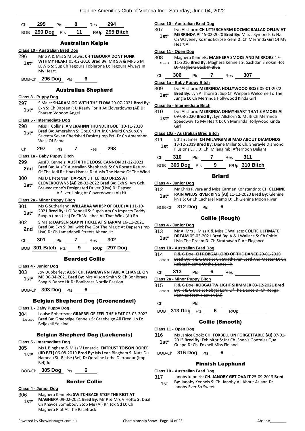| Ch $295$ Pts | 8 | Res <b>294</b> |                                   |
|--------------|---|----------------|-----------------------------------|
|              |   |                | BOB 290 Dog Pts 11 R/Up 295 Bitch |

### Australian Kelpie

#### **Class 10 - Australian Bred Dog**

- 296 Mr S A & Mrs S M Lewis: **CH TEGOURA DONT FUNK WTHMY HEART** 05-02-2016 **Bred By:** MR S A & MRS S M LEWIS **S:** Sup Ch Tegoura Toblerone **D:** Tegoura Always In My Heart **1st\***
- BOB-Ch **296 Dog** Pts **6**

### Australian Shepherd

#### **Class 3 - Puppy Dog**

297 S Male: **SHARAM GO WITH THE FLOW** 29-07-2021 **Bred By:** Exh **S:** Ch Dapsen R U Ready For It At Cloverdowns (Ai) **D: 1st**\* Exn **S**: Ch Dapsen R U F<br>Sharam Voodoo Angel

#### **Class 5 - Intermediate Dog**

- 298 Miss T Collins: **AMERAHNN THUNDER BOLT** 10-11-2020 **Bred By:** Amerahnn **S:** Gbz.Ch.Prt.Jr.Ch.Multi Ch.Sup.Ch **1st\***
- Seventy Seven Cherished Desire (Imp Prt) **D:** Ch Amerahnn Walk Of Fame
- Ch **297** Pts **7** Res **298**

#### **Class 1a - Baby Puppy Bitch**

299 AusFX Kennels: **AUSFX THE LOOSE CANNON** 31-12-2021 **Bred By:** AusFX Australian Shepherds **S:** Ch Rozate Return **2nd Direct By:** Aust Australian Supplierus **3:** CIT ROZATE Return **2nd 2nd 2nd 2nd 2nd 2nd 2nd 2nd 2nd 2nd 2nd 2nd 2nd 2nd 2nd 2nd 2nd 2nd 2nd 2nd 2nd 2nd 2nd 2nd 2nd 2n** 

#### 300 Ms D L Petersen: **DAPSEN LITTLE RED DRESS AT**

**CLOVERDOWNS (AI)** 28-02-2022 **Bred By:** Exh **S:** Am Gch. Brewedstone's Designated Driver (Usa) **D:** Dapsen A Silver Lining At Cloverdowns (Ai) Ht **1st\***

### **Class 2a - Minor Puppy Bitch**

- 301 Ms G Sutherland: **WILLABAA WHISP OF BLUE (AI)** 11-10- 2021 **Bred By:** J O'Donnell **S:** Supch Am Ch Impacts Teddy **1st** 2021 **Bred By:** J O'Donnell **S:** Supch Am Ch Impacts Te<br>Ruxpin (Imp Usa) **D:** Ch Willabaa All That Winx (Ai) Rn
- 302 S Male: **DAPSEN SLAP N TICKLE AT SHARAM** 16-11-2021 **Bred By:** Exh **S:** Bailiwick I've Got The Magic At Dapsen (Imp **2nd Died by:** EXII **3**: Balliwick I ve Got The IVE<br>Usa) **D:** Ch Lamadabell Streets Ahead Ht

| (∷h | -301  |        | - 23 | 302 |
|-----|-------|--------|------|-----|
|     | - - - | $\sim$ |      |     |

| BOB 301 Bitch Pts |  | R/Up 297 Dog |
|-------------------|--|--------------|
|                   |  |              |

### Bearded Collie

#### **Class 4 - Junior Dog**

303 Joy Dubberley: **AUST CH. FAMEWYNN TAKE A CHANCE ON ME** 06-04-2021 **Bred By:** Mrs Alison Smith **S:** Ch Bonibraes **1st\*** ME 06-04-2021 Bred By: Mrs Alison Smith S: 0<br>Song N Dance Ht D: Bonibraes Nordic Passion

BOB-Ch **303 Dog** Pts **6**

### Belgian Shepherd Dog (Groenendael)

#### **Class 1 - Baby Puppy Dog**

304 Louise Robertson: **GRAEBELGE FEEL THE HEAT** 03-03-2022 **Bred By:** Graebelge Kennels **S:** Graebelge All Fired Up **D:**  Beljekali Yelaina Excused

### Belgian Shepherd Dog (Laekenois)

#### **Class 5 - Intermediate Dog**

- 305 Ms L Bingham & Miss V Lenarcic: **ENTRUST TOISON DOREE (IID BEL)** 06-08-2019 **Bred By:** Ms Leah Bingham **S:** Nuts Du Hameau St- Blaise (Bel) **D:** Qoraline Lethe D'eroudur (Imp Bel) Jc **1st\***
- BOB-Ch **305 Dog** Pts **6**

### Border Collie

### **Class 4 - Junior Dog**

- 306 Maghera Kennels: **SWITCHBACK STOP THE RIOT AT**
- **MAGHERA** 09-02-2021 **Bred By:** Mr P & Mrs V Hofto **S:** Dual Ch Khayoz Somebody Stop Me (Ai) Rn Jdx Gd **D:** Ch Maghera Riot At The Racetrack **1st\***

#### **Class 10 - Australian Bred Dog**

#### 307 Lyn Allshorn: **CH UTTERCHARM KOZMIC BALLAD OFLUV AT**

**MERRINDA AI** 15-02-2020 **Bred By:** Miss J Symonds **S:** Nz Ch Waveney Kozmic Eclipse -Sem **D:** Ch Merrinda Girl Of My Heart Ai **1st\***

#### **Class 11 - Open Dog**

- 308 Maghera Kennels: **MAGHERA SMOKE AND MIRRORS** 17-
	- 11-2016 **Bred By:** Maghera Kennels **S:** Sashdan Smokin Hot **D:** Maghera Back In Blue Absent
- Ch **306** Pts **7** Res **307**

#### **Class 1a - Baby Puppy Bitch**

309 Lyn Allshorn: **MERRINDA HOLLYWOOD ROSE** 05-01-2022 **Bred By:** Lyn Allshorn **S:** Sup Ch Winpara Welcome To The **1st\* Diea by:** Lyn Allshorn S: Sup Ch Winpara We<br>Jungle D: Ch Merrinda Hollywood Kinda Girl

#### **Class 5a - Intermediate Bitch**

Girl

- 310 Lyn Allshorn: **MERRINDA OHMYHEART THAT'S AMORE AI** 09-08-2020 **Bred By:** Lyn Allshorn **S:** Multi Ch Merrinda **1st\***
- Speedway To My Heart **D:** Ch Merrinda Hollywood Kinda

### **Class 10a - Australian Bred Bitch**

- 311 Ethan James: **CH MILANGIMBI MAD ABOUT DIAMONDS**
- 13-12-2019 **Bred By:** Diane Miller **S:** Ch. Sherayle Diamond Illusions E.T. **D:** Ch. Milangimbi Afternoon Delight **1st**

| Ch | 310             | <b>Pts</b> |     | Res | -311                  |
|----|-----------------|------------|-----|-----|-----------------------|
|    | BOB 306 Dog Pts |            | - 9 |     | R/Up <b>310 Bitch</b> |

### Briard

**Class 4 - Junior Dog**

312 Mr Chris Rivera and Miss Carmen Konstantino: **CH GLENINE RAIN WILDS RIVER KING (AI)** 11-12-2020 **Bred By:** Glenine knls **S:** Gr Ch Cacharel Nemo **D:** Ch Glenine Moon River **1st\***

BOB-Ch **312 Dog** Pts **6**

### Collie (Rough)

#### **Class 4 - Junior Dog**

313 Mr A, Mrs J, Miss K & Miss C Wallace: **COLTIE ULTIMATE DREAM** 05-03-2021 **Bred By:** A & J Wallace **S:** Ch Coltie **1st**\* **DREAM 05-03-2021 Bred By:** A & J Wallace S: Cream D: Ch Strathaven Pure Elegance

#### **Class 10 - Australian Bred Dog**

314 R & G Doe: **CH ROBGAI LORD OF THE DANCE** 20-01-2019 **Bred By:** R & G Doe **S:** Ch Strathaven Lord And Master **D:** Ch Robgai Kissme Onthe Dance Flr Absent

|  | Ch | 313 | Pts | 6 | Res |  |
|--|----|-----|-----|---|-----|--|
|--|----|-----|-----|---|-----|--|

**Class 2a - Minor Puppy Bitch**

315 R & G Doe: **ROBGAI TWILIGHT SHIMMER** 03-12-2021 **Bred By:** R & G Doe **S:** Robgai Lord Of The Dance **D:** Ch Robgai Absent

Pennies From Heaven (Ai)

Ch Pts

### BOB **313 Dog** Pts **6** R/Up

### Collie (Smooth)

### **Class 11 - Open Dog**

316 Ms Janice Cook: **CH. FOXBELL UN FORGETTABLE (AI)** 07-01- 2013 **Bred By:** Exhibitor **S:** Int.Ch. Shep's Gonzales Que **1st**\* 2013 Brea By: Exhibitor S: Int.Ch. 3<br>Guapo D: Ch. Foxbell Miss Finland

BOB-Ch **316 Dog** Pts **6**

### Finnish Lapphund

### **Class 10 - Australian Bred Dog**

317 Janoby kennels: **CH. JANOBY GET OVA IT** 25-09-2013 **Bred By:** Janoby Kennels **S:** Ch. Janoby All About Aslann **D: 1st By:** Janoby Kennels S:<br>Janoby Ever So Sweet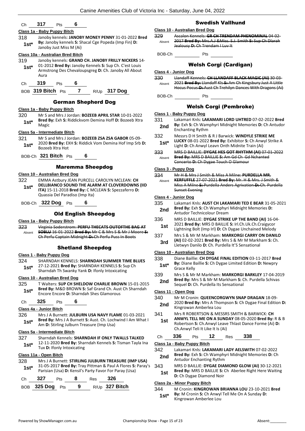### Ch **317** Pts **6**

#### **Class 1a - Baby Puppy Bitch**

318 Janoby kennels: **JANOBY MONEY PENNY** 31-01-2022 **Bred By:** Janoby kennels **S:** Shacal Cge Popeda (Imp Fin) **D: 1st<sup>\*</sup> by:** Janoby Kenners **5:** 5<br>Janoby Just Miss M (Ai)

#### **Class 10a - Australian Bred Bitch**

- 319 Janoby kennels: **GRAND CH. JANOBY FRILLY NICKERS** 14- 01-2012 **Bred By:** Janoby Kennels **S:** Sup Ch. C'est Louis Armstrong Des Chevaloupsgreg **D:** Ch. Janoby All About Aura **1st\***
- Ch **319** Pts **6**

BOB **319 Bitch** Pts **7** R/Up **317 Dog**

### German Shepherd Dog

### **Class 1a - Baby Puppy Bitch**

- 320 Mr S and Mrs J Jordan: **BOZEEB APRIL STAR** 10-01-2022
- **Bred By:** Exh **S:** Riddickvom Demina Hoff **D:** Bozeeb Xtra Magic **1st\***

### **Class 5a - Intermediate Bitch**

- 321 Mr S and Mrs J Jordan: **BOZEEB ZSA ZSA GABOR** 05-09- 2020 **Bred By:** EXH **S:** Riddick Vom Demina Hof Imp Srb **D:**  1st<sup>\*</sup> <sup>2020</sup> Brea By: E
- BOB-Ch **321 Bitch** Pts **6**

### Maremma Sheepdog

#### **Class 10 - Australian Bred Dog**

- 322 EMMA Astbury JEAN PURCELL CAROLYN MCLEAN: **CH DELLBIANCO SOUND THE ALARM AT CLOVERDOWNS (IID ITA)** 15-11-2018 **Bred By:** C MCLEAN **S:** Spezzaferro **D:**  Quassia Del Paradiso (Imp Ita) **1st\***
- BOB-Ch **322 Dog** Pts **6**

### Old English Sheepdog

#### **Class 1a - Baby Puppy Bitch**

323 Virginia Soderstrom: **PERFU THECATS OUTOFTHE BAG AT SOBLU** 16-01-2022 **Bred By:** Mr C & Mrs S & Mr J Moore **S:**  Ch Perfu Captain Midnight **D:** Ch Perfu Puss In Boots Absent

### Shetland Sheepdog

### **Class 1 - Baby Puppy Dog**

- 324 SHARNDAH KENNELS: **SHARNDAH SUMMER TIME BLUES** 27-12-2021 **Bred By:** SHARNDAH KENNELS **S:** Sup Ch
- **1st**  $\frac{27-12-2021}{21}$  **Bred By:** SHARNDAH KENNELS **S:** Sumplement of the Sharndah Th Swanky Yank **D:** Ifonly Intoxicating

### **Class 10 - Australian Bred Dog**

325 T Walters: **SUP CH SHELDOW CHARLIE BROWN** 15-01-2015 **Bred By:** M&D BROWN **S:** Saf Grand Ch. Aust Ch Sharndah **1st\* Brea By: WIXED BROWN S:** Sat Grand Ch. Aust Encore Encore D: Sharndah Shes Glamorous

### Ch **325** Pts **6**

#### **Class 4a - Junior Bitch**

326 Mrs J A Burnett: **JULBURN USA NAVY FLAME** 01-03-2021 **Bred By:** Mrs J A Burnett **S:** Aust. Ch. Lochwind I Am What I **1st\* Bred By:** Mrs J A Burnett **S:** Aust. Ch. Loch<br>Am **D:** Stirling Julburn Treasure (Imp Usa)

#### **Class 5a - Intermediate Bitch**

327 Sharndah Kennels: **SHARNDAH IF ONLY TWALLS TALKED** 12-11-2020 **Bred By:** Sharndah Kennels **S:** Tisman Tayla Ina **1st**\* **12-11-2020 Bred By:** Shal<br>Tux **D:** Ifonly Intoxicating

### **Class 11a - Open Bitch**

328 Mrs J A Burnett: **STIRLING JULBURN TREASURE (IMP USA)** 31-05-2017 **Bred By:** Tray Pittman & Paul A Flores **S:** Paray's **1st** <sup>31-05-2017 **Bred By:** I ray Pittman & Paul A Flores **S:**<br>Parisian (Usa) **D:** Kensil's Party Favor For Paray (Usa)</sup>

| Ch $327$          | <b>Pts</b> | 8   | Res <b>326</b> |                  |
|-------------------|------------|-----|----------------|------------------|
| BOB $325$ Dog Pts |            | - 9 |                | $R/Up$ 327 Bitch |

### Swedish Vallhund

#### **Class 10 - Australian Bred Dog**

329 Ascalon Kennels: **GR CH TRENDAM PHENOMINAL** 04-02- 2017 **Bred By:** Mrs.A.J &Miss. S.J. Smith **S:** Sup Ch Dlarah Jealousy **D:** Ch Trendam I Luv It Absent

BOB-Ch Pts

### Welsh Corgi (Cardigan)

#### **Class 4 - Junior Dog**

330 Llandaff Kennels: **CH LLANDAFF BLACK MAGIC (AI)** 30-03- 2021 **Bred By:** Llandaff Kls **S:** Am Ch Kingsbury Just A Little Hocus Pocus **D:** Aust Ch Trehilyn Dances With Dragons (Ai) Absent

BOB-Ch Pts

#### Welsh Corgi (Pembroke)

| Class 1 - Baby Puppy Dog       |                       |                         |                                  |                                        |                                                                                                                |  |
|--------------------------------|-----------------------|-------------------------|----------------------------------|----------------------------------------|----------------------------------------------------------------------------------------------------------------|--|
| 331                            |                       |                         |                                  |                                        | Lakamari Knls: LAKAMARI LORD UHTRED 07-02-2022 Bred                                                            |  |
| 2nd                            |                       | <b>Enchanting Rythm</b> |                                  |                                        | By: Exh S: Ch Wamphyri Midnight Memories D: Ch Antudor                                                         |  |
| 332                            |                       |                         |                                  |                                        | Messrs D H Smith & R J Barwick: WINDYLE STRIKE ME                                                              |  |
| $1st*$                         |                       |                         |                                  |                                        | LUCKY 08-01-2022 Bred By: Exhibitor S: Ch Anwyl Strike A<br>Light D: Ch Anwyl Leavn Onth Midnite Train (Ai)    |  |
| 333                            |                       |                         |                                  |                                        | MRS D BAILLIE: DYGAE HES GOT RHYTHM (AI) 07-01-2022                                                            |  |
| Absent                         |                       |                         |                                  | Concerto D: Ch Dygae Touch O Glamour   | Bred By: MRS D BAILLIE S: Am Gd Ch Gd Nchanted                                                                 |  |
| Class 3 - Puppy Dog            |                       |                         |                                  |                                        |                                                                                                                |  |
| 334                            |                       |                         |                                  |                                        | Mr H & Mrs J Smith & Miss A Milne: <b>PURDELLA MR.</b>                                                         |  |
| Absent                         |                       |                         |                                  |                                        | KERFUFFLE 27-07-2021 Bred By: Mr. H & Mrs. J Smith &                                                           |  |
|                                |                       |                         |                                  |                                        | Miss A Milne S: Purdella Anders Agrivation D: Ch. Purdella                                                     |  |
|                                | <b>Sunset Evening</b> |                         |                                  |                                        |                                                                                                                |  |
| Class 4 - Junior Dog           |                       |                         |                                  |                                        |                                                                                                                |  |
| 335                            |                       |                         |                                  |                                        | Lakamari Knls: AUST CH LAKAMARI TED E BEAR 31-05-2021                                                          |  |
| 2nd                            |                       |                         | Antudor Technicolour Dream       |                                        | Bred By: Exh S: Ch Wamphyri Midnight Memories D:                                                               |  |
| 336                            |                       |                         |                                  |                                        | MRS D BAILLIE: DYGAE STRIKE UP THE BAND (AI) 16-04-                                                            |  |
| 1st                            |                       |                         |                                  |                                        | 2021 Bred By: MRS D BAILLIE S: Irl.Ch.Uk.Ch.Craigycor<br>Lightning Bolt (Imp Irl) D: Ch Dygae Unchained Melody |  |
| 337                            |                       |                         |                                  |                                        | Mrs S & Mr M Markham: MARKORGI CARRY ON DANILO                                                                 |  |
| 3rd                            |                       |                         |                                  |                                        | (AI) 02-02-2021 Bred By: Mrs S & Mr M Markham S: Ch.<br>Lletwyn Danilo D: Ch. Purdella It'S Sensational        |  |
| Class 10 - Australian Bred Dog |                       |                         |                                  |                                        |                                                                                                                |  |
| 338                            |                       |                         |                                  |                                        | Diane Baillie: CH DYGAE FINAL EDITION 03-11-2017 Bred                                                          |  |
| $1st^*$                        | Grace Kelly           |                         |                                  |                                        | By: Diane Baillie S: Ch Dygae Limited Edition D: Newpry                                                        |  |
| 339                            |                       |                         |                                  |                                        | Mrs S & Mr M Markham: MARKORGI BARKLEY 17-04-2019                                                              |  |
| 2nd                            |                       |                         |                                  | Sequel D: Ch. Purdella Its Sensational | Bred By: Mrs S & Mr M Markham S: Ch. Purdella Schivas                                                          |  |
| Class 11 - Open Dog            |                       |                         |                                  |                                        |                                                                                                                |  |
| 340                            |                       |                         |                                  |                                        | Mr M Cronin: QUEENCORGWYN SNAP DRAGAN 18-09-                                                                   |  |
| 2nd                            |                       |                         | Kingrowan Amberlea Lou           |                                        | 2020 Bred By: Mrs A Thompson S: Ch Dygae Final Edition D:                                                      |  |
| 341                            |                       |                         |                                  |                                        | Mrs R ROBERTSON & MESSRS SMITH & BARWICK: CH                                                                   |  |
| 1st                            |                       |                         |                                  |                                        | ANWYL TELL ME ON A SUNDAY 08-05-2020 Bred By: R & B<br>Robertson S: Ch.Anwyl Leave Thlast Dance Forme (Ai) D:  |  |
|                                |                       |                         | Ch.Anwyl Teli It Like It Is (Ai) |                                        |                                                                                                                |  |
| Сh                             | 336                   | Pts                     | 12                               | Res                                    | 338                                                                                                            |  |
| Class 1a - Baby Puppy Bitch    |                       |                         |                                  |                                        |                                                                                                                |  |
|                                |                       |                         |                                  |                                        |                                                                                                                |  |

- 342 Lakamari Knls: **LAKAMARI LADY AELSWITH** 07-02-2022 **Bred By:** Exh **S:** Ch Wamphyri Midnight Memories **D:** Ch **2nd** Brea By: Exh S: Ch Wamphy Antudor Enchanting Rythm
- 343 MRS D BAILLIE: **DYGAE DIAMOND GLOW (AI)** 30-12-2021
- **Bred By:** MRS D BAILLIE **S:** Ch Aberlee Right Here Waiting **1st Digital Digital Digital D:** Ch Dygae Diamond Noir

#### **Class 2a - Minor Puppy Bitch**

344 M Cronin: **KINGROWAN BRIANNA LOU** 23-10-2021 **Bred By:** M Cronin **S:** Ch Anwyl Tell Me On A Sunday **D: 1st<sup>\*</sup> By:** M Cronin **5:** Ch Anwyl<br>Kingrowan Amberlee Lou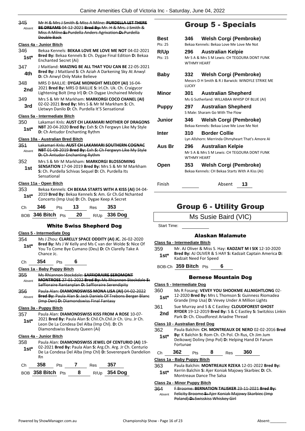345 Mr H & Mrs J Smith & Miss A Milne: **PURDELLA LET THERE BE DREAMS** 04-12-2021 **Bred By:** Mr. H & Mrs. J Smith & Miss A Milne **S:** Purdella Anders Agrivation **D:** Purdella Double Back Absent

#### **Class 4a - Junior Bitch**

- 346 Bekaa Kennels: **BEKAA LOVE ME LOVE ME NOT** 04-02-2021 **Bred By:** Bekaa Kennels **S:** Ch. Dygae Final Edition **D:** Bekaa **1st\* Bred By:** Bekaa Kenne<br>**Enchanted Secret (Ai)**
- 347 J Maitland: **MAIZING BE ALL THAT YOU CAN BE** 22-05-2021 **Bred By:** J Maitland **S:** Ch Aziah A Darkening Sky At Anwyl **4th** Bred By: J Maitland S: Ch Aziah<br>**D:** Ch Anwyl Only Make Believe
- 348 MRS D BAILLIE: **DYGAE MIDNIGHT MELODY (AI)** 16-04- 2021 **Bred By:** MRS D BAILLIE **S:** Irl.Ch. Uk. Ch. Craigycor Lightening Bolt (Imp Irl) **D:** Ch Dygae Unchained Melody **2nd**
- 349 Mrs S & Mr M Markham: **MARKORGI COCO CHANEL (AI)** 02-02-2021 **Bred By:** Mrs S & Mr M Markham **S:** Ch.
- **3rd** D2-02-2021 **Brea by:** IVITS 3 & IVIT IVE Markham

### **Class 5a - Intermediate Bitch**

350 Lakamari Knls: **AUST CH LAKAMARI MOTHER OF DRAGONS NBT** 20-04-2020 **Bred By:** Exh **S:** Ch Fergwyn Like My Style **1st\* NBI** 20-04-2020 **Bred By:** EXN S: **C**<br>**D:** Ch Antudor Enchanting Rythm

#### **Class 10a - Australian Bred Bitch**

- 351 Lakamari Knls: **AUST CH LAKAMARI SOUTHERN COGNAC NBT** 01-08-2019 **Bred By:** Exh **S:** Ch Fergwyn Like My Style **D:** Ch Antudor Enchanting Rythm Absent
- 352 Mrs S & Mr M Markham: **MARKORGI BLOSSOMING SENSATION** 17-04-2019 **Bred By:** Mrs S & Mr M Markham **S:** Ch. Purdella Schivas Sequel **D:** Ch. Purdella Its Sensational **1st**

#### **Class 11a - Open Bitch**

353 Bekaa Kennels: **CH BEKAA STARTS WITH A KISS (AI)** 04-04- 2019 **Bred By:** Bekaa Kennels **S:** Am. Gr Ch.Gd Nchanted **1st**\* 2019 **bred by:** Bekad Nefifiers **5:** Am. or Ch. but New Concerto (Imp Usa) **D:** Ch. Dygae Keep A Secret

| Ch 346 Pts 13 Res 353 |  |                                   |
|-----------------------|--|-----------------------------------|
|                       |  | BOB 346 Bitch Pts 20 R/Up 336 Dog |

### White Swiss Shepherd Dog

### **Class 5 - Intermediate Dog**

- 354 Ms J Zhou: **CLARELLY SPACE ODDITY (AI) JC.** 26-02-2020 **Bred By:** Ms J W Kelly and Ms C van der Wolde **S:** Nice Of You To Come Bye Cumano (Deu) **D:** Ch Clarelly Take A **1st\***
- Chance Jc. Ch **354** Pts **6**

#### **Class 1a - Baby Puppy Bitch**

- 355 Ms Rhiannon Stockdale: **SAFFIORAIRE SEROMONT MONTROSE** 27-01-2022 **Bred By:** Ms Rhiannon Stockdale **S:**  Saffioraire Rantanplan **D:** Saffioraire Serendipity Absent
- 356 Paula Alan: **DIAMONDSWISS MONA LISA (AI)** 04-02-2022 **Bred By:** Paula Alan **S:** Jack Daniels Of Trebons Berger Blanc (Imp Den) **D:** Diamondswiss Final Fantasy Absent

#### **Class 3a - Puppy Bitch**

- 357 Paula Alan: **DIAMONDSWISS KISS FROM A ROSE** 10-07- 2021 **Bred By:** Paula Alan **S:** Chil.Ch.Chil.Jr Ch. Uru. Jr Ch. Leon De La Condesa Del Alba (Imp Chl). **D:** Ch **1st\***
- Diamondswiss Beauty Queen (Ai)

### **Class 4a - Junior Bitch**

- 358 Paula Alan: **DIAMONDSWISS JEWEL OF CENTURIO (AI)** 19- 02-2021 **Bred By:** Paula Alan **S:** Arg.Ch. Arg. Jr Ch. Centurio De La Condesa Del Alba (Imp Chl) **D:** Soverenpark Dandelion **1st\***
- Rn

| Ch. | 358               | <b>Pts</b> | Res | -357         |
|-----|-------------------|------------|-----|--------------|
|     | BOB 358 Bitch Pts |            |     | R/Up 354 Dog |

# Group 5 - Specials

| <b>Best</b><br>Pts: 25 | 346                       | <b>Welsh Corgi (Pembroke)</b><br>Bekaa Kennels: Bekaa Love Me Love Me Not       |
|------------------------|---------------------------|---------------------------------------------------------------------------------|
| <b>R/Up</b><br>Pts: 15 | 296<br><b>WTHMY HFART</b> | <b>Australian Kelpie</b><br>Mr S A & Mrs S M Lewis: CH TEGOURA DONT FUNK        |
| Baby                   | <b>LUCKY</b>              | 332 Welsh Corgi (Pembroke)<br>Messrs D H Smith & R J Barwick: WINDYLE STRIKE ME |
| Minor                  | 301                       | <b>Australian Shepherd</b><br>Ms G Sutherland: WILLABAA WHISP OF BLUE (AI)      |
| <b>Puppy</b>           | 297                       | <b>Australian Shepherd</b><br>S Male: Sharam Go With The Flow                   |
| Junior                 | 346                       | Welsh Corgi (Pembroke)<br>Bekaa Kennels: Bekaa Love Me Love Me Not              |
| Inter                  | 310                       | <b>Border Collie</b><br>Lyn Allshorn: Merrinda Ohmyheart That's Amore Al        |
| Aus Br                 | 296<br><b>WTHMY HFART</b> | <b>Australian Kelpie</b><br>Mr S A & Mrs S M Lewis: CH TEGOURA DONT FUNK        |
| Open                   | 353                       | Welsh Corgi (Pembroke)<br>Bekaa Kennels: CH Bekaa Starts With A Kiss (AI)       |

Finish Absent **13**

# Group 6 - Utility Group

### Ms Susie Baird (VIC)

Start Time:

### Alaskan Malamute

#### **Class 5a - Intermediate Bitch**

359 Mr. AJ Oliver & Miss S. Hay: **KADZAIT M I SIX** 12-10-2020 **Bred By:** AJ OLIVER & S HAY **S:** Kadzait Captain America **D: 1st<sup>\*</sup> Bred By:** AJ OLIVER & STREET Radzait Need For Speed

BOB-Ch **359 Bitch** Pts **6**

### Bernese Mountain Dog

#### **Class 5 - Intermediate Dog**

- 360 Ms R Fosang: **VEVEY YOU SHOOKME ALLNIGHTLONG** 02-
- 12-2020 **Bred By:** Mrs L Thomson **S:** Guinness Riomadea Grande (Imp Usa) **D:** Vevey Under A Million Lights **1st\***
- 361 Sue Murray and S & C Eastley: **CLOUDFOREST GHOST RYDER** 19-12-2019 **Bred By:** S & C Eastley **S:** Switzkiss Linkin
- **2nd KTDER 19-12-2019 brea by:** 5 & C Easure<br>Park D: Ch. Cloudforest Ariadne Thread

#### **Class 10 - Australian Bred Dog**

- 362 Paula Balchin: **CH. MONTREAUX DE NERO** 02-02-2016 **Bred By:** K Balchin **S:** Rom Ch. Ch Pol. Ch Rus, Ch Jim Jum **1st\***
	- Deikowej Doliny (Imp Pol) **D:** Helping Hand Di Fanum Fortunae
- Ch **362** Pts **8** Res **360**

### **Class 1a - Baby Puppy Bitch**

363 Paula Balchin: **MONTREAUX RZEKA** 12-01-2022 **Bred By:** Kerrin Balchin **S:** Ajer Koniak Majowy Skarbiec **D:** Ch. **1st**\* Kerrin Balchin S: Ajer Koniak<br>Montreaux Dance The Salsa

### **Class 2a - Minor Puppy Bitch**

364 F Broome: **BERNATION TALISKER** 23-11-2021 **Bred By:** Felicity Broome **S:** Ajer Koniak Majowy Skarbiec (Imp Poland) **D:** Swisskiss Whiskey Girl Absent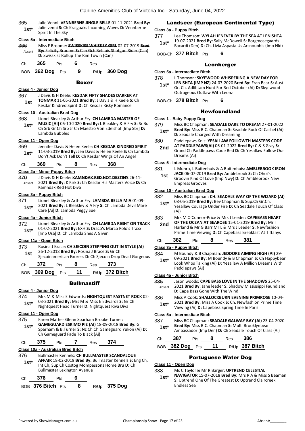- 365 Julie Venni: **VENNBERNE JINGLE BELLE** 01-11-2021 **Bred By:** Julie venni **S:** Ch Kraigoaks Incoming Waves **D:** Vennberne **1st**\* Julie venni **S**: Ch<br>Spirit In The Sky **Class 5a - Intermediate Bitch** 366 Miss F Broome: **SWISSKISS WHISKEY GIRL** 02-07-2019 **Bred By:** Felicity Broome **S:** Can Gch Belnois Shotgun Rider (Can) **D:** Swisskiss Rollup The Rim Towin (Can) Absent Ch **365** Pts **6** Res BOB **362 Dog** Pts **9** R/Up **360 Dog** Boxer **Class 4 - Junior Dog** 367 J Davis & H Keele: **KESDAR FIFTY SHADES DARKER AT TONMAR** 11-05-2021 **Bred By:** J Davis & H Keele **S:** Ch Kesdar Kindred Spirit **D:** Ch Kesdar Risky Romance **1st Class 10 - Australian Bred Dog** 368 Lionel Bleakley & Arthur Fry: **CH LAMBDA MASTER OF MUSIC [AI]** 06-10-2020 **Bred By:** L Bleakley & A Fry **S:** Sr Bu Ch Srb Gr Ch Srb Jr Ch Maestro Von Edelshof [Imp Sbr] **D:**  Lambda Bubbles **1st\* Class 11 - Open Dog** 369 Jennifer Davis & Helen Keele: **CH KESDAR KINDRED SPIRIT** 11-03-2019 **Bred By:** Jen Davis & Helen Keele **S:** Ch Lambda Don't Ask Don't Tell **D:** Ch Kesdar Wings Of An Angel **1st\*** Ch **369** Pts **8** Res **368 Class 2a - Minor Puppy Bitch** 370 J Davis & H Keele: **KAMNDAK RED HOT DESTINY** 26-11- 2021 **Bred By:** K Kirk **S:** Ch Kesdar His Masters Voice **D:** Ch Kamndak Red Hot Diva Absent **Class 3a - Puppy Bitch** 371 Lionel Bleakley & Arthur Fry: **LAMBDA BELLA MIA** 01-09- 2021 **Bred By:** L Bleakley & A Fry **S:** Ch Lambda Devil Mare **1st**\*  $\frac{2021}{20}$  **Bred By:** L Bleakley & A Find the Care [Ai] **D:** Lambda Peggy Sue **Class 4a - Junior Bitch** 372 Lionel Bleakley & Arthur Fry: **CH LAMBDA RIGHT ON TRACK** 01-02-2021 **Bred By:** EXH **S:** Draco's Marco Polo's Traxx **1st** UL-UZ-ZUZI **Bred By:** EXH **5:** Draco's M<br> **1st** [Imp Usa] **D:** Ch Lambda Shes A Given **Class 11a - Open Bitch** 373 Rosina J Brace: **CH SJECOIN STEPPING OUT IN STYLE (AI)** 26-12-2018 **Bred By:** Rosina J Brace **S:** Gr Ch **1st** 26-12-2018 **Brea By:** Rosina J Brace S: Gr Ch<br>Sjecoinamerican Exoress **D:** Ch Sjecoin Drop Dead Gorgeous Ch **372** Pts **8** Res **373** BOB **369 Dog** Pts **11** R/Up **372 Bitch Bullmastiff Class 4 - Junior Dog** 374 Mrs M & Miss E Edwards: **NIGHTQUEST FASTNET ROCK** 02- 03-2021 **Bred By:** Mrs M & Miss E Edwards **S:** Gr Ch **1st**\* U3-2021 **Bred By:** Mrs M & Miss E Edwards S: Green Nightquest Head Turner **D:** Nightquest Riva Diva **Class 11 - Open Dog** 375 Karen Mather Glenn Sparham Brooke Turner: **GAMEGUARD ESKIMO PIE (AI)** 18-09-2018 **Bred By:** G. Sparham & B.Turner **S:** Nz Ch Ch Gameguard Yukon (Ai) **D:**  Ch Gameguard Fade To Black (Ai) **1st\*** Ch **375** Pts **7** Res **374 Class 10a - Australian Bred Bitch** 376 Bullmaster Kennels: **CH BULLMASTER SCANDALOUS AFFAIR** 18-02-2019 **Bred By:** Bullmaster Kennels **S:** Eng Ch, Int Ch, Sup Ch Costog Mompessons Home Bru **D:** Ch Bullmaster Lexington Avenue **1st\*** Landseer (European Continental Type) **Class 3a - Puppy Bitch** 377 Lee Thomson: **WYLAH JENEVER BY THE SEA AT LENISHTA** 19-07-2021 **Bred By:** Sally McDowell **S:** Borgmosegaards **19-**07-2021 **Bred By:** Sally McDowell S: Borgmosegaards<br>Bacardi (Den) D: Ch. Livia Aspasia Us Arsnouphis (Imp Nld) BOB-Ch **377 Bitch** Pts **6** Leonberger **Class 5a - Intermediate Bitch** 378 L Thomson: **SKYEWOOD WHISPERING A NEW DAY FOR LENISHTA (IMP NZ)** 24-07-2020 **Bred By:** Fran Baar **S:** Aust. Gr. Ch. Adlihtam Hunt For Red October (Ai) **D:** Skyewood Outrageous Outlaw With Leonz **1st\*** BOB-Ch **378 Bitch** Pts **6** Newfoundland **Class 1 - Baby Puppy Dog** 379 Miss BC Chapman: **SEADALE DARE TO DREAM** 27-01-2022 **Bred By:** Miss B.C. Chapman **S:** Seadale Rock Of Cashel (Ai) **1st\* brea by:** IVIISS B.C. Chapman S: Sead-<br>**D:** Seadale Charged With Dreaming 380 Paddlepaws Knls: **YESALLAW FOLLOWTH MASTERS CODE AT PADDLEPAWS(AI)** 06-01-2022 **Bred By:** C & S Gray **S:**  Grand Ch Paddlepaws Code Red **D:** Ch Yesallaw Follow Our Dreams (Ai) **2nd Class 5 - Intermediate Dog** 381 L Munro, L Buitenhuis & A Buitenhuis: **AMBLEBROOK IRON JACK** 06-07-2019 **Bred By:** Amblebrook **S:** Ch Ohoi's Groovin Kind Of Love (Imp Nwy) **D:** Ch Amblebrook New Empress Grooves **1st Class 10 - Australian Bred Dog** 382 Miss BC Chapman: **CH. SEADALE WAY OF THE WIZARD (AI)** 08-05-2019 **Bred By:** Bev Chapman **S:** Sup.Ch Gr.Ch. Yesallaw Courage Under Fire **D:** Ch Seadale Touch Of Class (Ai) **1st\*** 383 Mrs M O'Connor-Price & Mrs J Leeder: **CAPEBASS HEART OF THE OCEAN AT SEAROSE** 15-01-2019 **Bred By:** Mr I Harland & Mr G Barr Mr L & Mrs J Leeder **S:** Newfashion Prime Time Viewing **D:** Ch Capebass Breakfast At Tiffanys **2nd** Ch **382** Pts **8** Res **381 Class 3a - Puppy Bitch** 384 M Boundy & B Chapman: **JEDDORE AIMING HIGH (AI)** 29- 09-2021 **Bred By:** M Boundy & B Chapman **S:** Ch Happybear Look Whos Talking (Ai) **D:** Yesallaw A Million Dreams With Paddlepaws (Ai) **1st\* Class 4a - Junior Bitch** 385 Jason woods: **CAPE BASS LOVE IN THE SHADOWS** 25-04- 2021 **Bred By:** Jane leeder **S:** Shadow Mississippi Faundland **D:** Cape Bass Gone With The Wind Absent 386 Miss A Cook: **SHALLOCKBURN EVENING PRIMROSE** 10-04- 2021 **Bred By:** Miss A Cook **S:** Ch. Newfashion Prime Time **1st**\* 2021 **Bred By:** MISS A COOK **5:** Ch. Newfashion<br>Viewing (Ai) **D:** Capebass Spring Time In Paris **Class 5a - Intermediate Bitch** 387 Miss BC Chapman: **SEADALE GALWAY BAY (AI)** 23-04-2020 **Bred By:** Miss B.C. Chapman **S:** Multi Brooklynbear Ambassador (Imp Den) **D:** Ch Seadale Touch Of Class (Ai) **1st\*** Ch **387** Pts **8** Res **386** BOB **382 Dog** Pts **11** R/Up **387 Bitch** Portuguese Water Dog **Class 11 - Open Dog**
	- Ch **376** Pts **6**
	- BOB **376 Bitch** Pts **8** R/Up **375 Dog**

### 388 Ms C Taylor & Mr R Barger: **UPTREND CELESTIAL**

**NAVIGATOR** 15-07-2018 **Bred By:** Mrs R A & Miss S Beaman **S:** Uptrend One Of The Greatest **D:** Uptrend Claircreek Endless Sea **1st\***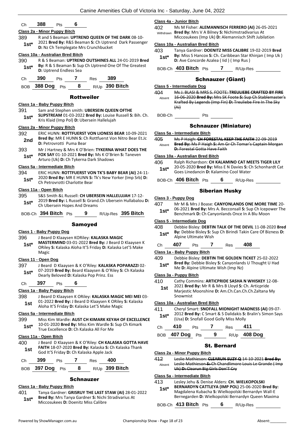### Ch **388** Pts **6**

#### **Class 2a - Minor Puppy Bitch**

389 R and S Beaman: **UPTREND QUEEN OF THE DARK** 08-10- 2021 **Bred By:** R&S Beaman **S:** Ch Uptrend Dark Passenger **1st**\* 2021 **brea by:** R&S Beaman **5:** Ch Optrer **D:** Nz Ch Templegate Mrs Crunchbucket

#### **Class 10a - Australian Bred Bitch**

390 R & S Beaman: **UPTREND OUTSHINES ALL** 24-01-2019 **Bred By:** R & S Beaman **S:** Sup Ch Uptrend One Of The Greatest **1st<sup>\*</sup> By:** R & S Beaman **S:** Support D: Uptrend Endless Sea

BOB **388 Dog** Pts **8** R/Up **390 Bitch**

#### Rottweiler

#### **Class 1a - Baby Puppy Bitch**

391 Sam and Stephen smith: **UBERSEIN QUEEN OFTHE SLIPSTREAM** 01-03-2022 **Bred By:** Louise Russell **S:** Bih. Ch. Kris Klaid (Imp Pol) **D:** Ubersein Hallelujah **1st\***

#### **Class 2a - Minor Puppy Bitch**

- 392 ERIC HUNN: **ROTTFUERST VON LIONESS BEAR** 10-09-2021 **Bred By:** MR E HUNN **S:** Ch Rottfuerst Von Nitro Bear Et.Jc **2nd Brea By:** MR E HUNN **3:** Cr<br>**D:** Petrovrotti Puma Bear
- 393 Mr J Hartney & Mrs K O'Brien: **TYKERNA WHAT DOES THE FOX SAY** 01-10-2021 **Bred By:** Ms K O'Brien **S:** Taneven **1st\* POX SAY** 01-10-2021 **Brea By:** MS K O Britan Microsoft D. Ch Tykerna Dark Shadows

#### **Class 5a - Intermediate Bitch**

- 394 ERIC HUNN: **ROTTFUERST VON TK'S BABY BEAR (AI)** 24-11- 2020 **Bred By:** MR E HUNN **S:** Tk's New Yorker (Imp Srb) **D:**
- **1st** 2020 **Brea By:** MR E HOINN **5:**<br>Ch Petrovrotti Charlotte Bear

### **Class 11a - Open Bitch**

- 395 S&S Smith &L Russell: **CH UBERSEIN HALLELUJAH** 17-12-
- 2019 **Bred By:** L Russell **S:** Grand.Ch Ubersein Hullabalou **D:**  Ch Ubersein Hopes And Dreams **1st\***
- BOB-Ch **394 Bitch** Pts **9** R/Up-Res **395 Bitch**

#### Samoyed

### **Class 1 - Baby Puppy Dog**

- 396 J Beard D Klaaysen KORiley: **KALASKA MAGIC**
- **MASTERMIND** 03-01-2022 **Bred By:** J Beard D Klaaysen K ORiley **S:** Kalaska Aloha It'S Friday **D:** Kalaska Let'S Make Magic **1st\***

### **Class 11 - Open Dog**

397 J Beard D Klaaysen & K O'Riley: **KALASKA POPARAZZI** 02- 07-2019 **Bred By:** Beard Klaaysen & O'Riley **S:** Ch Kalaska **1st**\* 07-2019 **Bred By:** Beard Klaaysen & O'Ril Dearly Beloved **D:** Kalaska Pop Prinz. Ess

#### Ch **397** Pts **6**

#### **Class 1a - Baby Puppy Bitch**

398 J Beard D Klaaysen K ORiley: **KALASKA MAGIC MEI MEI** 03- 01-2022 **Bred By:** J Beard D Klaaysen K ORiley **S:** Kalaska **1st** DI-2022 **Bred By:** J Beard D Klaaysen K OKliey<br>Aloha It'S Friday **D:** Kalaska Let'S Make Magic

### **Class 5a - Intermediate Bitch**

399 Miss Kim Wardle: **AUST CH KIMARK KEYAH OF EXCELLENCE** 10-01-2020 **Bred By:** Miss Kim Wardle **S:** Sup Ch Kimark **1st** 10-01-2020 **Bred By:** Miss Kim Wardle S:<br>True Excellence D: Ch Kalaska All For Me

#### **Class 11a - Open Bitch**

- 400 J Beard D Klaaysen & K O'Riley: **CH KALASKA GOTTA HAVE FAITH** 18-07-2020 **Bred By:** Kalaska **S:** Ch Kalaska Thank **1st FAITH** 18-07-2020 **Bred By:** Kalaska **S:** C<br>God It'S Friday **D:** Ch Kalaska Apple Jack
- Ch **399** Pts **7** Res **400**
- BOB **397 Dog** Pts **8** R/Up **399 Bitch**

### **Schnauzer**

### **Class 1a - Baby Puppy Bitch**

401 Tanya Gardner: **GRISRUY THE LAST STAW (AI)** 28-01-2022 **Bred By:** Mrs Tanya Gardner **S:** Nichi Stradivarius At Miccosukees **D:** Doenitz Miss Calibre **1st\***

#### **Class 4a - Junior Bitch**

402 Ms M Fisher: **ALEMANNISCH FERRERO (AI)** 26-05-2021 **Bred By:** Mrs V A Bilney **S:** Nichimstradivarius At Miccosukees (Imp Uk) **D:** Alemannisch Shift Jubilation Withdrawn

#### **Class 10a - Australian Bred Bitch**

403 Tanya Gardner: **DOENITZ MISS CALIBRE** 19-02-2019 **Bred By:** Miss S Hancox **S:** Ch. Caribbean Star Khinjan ( Imp Uk ) **1st\* Dy.** Miss 5 Harrox **5.** Ch. Caribbean Star **1 D:** Ave Concorde Azalea ( lid ) ( Imp Rus )

BOB-Ch **403 Bitch** Pts **7** R/Up-Res

### Schnauzer (Giant)

#### **Class 5 - Intermediate Dog**

404 Ms J. BLASI & MRS S. FOOTE: **TREULIEBE CRAFTED BY FIRE** 16-06-2020 **Bred By:** Mrs SK Foote **S:** Sup Ch Stablemaster's Krafted By Legends (Imp Fin) **D:** Treuliebe Fire In The Sky (Ai) Absent

BOB-Ch Pts

#### Schnauzer (Miniature)

#### **Class 5a - Intermediate Bitch**

- 405 Ms P Haigh: **CH FORESTAL KEEP THE FAITH** 22-09-2019
- **Bred By:** Ms P Haigh **S:** Am Gr Ch Tomar's Captain Morgan **D:** Forestal Gotta Have Faith Absent

#### **Class 10a - Australian Bred Bitch**

- 406 Ralph Richardson: **CH KALAMINO CAT MEETS TIGER LILY** 20-05-2020 **Bred By:** Miss E N Davies **S:** Ch Schonhardt Cat
- **1st** 20-05-2020 **Bred By:** MISS E N Davies **5:** C 20-05-2020 **Bred By:** Miss E N Davies **5:** C
- BOB-Ch **406 Bitch** Pts **6** R/Up-Res

### Siberian Husky

#### **Class 3 - Puppy Dog**

- 407 Mr M & Mrs J Boase: **CANYONLANDS ONE MORE TIME** 20-
	- 06-2021 **Bred By:** Mrs A. Becconsall **S:** Sup Ch Icepower The **1st**\* Ub-2021 **Bred By:** Mrs A. Becconsall S: Sup Ch Icepo<br>Benchmark D: Ch Canyonlands Once In A Blu Moon

#### **Class 5 - Intermediate Dog**

- 408 Debbie Bisley: **DEBTIN TALK OF THE DEVIL** 11-08-2020 **Bred By:** Debbie Bisley **S:** Sup Ch Birindi Takin Care Of Bizness **D: 1st\* By:** Depple Bisley S: S<br>Alpine Ultimate Wish
- Ch **407** Pts **7** Res **408**

### **Class 1a - Baby Puppy Bitch**

409 Debbie Bisley: **DEBTIN THE GOLDEN TICKET** 25-02-2022 **Bred By:** Debbie Bisley **S:** Canyonlands U Thought U Had **1st\* Diea by:** Depple Bisley **5:** Canyonland **1st\*** Me **D:** Alpine Ultimate Wish (Imp Nz)

#### **Class 3a - Puppy Bitch**

- 410 Cathy Commins: **ARTICPRIDE SASHA N WHISKEY** 12-08-
	- 2021 **Bred By:** Mr R & Mrs B Lloyd **S:** Ch. Articpride Marjestic Moonshine **D:** Am.Ch.Can.Ch.Ch.Zaltana My Snowmist **1st**

#### **Class 10a - Australian Bred Bitch**

- 411 Cheryl Smart: **SNOFALL MIDNIGHT MADNESS (AI)** 09-07-
	- 2012 **Bred By:** C Smart & S Dalidakis **S:** Bralin's Simon Says (Usa) **D:** Snofall Good Golly Miss Molly **1st\***

| Ch | 410             | <b>Pts</b> |   | Res | 411          |
|----|-----------------|------------|---|-----|--------------|
|    | BOB 407 Dog Pts |            | 9 |     | R/Up 408 Dog |

### St. Bernard

- **Class 2a - Minor Puppy Bitch**
- 412 Leslie Mathieson: **CLEARUN SUZY Q** 14-10-2021 **Bred By:** Leslie Mathieson **S:** Ch Chandlimore Louis Le Grande ( Imp Uk) **D:** Clearun Big Girls Don'T Cry Absent

#### **Class 5a - Intermediate Bitch**

- 413 Lesley Jehu & Denise Alders: **CH. WIELKOPOLSKI**
- **BERNARDYN CATTLEYA (IMP POL)** 25-06-2020 **Bred By:** Magdalena Kubacha **S:** Wielkopolski Bernardyn Wall-E **1st\***
	- Bernegarden **D:** Wielkopolski Bernardyn Queen Maxima

BOB-Ch **413 Bitch** Pts **6** R/Up-Res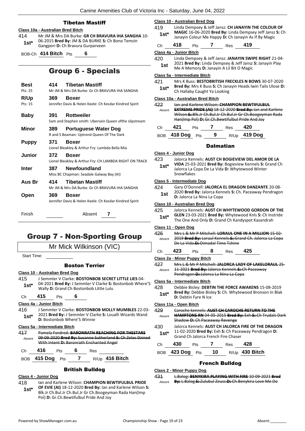### Tibetan Mastiff

### **Class 10a - Australian Bred Bitch**

414 Mr JM & Mrs DA Burke: **GR CH BRAVURA IHA SANGHA** 10- 06-2015 **Bred By:** JM & DA BURKE **S:** Ch Bono Temzin **1st**\* Ub-2015 Bred By: JM & DA BURKE S<br>Gangpori D: Ch Bravura Gurparveen

BOB-Ch **414 Bitch** Pts **6**

# Group 6 - Specials

| Best<br>Pts: 25 | 414   | <b>Tibetan Mastiff</b><br>Mr JM & Mrs DA Burke: Gr Ch BRAVURA IHA SANGHA |
|-----------------|-------|--------------------------------------------------------------------------|
|                 |       |                                                                          |
| R/Up            | 369   | Boxer                                                                    |
| Pts: 15         |       | Jennifer Davis & Helen Keele: Ch Kesdar Kindred Spirit                   |
| Baby            | 391   | <b>Rottweiler</b>                                                        |
|                 |       | Sam and Stephen smith: Ubersein Queen ofthe slipstream                   |
| Minor           | 389.  | <b>Portuguese Water Dog</b>                                              |
|                 |       | R and S Beaman: Uptrend Queen Of The Dark                                |
| Puppy           | 371   | <b>Boxer</b>                                                             |
|                 |       | Lionel Bleakley & Arthur Fry: Lambda Bella Mia                           |
| Junior          | 372   | <b>Boxer</b>                                                             |
|                 |       | Lionel Bleakley & Arthur Fry: CH LAMBDA RIGHT ON TRACK                   |
| Inter           | 387 - | <b>Newfoundland</b>                                                      |
|                 |       | Miss BC Chapman: Seadale Galway Bay (AI)                                 |
| Aus Br          | 414   | <b>Tibetan Mastiff</b>                                                   |
|                 |       | Mr JM & Mrs DA Burke: Gr Ch BRAVURA IHA SANGHA                           |
| Open            | 369   | Boxer                                                                    |
|                 |       | Jennifer Davis & Helen Keele: Ch Kesdar Kindred Spirit                   |
| Finish          |       | Absent<br>7                                                              |
|                 |       |                                                                          |

# Group 7 - Non-Sporting Group

Mr Mick Wilkinson (VIC)

Start Time:

### Boston Terrier

#### **Class 10 - Australian Bred Dog**

415 J Semmler V Clarke: **BOSTONBOB SECRET LITTLE LIES** 04- 04-2021 **Bred By:** J Semmler V Clarke **S:** Bostonbob Where'S **1st**\* U4-2021 **Brea By:** J Semmier V Clarke S:<br>Wally D: Grand Ch Bostonbob Little Lulu

Ch **415** Pts **6**

**Class 4a - Junior Bitch**

416 J Semmler V Clarke: **BOSTONBOB MOLLY MUMBLES** 22-03- 2021 **Bred By:** J Semmler V Clarke **S:** Loualli Wizards Wand **1st**\* 2021 Bred By: J Semmler V Cla<br>**D:** Bostonbob Where'S Winnie

### **Class 5a - Intermediate Bitch**

417 Pamela Fordred: **BARONRATH REACHING FOR THESTARS** 09-09-2020 **Bred By:** Susanne Sutherland **S:** Ch Zelos Dzined With Intent **D:** Baronrath Enchanted Angel Absent

| :h | $\sim$ | 3 H.S<br>__ |  |
|----|--------|-------------|--|
|    |        |             |  |

# BOB **415 Dog** Pts **7** R/Up **416 Bitch**

### British Bulldog

### **Class 4 - Junior Dog**

418 Ian and Karlene Wilson: **CHAMPION BEWTIFULBUL PRIDE OF EVIE (AI)** 18-12-2020 **Bred By:** Ian and Karlene Wilson **S:**  Blk.Jr Ch.Bul.Jr Ch.Bul.Jr Gr Ch.Boogeyman Rada Han(Imp Pol) **D:** Gr.Ch.Bewtifulbul Pride And Joy **1st\***

| <b>Class 10 - Australian Bred Dog</b>                                                                                     |                                                                                                                  |                              |   |                                          |                                                                                                                            |  |  |
|---------------------------------------------------------------------------------------------------------------------------|------------------------------------------------------------------------------------------------------------------|------------------------------|---|------------------------------------------|----------------------------------------------------------------------------------------------------------------------------|--|--|
| 419                                                                                                                       | Linda Dempsey & Jeff Jansz: CH JANAYIN THE COLOUR OF<br>MAGIC 16-06-2020 Bred By: Linda Dempsey Jeff Jansz S: Ch |                              |   |                                          |                                                                                                                            |  |  |
| $1st*$                                                                                                                    |                                                                                                                  |                              |   |                                          | Janayin Colour Me Happy D: Ch Janayin As If By Magic                                                                       |  |  |
| Сh                                                                                                                        | 418                                                                                                              | Pts                          |   | 7 Res 419                                |                                                                                                                            |  |  |
| Class 4a - Junior Bitch                                                                                                   |                                                                                                                  |                              |   |                                          |                                                                                                                            |  |  |
| 420                                                                                                                       |                                                                                                                  |                              |   |                                          | Linda Dempsey & Jeff Jansz: JANAYIN SWIPE RIGHT 21-04-                                                                     |  |  |
| 1st                                                                                                                       |                                                                                                                  |                              |   | Me A Memory D: Janayin A Lil Bit O Magic | 2021 Bred By: Linda Dempsey & Jeff Jansz S: Janayin Play                                                                   |  |  |
|                                                                                                                           | Class 5a - Intermediate Bitch                                                                                    |                              |   |                                          |                                                                                                                            |  |  |
| 421<br>Mrs K Buss: BESTOBRITISH FRECKLES N BOWS 30-07-2020<br>Bred By: Mrs K Buss S: Ch Janayin Heads Iwin Tails Ulose D: |                                                                                                                  |                              |   |                                          |                                                                                                                            |  |  |
| 1st*                                                                                                                      |                                                                                                                  | Ch Hallaby Caught Ya Looking |   |                                          |                                                                                                                            |  |  |
| Class 10a - Australian Bred Bitch                                                                                         |                                                                                                                  |                              |   |                                          |                                                                                                                            |  |  |
| 422                                                                                                                       |                                                                                                                  |                              |   |                                          | lan and Karlene Wilson: CHAMPION BEWTIFULBUL                                                                               |  |  |
| Absent                                                                                                                    |                                                                                                                  |                              |   |                                          | <b>EXTREME PRIDE (AI) 18-12-2020 Bred By: Ian and Karlene</b><br>Wilson-S:-Blk.Jr-Ch.Bul.Jr-Ch.Bul.Jr-Gr-Ch.Boogeyman Rada |  |  |
|                                                                                                                           |                                                                                                                  |                              |   |                                          | Han(Imp Pol)-D:-Gr.Ch.Bewtifulbul Pride And Joy                                                                            |  |  |
| Ch                                                                                                                        | 421                                                                                                              | Pts                          | 7 | <b>Res</b>                               | 420                                                                                                                        |  |  |
| BOB.                                                                                                                      | 418 Dog Pts                                                                                                      |                              | 9 |                                          | R/Up 419 Dog                                                                                                               |  |  |
|                                                                                                                           |                                                                                                                  |                              |   |                                          |                                                                                                                            |  |  |
|                                                                                                                           |                                                                                                                  |                              |   | <b>Dalmatian</b>                         |                                                                                                                            |  |  |
| Class 4 - Junior Dog                                                                                                      |                                                                                                                  |                              |   |                                          |                                                                                                                            |  |  |
| 423                                                                                                                       |                                                                                                                  |                              |   |                                          | Jalorca Kennels: AUST CH BOGIEVIEW DEL AMOR DE LA<br>VIDA 25-03-2021 Bred By: Bogieview Kennels S: Grand Ch                |  |  |
| $1st*$                                                                                                                    |                                                                                                                  |                              |   |                                          | Jalorca La Copa De La Vida D: Whytewood Winter                                                                             |  |  |
|                                                                                                                           | Snowflakes                                                                                                       |                              |   |                                          |                                                                                                                            |  |  |
| <b>Class 5 - Intermediate Dog</b>                                                                                         |                                                                                                                  |                              |   |                                          |                                                                                                                            |  |  |
| 424                                                                                                                       |                                                                                                                  |                              |   |                                          | Gary O'Donnell: JALORCA EL DRAGON DANZANTE 20-08-                                                                          |  |  |
| 1st                                                                                                                       |                                                                                                                  | D: Jalorca La Nina La Copa   |   |                                          | 2020 Bred By: Jalorca Kennels S: Ch. Paceaway Pendragon                                                                    |  |  |
| Class 10 - Australian Bred Dog                                                                                            |                                                                                                                  |                              |   |                                          |                                                                                                                            |  |  |
| 425                                                                                                                       |                                                                                                                  |                              |   |                                          | Jalorca Kennels: AUST CH WHYTEWOOD GORDON OF THE                                                                           |  |  |
| $1st^*$                                                                                                                   |                                                                                                                  |                              |   |                                          | GLEN 23-03-2021 Bred By: Whytewood Knls S: Ch Instride<br>The One And Only D: Grand Ch Kandyspot Kasandrah                 |  |  |
|                                                                                                                           |                                                                                                                  |                              |   |                                          |                                                                                                                            |  |  |
| Class 11 - Open Dog<br>426                                                                                                |                                                                                                                  |                              |   |                                          | Mrs L & Mr P Mitchell: LORAUL ONE IN A MILLION 15-02-                                                                      |  |  |
| Absent                                                                                                                    |                                                                                                                  |                              |   |                                          | 2019 Bred By: Loraul Kennels S: Grand Ch. Jalorca La Copa                                                                  |  |  |
|                                                                                                                           |                                                                                                                  |                              |   | De La Vida-D:-Dimadal Time Tshine        |                                                                                                                            |  |  |
| Ch                                                                                                                        | 423                                                                                                              | Pts                          | 8 | Res                                      | -425                                                                                                                       |  |  |
| Class 2a - Minor Puppy Bitch                                                                                              |                                                                                                                  |                              |   |                                          |                                                                                                                            |  |  |
| 427                                                                                                                       |                                                                                                                  |                              |   |                                          | Mrs L & Mr P Mitchell: JALORCA LADY OF LAKELORAUL 25-                                                                      |  |  |
| Absent                                                                                                                    |                                                                                                                  |                              |   |                                          | 11 2021 Bred By: Jalorca Kennels S: Ch Paceaway                                                                            |  |  |
|                                                                                                                           |                                                                                                                  |                              |   | Pendragon D: Jalorca La Nina La Copa     |                                                                                                                            |  |  |
| Class 5a - Intermediate Bitch                                                                                             |                                                                                                                  |                              |   |                                          |                                                                                                                            |  |  |
| 428                                                                                                                       |                                                                                                                  |                              |   |                                          | Debbie Bisley: DEBTIN THE FORCE AWAKENS 15-08-2019                                                                         |  |  |
| 1st*                                                                                                                      |                                                                                                                  | D: Debtin Fyre N Ice         |   |                                          | Bred By: Debbie Bisley S: Ch. Whytewood Bronson In Blak                                                                    |  |  |
| Class 11a - Open Bitch                                                                                                    |                                                                                                                  |                              |   |                                          |                                                                                                                            |  |  |
| 429                                                                                                                       |                                                                                                                  |                              |   |                                          | Caroche kennels: AUST CH CAROCHE RETURN TO THE                                                                             |  |  |
| Absent                                                                                                                    |                                                                                                                  |                              |   | <b>Shadow D: Ch Paceaway Revenge</b>     | <b>HAMPTONS RN 04 05 2015 Bred By: Exh S: Ch Trudals Dark</b>                                                              |  |  |
| 430                                                                                                                       |                                                                                                                  |                              |   |                                          | Jalorca Kennels: AUST CH JALORCA FIRE OF THE DRAGON                                                                        |  |  |
| 1st*                                                                                                                      | 11-02-2020 Bred By: Exh S: Ch Paceaway Pendragon D:<br>Grand Ch Jalorca French Fire Chaser                       |                              |   |                                          |                                                                                                                            |  |  |

Ch **430** Pts **7** Res **428** BOB **423 Dog** Pts **10** R/Up **430 Bitch**

### French Bulldog

#### **Class 2 - Minor Puppy Dog**

431 L.Balog: **BENYKIRA PLAYING WITH FIRE** 10-09-2021 **Bred**  Absent **By:** L.Balog **S:** Zulubul Zeuss **D:** Ch.Benykira Love Me Do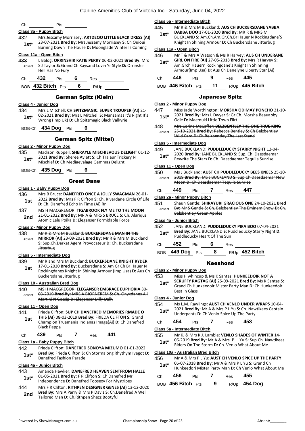|     | Class 3a - Puppy Bitch |                                                               |
|-----|------------------------|---------------------------------------------------------------|
| 432 |                        | Mrs Jessamy Morrissey: ARTDEQO LITTLE BLACK DRESS (AI)        |
|     |                        | 23-07-2021 <b>Brad By:</b> Mrs Jaccamy Morriccay S. Ch Quiqui |

23-07-2021 **Bred By:** Mrs Jessamy Morrissey **S:** Ch Ouioui Burning Down The House **D:** Moonglade Winter Is Coming **1st\***

#### **Class 11a - Open Bitch**

Ch Pts

433 L Balog: **ORRINSHIR KATIE PERRY** 06-02-2021 **Bred By:** Mrs S J Taylor **S:** Grand Ch Kaysand Lovin Yr Style **D:** Orrinshir Hell Has No Fury Absent

Ch **432** Pts **6** Res

BOB **432 Bitch** Pts **6** R/Up

### German Spitz (Klein)

#### **Class 4 - Junior Dog**

434 Mrs L Mitchell: **CH SPITZMAGIC. SUPER TROUPER (AI)** 21- 02-2021 **Bred By:** Mrs L Mitchell **S:** Manzamas It's Right It's Wrong (Imp Uk) **D:** Ch Spitzmagic Black Valkyrie **1st\***

BOB-Ch **434 Dog** Pts **6**

### German Spitz (Mittel)

#### **Class 2 - Minor Puppy Dog**

435 Madison Ruppell: **SHERAYLE MISCHIEVOUS DELIGHT** 01-12- 2021 **Bred By:** Sheree Aylett **S:** Ch Tralaur Trickery N Mischief **D:** Ch Mediaevalage Gemmas Delight **1st\***

BOB-Ch **435 Dog** Pts **6**

### Great Dane

#### **Class 1 - Baby Puppy Dog**

- 436 Mrs B Bruce: **DANEFRED ONCE A JOLLY SWAGMAN** 26-01- 2022 **Bred By:** Mrs F R Clifton **S:** Ch. Riverdane Circle Of Life **1st D:** CO22 **Drea by:** Mrs F R Cilition **5:** Cn. **1**<br>**1st D:** Ch. Danefred Echo In Time (Ai) Rn
- 437 MS H MACGREGOR: **TIGABROOK FLY ME TO THE MOON** 21-01-2022 **Bred By:** MR A & MRS S BRUCE **S:** Ch. Alariqus 2nd <sup>21-01-2022 **Brea by:** WIR A & WIRS 5 BROCE **3:** CriteRight Atomic Lelu Poika **D:** Eleganser Formidable Force</sup>

### **Class 2 - Minor Puppy Dog**

#### 438 Mr R & Mrs M Buckland: **BUCKERSDANE MAN IN THE**

**MIRROR (AI)** 23-09-2021 **Bred By:** Mr R & Mrs M Buckland **S:** Sup.Ch.Darkat Agent Provocateur **D:** Ch. Buckersdane **Jitterbug** Absent

#### **Class 5 - Intermediate Dog**

439 Mr R and Mrs M Buckland: **BUCKERSDANE KNIGHT RYDER** 17-01-2020 **Bred By:** Buckersdane **S:** Am Gr Ch Br Hauer N Rockingdanes Knight In Shining Armour (Imp Usa) **D:** Aus Ch Buckersdane Jitterbug **1st**

#### **Class 10 - Australian Bred Dog**

440 MS H MACGREGOR: **ELEGANSER EMBRACE EUPHORIA** 30- 03-2019 **Bred By:** MRS A BJORNEREM-S: Ch. Onyxdanes Martini N Gossip **D:** Eleganser Dilly Dally Absent

#### **Class 11 - Open Dog**

441 Frieda Clifton: **SUP CH DANEFRED MEMORIES RMADE O THIS (AI)** 08-03-2019 **Bred By:** FRIEDA CLIFTON **S:** Grand Champion Truemania Indianas Image(Ai) **D:** Ch Danefred Black Peppa **1st**

| C. | 439 | ীts | $\kappa$ es | 441 |
|----|-----|-----|-------------|-----|
|    |     |     |             |     |

### **Class 1a - Baby Puppy Bitch**

442 Frieda Clifton: **DANEFRED SONOYA MIZUMO** 01-01-2022 **Bred By:** Frieda Clifton **S:** Ch Stormalong Rhythym Ivegot **D: 1st\*** Bred By: Frieda Clifton S:<br>Danefred Fashion Parade

### **Class 4a - Junior Bitch**

- 443 Amanda Hawker: **DANEFRED HEAVEN SENTFROM HALLE** 01-05-2021 **Bred By:** F R Clifton **S:** Ch Danefred Mr **1st**\* 01-05-2021 Bred By: F R Clifton S: Ch Danefred Mr<br>Independence D: Danefred Toosexy For Mystripes
- 444 Mrs F R Clifton: **RITHPEN DESIGNER GENES (AI)** 13-12-2020 **Bred By:** Mrs A Parry & Mrs P Davis **S:** Ch.Danefred A Well **2nd** Brea by: Mrs A Parry & Mrs P Davis S: Cn.Day<br>Tailored Man D: Ch.Rithpen Shezz Bootyfull

#### **Class 5a - Intermediate Bitch**

445 Mr R & Mrs M Buckland: **AUS CH BUCKERSDANE YABBA** 

- **DABBA DOO** 17-01-2020 **Bred By:** MR R & MRS M BUCKLAND **S:** Am.Ch.Am.Gr.Ch.Br Hauer N Rockingdane'S **1st\***
- Knight In Shining Armour **D:** Ch Buckersdane Jitterbug

### **Class 11a - Open Bitch**

| 446<br>$1st*$ | Mr T & Mrs A Watson & Ms R Harvey: AUS CH UNDERANE<br>GIRL ON FIRE (AI) 27-05-2018 Bred By: Mrs R Harvey S:<br>Am.Grch Hauern Rockingdane's Knight In Shinning<br>Armour(Imp Usa) D: Aus Ch Danelyne Liberty Star (Ai) |            |    |     |                  |  |
|---------------|------------------------------------------------------------------------------------------------------------------------------------------------------------------------------------------------------------------------|------------|----|-----|------------------|--|
| Сh            | 446                                                                                                                                                                                                                    | <b>Pts</b> |    | Res | 445              |  |
| <b>BOB</b>    | 446 Bitch $Pts$                                                                                                                                                                                                        |            | 11 |     | $R/Up$ 445 Bitch |  |

### Japanese Spitz

**Class 2 - Minor Puppy Dog**

| 447<br>$1st^*$                                                                                                                                            | Miss Jade Worthington: MORSHA ODIMAY PONCHO 21-10-<br>2021 Bred By: Mrs L Dwyer S: Gr Ch. Morsha Beauabby<br>Odie D: Maemuki Little Town Flirt       |     |   |                                            |                                                                                                             |  |
|-----------------------------------------------------------------------------------------------------------------------------------------------------------|------------------------------------------------------------------------------------------------------------------------------------------------------|-----|---|--------------------------------------------|-------------------------------------------------------------------------------------------------------------|--|
| 448<br>Absent                                                                                                                                             |                                                                                                                                                      |     |   | Wild Card D: Ch Belzbentley The Last Stand | Mrs Corina McCaffer: BELZBENTLEY THE ONE TRUE KING<br>25-10-2021 Bred By: Rebecca Bentley S: Ch Belzbentley |  |
|                                                                                                                                                           | Class 5 - Intermediate Dog                                                                                                                           |     |   |                                            |                                                                                                             |  |
| 449                                                                                                                                                       |                                                                                                                                                      |     |   |                                            | JANE BUCKLAND: PUDDLEDUCKY STARRY NIGHT 12-04-                                                              |  |
| $1st*$                                                                                                                                                    |                                                                                                                                                      |     |   |                                            | 2020 Bred By: JANE BUCKLAND S: Sup. Ch. Daesdaemar<br>Rewrite The Stars D: Ch. Daesdaemar Tequila Sunrise   |  |
|                                                                                                                                                           | Class 11 - Open Dog                                                                                                                                  |     |   |                                            |                                                                                                             |  |
| 450<br>Absent                                                                                                                                             | Ms J Buckland: AUST CH PUDDLEDUCKY BEES KNEES 25 10<br>2018 Bred By: MS J BUCKLAND S: Sup Ch Daesdaemar New<br>Moon D: Ch Daesdaemar Tequila Sunrise |     |   |                                            |                                                                                                             |  |
| Ch                                                                                                                                                        | 449                                                                                                                                                  | Pts | 7 | Res                                        | 447                                                                                                         |  |
|                                                                                                                                                           | Class 2a - Minor Puppy Bitch                                                                                                                         |     |   |                                            |                                                                                                             |  |
| 451                                                                                                                                                       |                                                                                                                                                      |     |   |                                            | Shaun Gentle: SHIRAYURI GRACIOUS ONE 24-10-2021 Bred                                                        |  |
| Absent                                                                                                                                                    | <b>Belzbentley Green Apples</b>                                                                                                                      |     |   |                                            | By: Mr S Gentle S: Ch. Belzbentley The Eminem Show D: Ch.                                                   |  |
|                                                                                                                                                           | Class 4a - Junior Bitch                                                                                                                              |     |   |                                            |                                                                                                             |  |
| 452<br>JANE BUCKLAND: PUDDLEDUCKY PIKA BOO 07-04-2021<br>Bred By: JANE BUCKLAND S: Puddleducky Starry Night D:<br>$1st^*$<br>Puddleducky Heart Of The Sun |                                                                                                                                                      |     |   |                                            |                                                                                                             |  |
| Ch                                                                                                                                                        | 452                                                                                                                                                  | Pts | 6 | Res                                        |                                                                                                             |  |
| <b>BOB</b>                                                                                                                                                | 449 Dog                                                                                                                                              | Pts | 8 |                                            | R/Up 452 Bitch                                                                                              |  |
| Keeshond                                                                                                                                                  |                                                                                                                                                      |     |   |                                            |                                                                                                             |  |
|                                                                                                                                                           | Class 2 - Minor Puppy Dog                                                                                                                            |     |   |                                            |                                                                                                             |  |
| 453                                                                                                                                                       |                                                                                                                                                      |     |   |                                            | Miss H whincup & Ms K Santas: HUNKEEDOIR NOT A                                                              |  |
| $4 - 1$                                                                                                                                                   | SCRUFFY RAGTAG (AI) 25-09-2021 Bred By: Ms K Santas S:                                                                                               |     |   |                                            |                                                                                                             |  |

**SCRUFFY RAGTAG (AI)** 25-09-2021 **Bred By:** Ms K Santas **S:**  Grand Ch Hunkeedoir Mister Party Man **D:** Ch Hunkeedoir Best In Glass **1st\***

#### **Class 4 - Junior Dog**

454 Ms L.M. Rawlings: **AUST CH VENLO UNDER WRAPS** 10-04- 2021 **Bred By:** Mr A & Mrs P L Yu **S:** Ch. Nawtikees Captain **1st** 2021 **Died by:** IVIT A & IVITS P L TO **3:** Ch. Naw

### Ch **454** Pts **7** Res **453**

**Class 5a - Intermediate Bitch**

- 455 Mr K. & Mrs K.J. Lamble: **VENLO SHADES OF WINTER** 14-
- 06-2019 **Bred By:** Mr A & Mrs. P.L. Yu **S:** Sup.Ch. Nawtikees **1st**\* Ub-2019 **Bred By:** Mr A & Mrs. P.L. Yu S: Sup.Cn. Nights Con The Storm **D:** Ch. Venlo What About Me

**Class 10a - Australian Bred Bitch**

#### 456 Mr A & Mrs P L Yu: **AUST CH VENLO SPICE UP THE PARTY**

06-07-2018 **Bred By:** Mr A & Mrs P L Yu **S:** Grand Ch Hunkeedori Mister Party Man **D:** Ch Venlo What About Me **1st\***

| Ch. | 456                    | <b>Pts</b> |   | Res | 455            |
|-----|------------------------|------------|---|-----|----------------|
|     | BOB $456$ Bitch $P$ ts |            | 9 |     | $R/Up$ 454 Dog |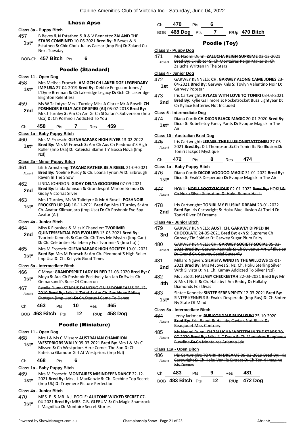### Lhasa Apso

### **Class 3a - Puppy Bitch**

457 B Beves & N Estatheo & R & V Bennetts: **ZALAND THE STARS COMBINED** 10-06-2021 **Bred By:** B Beves & N Estatheo **S:** Chic Choix Julius Caesar (Imp Fin) **D:** Zaland Cu Next Tuesday **1st\***

### BOB-Ch **457 Bitch** Pts **6**

### Poodle (Standard)

#### **Class 11 - Open Dog**

- 458 Mrs Melissa Froesch: **AM GCH CH LAKERIDGE LEGENDARY IMP USA** 27-04-2019 **Bred By:** Debbie Ferguson-Jones / L'Dyne Brennan **S:** Ch Lakeridge Legacy **D:** Gch Ch Lakeridge **1st\***
- Brighton Relentless 459 Ms W Talintyre Mrs J Turnley Miss A Clarke Mr A Rosell: **CH**
- **POSHNOIR REILLY ACE OF SPIES (AI)** 05-07-2018 **Bred By:** Mrs J Turnley **S:** Am Ch Am Gr Ch Sl Safari's Subversion (Imp Usa) **D:** Ch Poshnoir Addicted To You **2nd**

#### Ch **458** Pts **7** Res **459**

#### **Class 1a - Baby Puppy Bitch**

460 Mrs M Froesch: **GLENARAPARK HIGH FLYER** 13-02-2022 **Bred By:** Mrs M Froesch **S:** Am Ch Aus Ch Piedmont'S High Roller (Imp Usa) **D:** Kateisha Blame Th' Bossa Nova (Imp Nzl) **1st\***

#### **Class 2a - Minor Puppy Bitch**

- 461 Lilith Armstrong: **TAKANZ RATHER BE A REBEL** 21-09-2021 **Bred By:** Noeline Purdy **S:** Ch. Loana Tyrion Ai **D:** Silbrough Raven In The Snow Absent
- 462 LINDA JOHNSON: **GIDAY DELTA GOODREM** 07-09-2021 **Bred By:** Linda Johnson **S:** Grandesprit Marlon Brando **D: 2nd Brea By:** Linda Johnse
- 463 Mrs J Turnley, Ms W Talintyre & Mr A Rosell: **POSHNOIR FROCKED UP (AI)** 16-11-2021 **Bred By:** Mrs J Turnley **S:** Am. Ch. Avatar Kilimanjaro (Imp Usa) **D:** Ch Poshnoir Eye Spy Avatar (Ai) **1st\***

### **Class 4a - Junior Bitch**

464 Miss K Flouskos & Miss K Chandler: **TVORIMIR** 

- **QUINTESSENTIAL FOR EVOLUER** 13-03-2021 **Bred By:** Tvorimir Kennels **S:** Can Ch. Ch Tees Me Mystro (Imp Can) **D:** Ch. Celebrities Halleberry For Tvorimir-N (Imp Ita) ( **2nd**
- 465 Mrs M Froesch: **GLENARAPARK HIGH SOCIETY** 19-01-2021 **Bred By:** Mrs M Froesch **S:** Am Ch. Piedmont'S High Roller **1st\* Brea by:** Mrs M Froesch S: Am Ch. For limp Usa **D**: Ch. Kellyvix Good Times

#### **Class 5a - Intermediate Bitch**

466 C Moya: **GRANDESPRIT LADY IN RED** 21-03-2020 **Bred By:** C Moya **S:** Aus Ch Poshnoir Positively Jah Jah **D:** Swiss Ch Gemarsandi's Rose Of Cimarron **1st\*** 467 Estelle Dunn: **STARUS DANCING ON MOONBEAMS** 05-12- 2019 **Bred By:** Miss N Tetof **S:** Am Ch. Bar-None Riding Shotgun (Imp Usa) **D:** Ch.Starus I Came To Dance Absent

| Ch | 463               | Pts | - 10 | Res | 465                 |
|----|-------------------|-----|------|-----|---------------------|
|    | BOB 463 Bitch Pts |     | 12   |     | R/Up <b>458 Dog</b> |

### Poodle (Miniature)

### **Class 11 - Open Dog**

468 Mrs J & Ms C Missen: **AUSTRALIAN CHAMPION WESTPRIORS WALLY** 09-03-2021 **Bred By:** Mrs J & Ms C Missen **S:** Ch Westpriors Here Comes The Son **D:** Ch Kateisha Glamour Girl At Westpriors (Imp Nzl) **1st\***

# Ch **468** Pts **6**

### **Class 1a - Baby Puppy Bitch**

- 469 Mrs M Froesch: **MONTAIRES MISINDEPENDANCE** 22-12-
- 2021 **Bred By:** Mrs J L MacKenzie **S:** Ch. Dechine Top Secret (Imp Uk) **D:** Troymere Picture Perfection **1st\***

### **Class 4a - Junior Bitch**

- 470 MRS. P. & MR. A.J. POOLE: **AULTONE WICKED SECRET** 07- 04-2021 **Bred By:** MRS. C.B. GLERUM **S:** Ch.Magic Shamrock
- Il Magnifico **D:** Montaire Secret Stories **1st\***

Ch **470** Pts **6**

# BOB **468 Dog** Pts **7** R/Up **470 Bitch**

### Poodle (Toy)

### **Class 3 - Puppy Dog**

- 471 Ms Naomi Dunn: **ZALUCHA REIGN SUPREME** 03-12-2021
	- **Bred By:** Exhibitor **S:** Ch Montaires Reign Maker **D:** Ch Zalucha Written In The Stars Absent

### **Class 4 - Junior Dog**

- 472 GARWEY KENNELS: **CH. GARWEY ALONG CAME JONES** 23- 04-2021 **Bred By:** Garwey Knls **S:** Toylyn Valentino Noir **D: 1st** U<sup>4-2021</sup> Brea B
- 473 Iris Cartwright: **KYLACE WITH LOVE TO TONIRI** 03-03-2021 **Bred By:** Kylie Gallimore **S:** Pocketrocket Buzz Lightyear **D: 2nd Died By:** Nyile Gallimore **5:** POCKE<br>Ch Kylace Batteries Not Included

#### **Class 5 - Intermediate Dog**

474 Diana Cordi: **CH.DICOR BLACK MAGIC** 20-01-2020 **Bred By:** Dicor **S:** Robelletoy Fancy Pants **D:** Evoque Magick In The **1st**<sup>\*</sup>  $\frac{DIC}{Air}$ 

#### **Class 10 - Australian Bred Dog**

- 475 Iris Cartwright: **JEPASE THE ILLUSIONISTATTONIRI** 27-05- 2021 **Bred By:** D L Thompson **S:** Ch Toniri Its No Illusion **D:**  Toniri Jackpot Mystique Absent
- Ch **472** Pts **8** Res **474**

### **Class 1a - Baby Puppy Bitch**

- 476 Diana Cordi: **DICOR VOODOO MAGIC** 31-01-2022 **Bred By:** Dicor **S:** Evak'S Desperado **D:** Evoque Magick In The Air **1st\***
- 477 HOKU: **HOKU BOOTYLICIOUS** 02-01-2022 **Bred By:** HOKU **S:**  Absent Ch Hoku Silver Sensation **D:** Hoku Rumor Has It
- 478 Iris Cartwright: **TONIRI MY ELUSIVE DREAM** 23-01-2022 **Bred By:** Iris Cartwright **S:** Hoku Blue Illusion At Toniri **D: 2nd Brea By.** it is callwright **2nd Toniri River Of Dreams**
- 479 GARWEY KENNELS: **AUST. CH. GARWEY DIPPED IN CHOCOLATE** 24-05-2021 **Bred By:** exh **S:** Supreme Ch **3rd** CHOCOLATE 24-05-2021 Brea By: exit S: Suprement Garwey Tin Soldier D: Garwey Sugar Plum Fairy 480 GARWEY KENNELS: **CH. GARWEY SOCIETY SOCIAL** 05-03- 2021 **Bred By:** Garwey Kennels **S:** Ch Sylvenus Art Of Illusion **D:** Grand Ch Garwey Social Butterfly Absent 481 Millard Nguyen: **SILVISTA WIND IN THE WILLOWS** 18-01- 2021 **Bred By:** Mrs M Joyes **S:** Nz. Ch. Hoku Sterling Silver
- 2nd 2021 Bred By: Mrs M Joyes S: Nz. Ch. Hoku Sterling Sil<br>With Silvista D: Nz. Ch. Kamay Addicted To Silver (Nzl)
- 482 Ms J Stott: **HALLABY CHECKEETAH** 22-03-2021 **Bred By:** Mr & Mrs J Nutt **S:** Ch. Hallaby I Am Reddy **D:** Hallaby Diamonds For Divas **4th**
- 483 Sintee Kennels: **SINTEE SERENPIPITY** 12-03-2021 **Bred By:** SINTEE KENNELS **S:** Evak's Desperado (Imp Rus) **D:** Ch Sintee 1st<sup>\*</sup> **Ny State Of Mind**

#### **Class 5a - Intermediate Bitch**

484 Jenny larkman: **RUBICONDALE BIJOU SUKI** 25-10-2020 **Bred By:** Erin Rabot **S:** Hallaby Caviars Not Black **D:**  Beaujouet Miss Contrary Absent 485 Ms Naomi Dunn: **CH ZALUCHA WRITTEN IN THE STARS** 20-

07-2020 **Bred By:** Miss N C Dunn **S:** Ch Montaires Beepbeep Busyline **D:** Ch Montaires Arianna Jdx Absent

#### **Class 11a - Open Bitch**

486 Iris Cartwright: **TONIRI IN DREAMS** 09-02-2019 **Bred By:** Iris Cartwright **S:** Ch Hoku Vanilla Extract **D:** Ch Toniri Imagine My Dream Absent

| Ch. | 483               | Pts. | -9 | Res | 481                 |
|-----|-------------------|------|----|-----|---------------------|
|     | BOB 483 Bitch Pts |      | 12 |     | R/Up <b>472 Dog</b> |

**Class 4a - Junior Bitch**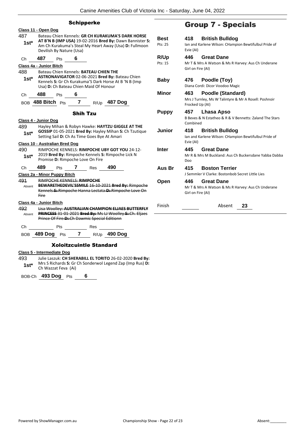|                                                | Class 11 - Open Dog                                                                                                                                                                                     |                                                                                                                                                                                              |                        |                                                                                                     | <b>Group 7 - Specials</b>                                                                     |
|------------------------------------------------|---------------------------------------------------------------------------------------------------------------------------------------------------------------------------------------------------------|----------------------------------------------------------------------------------------------------------------------------------------------------------------------------------------------|------------------------|-----------------------------------------------------------------------------------------------------|-----------------------------------------------------------------------------------------------|
| 487<br>$1st^*$                                 | Devilish By Nature (Usa)                                                                                                                                                                                | Bateau Chien Kennels: GR CH KURAKUMA'S DARK HORSE<br>AT B'N B (IMP USA) 19-02-2016 Bred By: Dawn Bannister S:<br>Am Ch Kurakuma's Steal My Heart Away (Usa) D: Fullmoon                      | <b>Best</b><br>Pts: 25 | 418<br>Evie (AI)                                                                                    | <b>British Bulldog</b><br>Ian and Karlene Wilson: CHampion Bewtifulbul Pride of               |
| Ch                                             | 487<br>Pts                                                                                                                                                                                              | 6                                                                                                                                                                                            | R/Up                   | 446                                                                                                 | <b>Great Dane</b>                                                                             |
|                                                | Class 4a - Junior Bitch                                                                                                                                                                                 |                                                                                                                                                                                              | Pts: 15                | Mr T & Mrs A Watson & Ms R Harvey: Aus Ch Underane<br>Girl on Fire (AI)                             |                                                                                               |
| 488<br>$1st^*$                                 |                                                                                                                                                                                                         | Bateau Chien Kennels: BATEAU CHIEN THE<br>ASTRONAVIGATOR 02-06-2021 Bred By: Bateau Chien<br>Kennels S: Gr Ch Kurakuma'S Dark Horse At B 'N B (Imp<br>Usa) D: Ch Bateau Chien Maid Of Honour | <b>Baby</b>            | 476                                                                                                 | Poodle (Toy)<br>Diana Cordi: Dicor Voodoo Magic                                               |
| Ch                                             | 488<br>Pts<br>BOB 488 Bitch Pts 7                                                                                                                                                                       | 6<br>R/Up 487 Dog                                                                                                                                                                            | Minor                  | 463                                                                                                 | Poodle (Standard)<br>Mrs J Turnley, Ms W Talintyre & Mr A Rosell: Poshnoir<br>Frocked Up (AI) |
| <b>Shih Tzu</b><br>Class 4 - Junior Dog<br>489 |                                                                                                                                                                                                         |                                                                                                                                                                                              | <b>Puppy</b>           | 457<br><b>Lhasa Apso</b><br>B Beves & N Estatheo & R & V Bennetts: Zaland The Stars<br>Combined     |                                                                                               |
|                                                | Hayley Mihan & Robyn Hawke: HAYTZU GIGGLE AT THE<br>GOSSIP 01-05-2021 Bred By: Hayley Mihan S: Ch Tzutique<br>$1st^*$<br>Setting Sail D: Ch As Time Goes Bye At Amari<br>Class 10 - Australian Bred Dog |                                                                                                                                                                                              | <b>Junior</b>          | 418<br><b>British Bulldog</b><br>Ian and Karlene Wilson: CHampion Bewtifulbul Pride of<br>Evie (AI) |                                                                                               |
|                                                |                                                                                                                                                                                                         |                                                                                                                                                                                              |                        |                                                                                                     |                                                                                               |
| 490<br>$1st*$                                  |                                                                                                                                                                                                         | RIMPOCHE KENNELS: RIMPOCHE UBY GOT YOU 24-12-<br>2019 Bred By: Rimpoche Kennels S: Rimpoche Lick N<br>Promise D: Rimpoche Love On Fire                                                       | <b>Inter</b>           | 445<br>Doo                                                                                          | <b>Great Dane</b><br>Mr R & Mrs M Buckland: Aus Ch Buckersdane Yabba Dabba                    |
| Ch                                             | 489<br>Pts                                                                                                                                                                                              | 490<br>7<br>Res                                                                                                                                                                              | Aus Br                 | 415                                                                                                 | <b>Boston Terrier</b>                                                                         |
|                                                | Class 2a - Minor Puppy Bitch                                                                                                                                                                            |                                                                                                                                                                                              |                        |                                                                                                     | J Semmler V Clarke: Bostonbob Secret Little Lies                                              |
| 491<br>Absent                                  | <b>Fire</b>                                                                                                                                                                                             | RIMPOCHE KENNELS: RIMPOCHE<br>BEWARETHEDEVIL'SSMILE 16 10 2021 Bred By: Rimpoche<br>Kennels S: Rimpoche Hanna Lectata D: Rimpoche Love On                                                    | Open                   | 446<br>Girl on Fire (AI)                                                                            | <b>Great Dane</b><br>Mr T & Mrs A Watson & Ms R Harvey: Aus Ch Underane                       |
| 492<br>Absent                                  | Class 4a - Junior Bitch                                                                                                                                                                                 | Lisa Woolley: AUSTRALIAN CHAMPION ELJAES BUTTERFLY<br><b>PRINCESS 31-01-2021 Bred By: Ms LJ Woolley S: Ch. Eljaes</b>                                                                        | Finish                 |                                                                                                     | Absent<br>23                                                                                  |
|                                                |                                                                                                                                                                                                         | Prince Of Fire D: Ch Dawmic Special Editionn                                                                                                                                                 |                        |                                                                                                     |                                                                                               |
| Ch                                             | Pts                                                                                                                                                                                                     | Res                                                                                                                                                                                          |                        |                                                                                                     |                                                                                               |
|                                                | BOB 489 Dog Pts 7                                                                                                                                                                                       | R/Up 490 Dog                                                                                                                                                                                 |                        |                                                                                                     |                                                                                               |

Mrs S Richards **S:** Gr Ch Sonderwol Legend Zap (Imp Rus) **D:** 

**1st**\* Mrs S Richards **S:** Gr (Ch Wazzat Feva (Ai)

BOB-Ch **493 Dog** Pts **6**